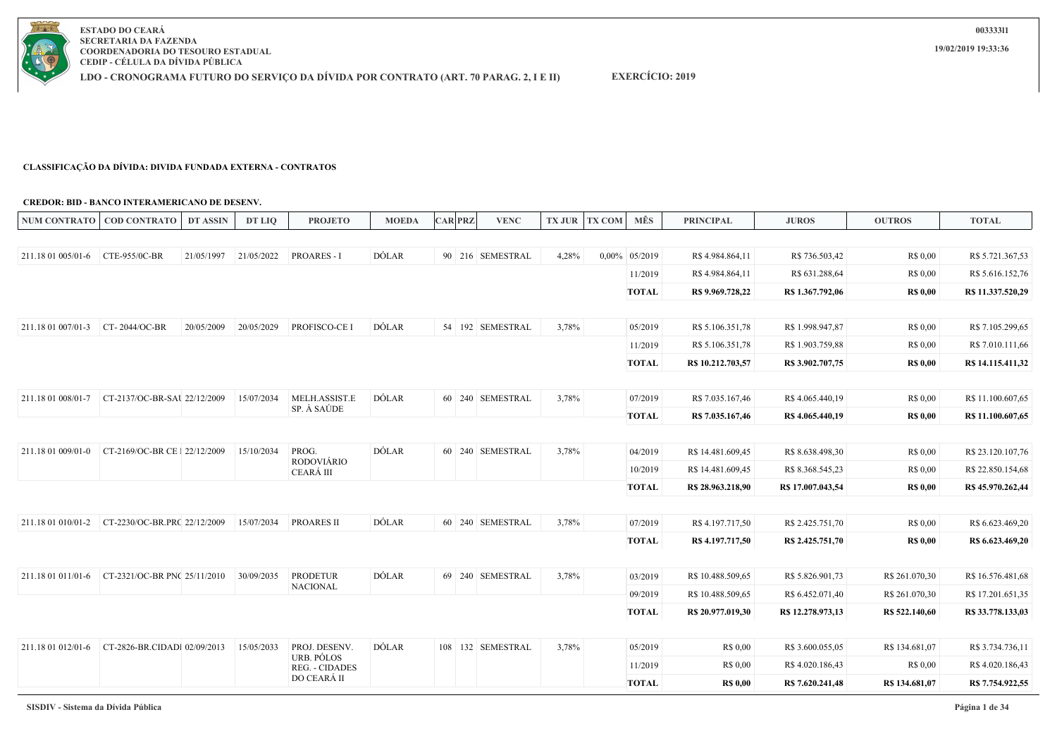

**EXERCÍCIO: 2019**

### **CLASSIFICAÇÃO DA DÍVIDA: DIVIDA FUNDADA EXTERNA - CONTRATOS**

#### **CREDOR: BID - BANCO INTERAMERICANO DE DESENV.**

| 21/05/2022<br><b>PROARES - I</b><br>DÓLAR<br>211.18 01 005/01-6<br>CTE-955/0C-BR<br>21/05/1997<br>90 216 SEMESTRAL<br>4,28%<br>0,00% 05/2019<br>R\$4.984.864,11<br>R\$ 736.503,42<br>R\$ 0.00<br>R\$ 5.721.367,53<br>11/2019<br>R\$4.984.864,11<br>R\$ 631.288,64<br>R\$ 0,00<br><b>TOTAL</b><br>R\$ 9.969.728,22<br>R\$ 1.367,792,06<br><b>R\$ 0,00</b><br>CT-2044/OC-BR<br>20/05/2009<br>20/05/2029<br>PROFISCO-CE I<br>DÓLAR<br>211.18 01 007/01-3<br>54 192 SEMESTRAL<br>3,78%<br>05/2019<br>R\$ 5.106.351,78<br>R\$ 1.998.947,87<br>R\$ 0,00<br>R\$ 5.106.351,78<br>R\$ 1.903.759,88<br>11/2019<br>R\$ 0,00<br><b>TOTAL</b><br>R\$ 10.212.703,57<br>R\$ 3.902.707,75<br><b>R\$ 0,00</b><br>CT-2137/OC-BR-SAU 22/12/2009<br>MELH.ASSIST.E<br>DÓLAR<br>60 240 SEMESTRAL<br>15/07/2034<br>3,78%<br>211.18 01 008/01-7<br>07/2019<br>R\$ 7.035.167,46<br>R\$4.065.440,19<br>R\$ 0,00<br>SP. À SAÚDE<br>TOTAL<br>R\$ 7.035.167,46<br>R\$ 4.065.440,19<br><b>R\$ 0,00</b><br>DÓLAR<br>PROG.<br>60 240 SEMESTRAL<br>211.18 01 009/01-0<br>CT-2169/OC-BR CE 1 22/12/2009<br>15/10/2034<br>3,78%<br>04/2019<br>R\$ 14.481.609,45<br>R\$ 8.638.498,30<br>R\$ 0,00<br><b>RODOVIÁRIO</b><br>10/2019<br>R\$ 14.481.609,45<br>R\$ 0,00<br>R\$ 8.368.545,23<br>CEARÁ III<br><b>TOTAL</b><br>R\$ 28.963.218,90<br>R\$ 17.007.043,54<br><b>R\$ 0,00</b><br>DÓLAR<br>CT-2230/OC-BR.PRC 22/12/2009<br>15/07/2034<br><b>PROARES II</b><br>60 240 SEMESTRAL<br>3,78%<br>07/2019<br>R\$ 4.197.717,50<br>R\$ 2.425.751,70<br>R\$ 0,00<br>211.18 01 010/01-2<br><b>TOTAL</b><br><b>R\$ 0,00</b><br>R\$ 4.197.717,50<br>R\$ 2.425.751,70<br>CT-2321/OC-BR PNC 25/11/2010<br><b>PRODETUR</b><br>DÓLAR<br>69 240 SEMESTRAL<br>30/09/2035<br>3,78%<br>R\$ 10.488.509,65<br>R\$ 5.826.901,73<br>R\$ 261.070,30<br>211.18 01 011/01-6<br>03/2019<br><b>NACIONAL</b><br>R\$ 10.488.509,65<br>R\$ 6.452.071,40<br>R\$ 261.070,30<br>09/2019<br><b>TOTAL</b><br>R\$ 20.977.019,30<br>R\$ 12,278,973,13<br>R\$ 522,140,60<br><b>DÓLAR</b><br>CT-2826-BR.CIDADI 02/09/2013<br>PROJ. DESENV.<br>108 132 SEMESTRAL<br>211.18 01 012/01-6<br>15/05/2033<br>3,78%<br>05/2019<br>R\$ 0.00<br>R\$ 3.600.055,05<br>R\$ 134.681,07<br>URB. PÓLOS<br>R\$ 0,00<br>11/2019<br>R\$ 4.020.186,43<br>R\$ 0,00<br>REG. - CIDADES<br>DO CEARÁ II<br><b>TOTAL</b><br><b>R\$ 0,00</b><br>R\$ 7.620.241,48<br>R\$ 134.681,07 | NUM CONTRATO   COD CONTRATO | <b>DT ASSIN</b> | DT LIO | <b>PROJETO</b> | <b>MOEDA</b> | <b>CAR PRZ</b> | <b>VENC</b> | TX JUR TX COM MÊS | <b>PRINCIPAL</b> | <b>JUROS</b> | <b>OUTROS</b> | <b>TOTAL</b>      |
|-----------------------------------------------------------------------------------------------------------------------------------------------------------------------------------------------------------------------------------------------------------------------------------------------------------------------------------------------------------------------------------------------------------------------------------------------------------------------------------------------------------------------------------------------------------------------------------------------------------------------------------------------------------------------------------------------------------------------------------------------------------------------------------------------------------------------------------------------------------------------------------------------------------------------------------------------------------------------------------------------------------------------------------------------------------------------------------------------------------------------------------------------------------------------------------------------------------------------------------------------------------------------------------------------------------------------------------------------------------------------------------------------------------------------------------------------------------------------------------------------------------------------------------------------------------------------------------------------------------------------------------------------------------------------------------------------------------------------------------------------------------------------------------------------------------------------------------------------------------------------------------------------------------------------------------------------------------------------------------------------------------------------------------------------------------------------------------------------------------------------------------------------------------------------------------------------------------------------------------------------------------------------------------------------------------------------------------------------------------------------------|-----------------------------|-----------------|--------|----------------|--------------|----------------|-------------|-------------------|------------------|--------------|---------------|-------------------|
|                                                                                                                                                                                                                                                                                                                                                                                                                                                                                                                                                                                                                                                                                                                                                                                                                                                                                                                                                                                                                                                                                                                                                                                                                                                                                                                                                                                                                                                                                                                                                                                                                                                                                                                                                                                                                                                                                                                                                                                                                                                                                                                                                                                                                                                                                                                                                                             |                             |                 |        |                |              |                |             |                   |                  |              |               |                   |
|                                                                                                                                                                                                                                                                                                                                                                                                                                                                                                                                                                                                                                                                                                                                                                                                                                                                                                                                                                                                                                                                                                                                                                                                                                                                                                                                                                                                                                                                                                                                                                                                                                                                                                                                                                                                                                                                                                                                                                                                                                                                                                                                                                                                                                                                                                                                                                             |                             |                 |        |                |              |                |             |                   |                  |              |               |                   |
|                                                                                                                                                                                                                                                                                                                                                                                                                                                                                                                                                                                                                                                                                                                                                                                                                                                                                                                                                                                                                                                                                                                                                                                                                                                                                                                                                                                                                                                                                                                                                                                                                                                                                                                                                                                                                                                                                                                                                                                                                                                                                                                                                                                                                                                                                                                                                                             |                             |                 |        |                |              |                |             |                   |                  |              |               | R\$ 5.616.152,76  |
|                                                                                                                                                                                                                                                                                                                                                                                                                                                                                                                                                                                                                                                                                                                                                                                                                                                                                                                                                                                                                                                                                                                                                                                                                                                                                                                                                                                                                                                                                                                                                                                                                                                                                                                                                                                                                                                                                                                                                                                                                                                                                                                                                                                                                                                                                                                                                                             |                             |                 |        |                |              |                |             |                   |                  |              |               | R\$ 11.337.520,29 |
|                                                                                                                                                                                                                                                                                                                                                                                                                                                                                                                                                                                                                                                                                                                                                                                                                                                                                                                                                                                                                                                                                                                                                                                                                                                                                                                                                                                                                                                                                                                                                                                                                                                                                                                                                                                                                                                                                                                                                                                                                                                                                                                                                                                                                                                                                                                                                                             |                             |                 |        |                |              |                |             |                   |                  |              |               |                   |
|                                                                                                                                                                                                                                                                                                                                                                                                                                                                                                                                                                                                                                                                                                                                                                                                                                                                                                                                                                                                                                                                                                                                                                                                                                                                                                                                                                                                                                                                                                                                                                                                                                                                                                                                                                                                                                                                                                                                                                                                                                                                                                                                                                                                                                                                                                                                                                             |                             |                 |        |                |              |                |             |                   |                  |              |               | R\$ 7.105.299,65  |
|                                                                                                                                                                                                                                                                                                                                                                                                                                                                                                                                                                                                                                                                                                                                                                                                                                                                                                                                                                                                                                                                                                                                                                                                                                                                                                                                                                                                                                                                                                                                                                                                                                                                                                                                                                                                                                                                                                                                                                                                                                                                                                                                                                                                                                                                                                                                                                             |                             |                 |        |                |              |                |             |                   |                  |              |               | R\$ 7.010.111,66  |
|                                                                                                                                                                                                                                                                                                                                                                                                                                                                                                                                                                                                                                                                                                                                                                                                                                                                                                                                                                                                                                                                                                                                                                                                                                                                                                                                                                                                                                                                                                                                                                                                                                                                                                                                                                                                                                                                                                                                                                                                                                                                                                                                                                                                                                                                                                                                                                             |                             |                 |        |                |              |                |             |                   |                  |              |               | R\$ 14.115.411,32 |
|                                                                                                                                                                                                                                                                                                                                                                                                                                                                                                                                                                                                                                                                                                                                                                                                                                                                                                                                                                                                                                                                                                                                                                                                                                                                                                                                                                                                                                                                                                                                                                                                                                                                                                                                                                                                                                                                                                                                                                                                                                                                                                                                                                                                                                                                                                                                                                             |                             |                 |        |                |              |                |             |                   |                  |              |               |                   |
|                                                                                                                                                                                                                                                                                                                                                                                                                                                                                                                                                                                                                                                                                                                                                                                                                                                                                                                                                                                                                                                                                                                                                                                                                                                                                                                                                                                                                                                                                                                                                                                                                                                                                                                                                                                                                                                                                                                                                                                                                                                                                                                                                                                                                                                                                                                                                                             |                             |                 |        |                |              |                |             |                   |                  |              |               | R\$ 11.100.607,65 |
|                                                                                                                                                                                                                                                                                                                                                                                                                                                                                                                                                                                                                                                                                                                                                                                                                                                                                                                                                                                                                                                                                                                                                                                                                                                                                                                                                                                                                                                                                                                                                                                                                                                                                                                                                                                                                                                                                                                                                                                                                                                                                                                                                                                                                                                                                                                                                                             |                             |                 |        |                |              |                |             |                   |                  |              |               | R\$ 11.100.607,65 |
|                                                                                                                                                                                                                                                                                                                                                                                                                                                                                                                                                                                                                                                                                                                                                                                                                                                                                                                                                                                                                                                                                                                                                                                                                                                                                                                                                                                                                                                                                                                                                                                                                                                                                                                                                                                                                                                                                                                                                                                                                                                                                                                                                                                                                                                                                                                                                                             |                             |                 |        |                |              |                |             |                   |                  |              |               |                   |
|                                                                                                                                                                                                                                                                                                                                                                                                                                                                                                                                                                                                                                                                                                                                                                                                                                                                                                                                                                                                                                                                                                                                                                                                                                                                                                                                                                                                                                                                                                                                                                                                                                                                                                                                                                                                                                                                                                                                                                                                                                                                                                                                                                                                                                                                                                                                                                             |                             |                 |        |                |              |                |             |                   |                  |              |               | R\$ 23.120.107,76 |
|                                                                                                                                                                                                                                                                                                                                                                                                                                                                                                                                                                                                                                                                                                                                                                                                                                                                                                                                                                                                                                                                                                                                                                                                                                                                                                                                                                                                                                                                                                                                                                                                                                                                                                                                                                                                                                                                                                                                                                                                                                                                                                                                                                                                                                                                                                                                                                             |                             |                 |        |                |              |                |             |                   |                  |              |               | R\$ 22.850.154,68 |
|                                                                                                                                                                                                                                                                                                                                                                                                                                                                                                                                                                                                                                                                                                                                                                                                                                                                                                                                                                                                                                                                                                                                                                                                                                                                                                                                                                                                                                                                                                                                                                                                                                                                                                                                                                                                                                                                                                                                                                                                                                                                                                                                                                                                                                                                                                                                                                             |                             |                 |        |                |              |                |             |                   |                  |              |               | R\$ 45.970.262,44 |
|                                                                                                                                                                                                                                                                                                                                                                                                                                                                                                                                                                                                                                                                                                                                                                                                                                                                                                                                                                                                                                                                                                                                                                                                                                                                                                                                                                                                                                                                                                                                                                                                                                                                                                                                                                                                                                                                                                                                                                                                                                                                                                                                                                                                                                                                                                                                                                             |                             |                 |        |                |              |                |             |                   |                  |              |               |                   |
|                                                                                                                                                                                                                                                                                                                                                                                                                                                                                                                                                                                                                                                                                                                                                                                                                                                                                                                                                                                                                                                                                                                                                                                                                                                                                                                                                                                                                                                                                                                                                                                                                                                                                                                                                                                                                                                                                                                                                                                                                                                                                                                                                                                                                                                                                                                                                                             |                             |                 |        |                |              |                |             |                   |                  |              |               | R\$ 6.623.469,20  |
|                                                                                                                                                                                                                                                                                                                                                                                                                                                                                                                                                                                                                                                                                                                                                                                                                                                                                                                                                                                                                                                                                                                                                                                                                                                                                                                                                                                                                                                                                                                                                                                                                                                                                                                                                                                                                                                                                                                                                                                                                                                                                                                                                                                                                                                                                                                                                                             |                             |                 |        |                |              |                |             |                   |                  |              |               | R\$ 6.623.469,20  |
|                                                                                                                                                                                                                                                                                                                                                                                                                                                                                                                                                                                                                                                                                                                                                                                                                                                                                                                                                                                                                                                                                                                                                                                                                                                                                                                                                                                                                                                                                                                                                                                                                                                                                                                                                                                                                                                                                                                                                                                                                                                                                                                                                                                                                                                                                                                                                                             |                             |                 |        |                |              |                |             |                   |                  |              |               |                   |
|                                                                                                                                                                                                                                                                                                                                                                                                                                                                                                                                                                                                                                                                                                                                                                                                                                                                                                                                                                                                                                                                                                                                                                                                                                                                                                                                                                                                                                                                                                                                                                                                                                                                                                                                                                                                                                                                                                                                                                                                                                                                                                                                                                                                                                                                                                                                                                             |                             |                 |        |                |              |                |             |                   |                  |              |               | R\$ 16.576.481,68 |
|                                                                                                                                                                                                                                                                                                                                                                                                                                                                                                                                                                                                                                                                                                                                                                                                                                                                                                                                                                                                                                                                                                                                                                                                                                                                                                                                                                                                                                                                                                                                                                                                                                                                                                                                                                                                                                                                                                                                                                                                                                                                                                                                                                                                                                                                                                                                                                             |                             |                 |        |                |              |                |             |                   |                  |              |               | R\$ 17.201.651,35 |
|                                                                                                                                                                                                                                                                                                                                                                                                                                                                                                                                                                                                                                                                                                                                                                                                                                                                                                                                                                                                                                                                                                                                                                                                                                                                                                                                                                                                                                                                                                                                                                                                                                                                                                                                                                                                                                                                                                                                                                                                                                                                                                                                                                                                                                                                                                                                                                             |                             |                 |        |                |              |                |             |                   |                  |              |               | R\$ 33.778.133,03 |
|                                                                                                                                                                                                                                                                                                                                                                                                                                                                                                                                                                                                                                                                                                                                                                                                                                                                                                                                                                                                                                                                                                                                                                                                                                                                                                                                                                                                                                                                                                                                                                                                                                                                                                                                                                                                                                                                                                                                                                                                                                                                                                                                                                                                                                                                                                                                                                             |                             |                 |        |                |              |                |             |                   |                  |              |               |                   |
|                                                                                                                                                                                                                                                                                                                                                                                                                                                                                                                                                                                                                                                                                                                                                                                                                                                                                                                                                                                                                                                                                                                                                                                                                                                                                                                                                                                                                                                                                                                                                                                                                                                                                                                                                                                                                                                                                                                                                                                                                                                                                                                                                                                                                                                                                                                                                                             |                             |                 |        |                |              |                |             |                   |                  |              |               | R\$ 3.734.736,11  |
|                                                                                                                                                                                                                                                                                                                                                                                                                                                                                                                                                                                                                                                                                                                                                                                                                                                                                                                                                                                                                                                                                                                                                                                                                                                                                                                                                                                                                                                                                                                                                                                                                                                                                                                                                                                                                                                                                                                                                                                                                                                                                                                                                                                                                                                                                                                                                                             |                             |                 |        |                |              |                |             |                   |                  |              |               | R\$ 4.020.186,43  |
|                                                                                                                                                                                                                                                                                                                                                                                                                                                                                                                                                                                                                                                                                                                                                                                                                                                                                                                                                                                                                                                                                                                                                                                                                                                                                                                                                                                                                                                                                                                                                                                                                                                                                                                                                                                                                                                                                                                                                                                                                                                                                                                                                                                                                                                                                                                                                                             |                             |                 |        |                |              |                |             |                   |                  |              |               | R\$ 7.754.922,55  |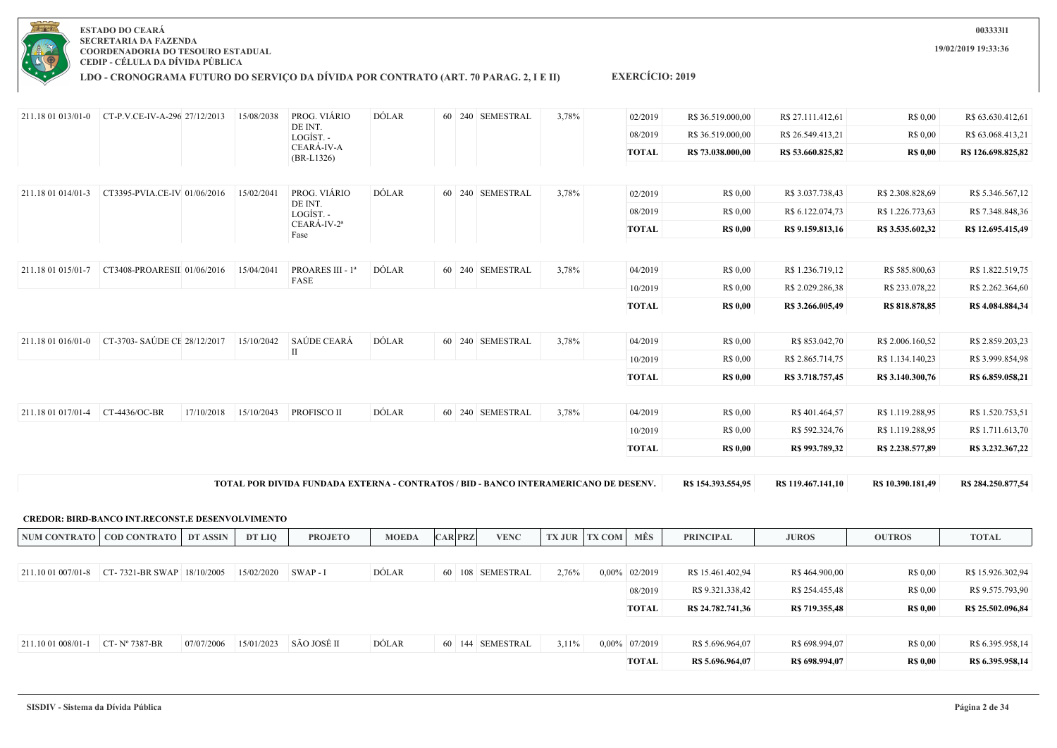

### **LDO - CRONOGRAMA FUTURO DO SERVIÇO DA DÍVIDA POR CONTRATO (ART. 70 PARAG. 2, I E II)**

### 211.18 01 013/01-0 CT-P.V.CE-IV-A-296 27/12/2013 15/08/2038 PROG. VIÁRIO DE INT. LOGÍST. - CEARÁ-IV-A (BR-L1326) DÓLAR 60 240 SEMESTRAL 3,78% 02/2019 R\$ 36.519.000,00 R\$ 27.111.412,61 R\$ 0,00 R\$ 63.630.412,61 08/2019 R\$ 36.519.000.00 R\$ 26.549.413.21 R\$ 0.00 R\$ 63.068.413.21 **TOTAL R\$ 73.038.000,00 R\$ 53.660.825,82 R\$ 0,00 R\$ 126.698.825,82** 211.18 01 014/01-3 CT3395-PVIA.CE-IV-01/06/2016 15/02/2041 PROG. VIÁRIO DE INT. LOGÍST. - CEARÁ-IV-2ª Fase DÓLAR 60 240 SEMESTRAL 3,78% 02/2019 R\$ 0,00 R\$ 3.037.738,43 R\$ 2.308.828,69 R\$ 5.346.567,12 08/2019 R\$ 0.00 R\$ 6.122.074.73 R\$ 1.226.773.63 R\$ 7.348.848.36 **TOTAL R\$ 0,00 R\$ 9.159.813,16 R\$ 3.535.602,32 R\$ 12.695.415,49** 211.18 01 015/01-7 CT3408-PROARESIII 01/06/2016 15/04/2041 PROARES III - 1ª FASE DÓLAR 60 240 SEMESTRAL 3,78% 04/2019 R\$ 0.00 R\$ 1.236.719.12 R\$ 585.800.63 R\$ 1.822.519.75 10/2019 R\$ 0,00 R\$ 2.029.286,38 R\$ 233.078,22 R\$ 2.262.364,60 **TOTAL R\$ 0,00 R\$ 3.266.005,49 R\$ 818.878,85 R\$ 4.084.884,34** 211.18 01 016/01-0 CT-3703- SAÚDE CE 28/12/2017 15/10/2042 SAÚDE CEARÁ II DÓLAR 60 240 SEMESTRAL 3.78% 04/2019 R\$ 0.00 R\$ 853.042,70 R\$ 2.006.160.52 R\$ 2.859.203,23 10/2019 R\$ 0,00 R\$ 2.865.714,75 R\$ 1.134.140,23 R\$ 3.999.854,98 **TOTAL R\$ 0,00 R\$ 3.718.757,45 R\$ 3.140.300,76 R\$ 6.859.058,21** 211.18 01 017/01-4 CT-4436/OC-BR 17/10/2018 15/10/2043 PROFISCO II DÓLAR 60 240 SEMESTRAL 3,78% 04/2019 R\$ 0,00 R\$ 401.464,57 R\$ 1.119.288,95 R\$ 1.520.753,51 10/2019 R\$ 0,00 R\$ 592.324,76 R\$ 1.119.288,95 R\$ 1.711.613,70

**EXERCÍCIO: 2019**

**TOTAL POR DIVIDA FUNDADA EXTERNA - CONTRATOS / BID - BANCO INTERAMERICANO DE DESENV. R\$ 154.393.554,95 R\$ 119.467.141,10 R\$ 10.390.181,49 R\$ 284.250.877,54**

**CREDOR: BIRD-BANCO INT.RECONST.E DESENVOLVIMENTO**

|                    | NUM CONTRATO   COD CONTRATO                   | DT ASSIN   | DT LIO     | <b>PROJETO</b> | <b>MOEDA</b> | <b>CAR PRZ</b> |                  | <b>VENC</b> |          | <b>TX JUR   TX COM  </b> | MÊS              | <b>PRINCIPAL</b>  | <b>JUROS</b>   | <b>OUTROS</b>   | <b>TOTAL</b>      |
|--------------------|-----------------------------------------------|------------|------------|----------------|--------------|----------------|------------------|-------------|----------|--------------------------|------------------|-------------------|----------------|-----------------|-------------------|
|                    |                                               |            |            |                |              |                |                  |             |          |                          |                  |                   |                |                 |                   |
|                    | 211.10 01 007/01-8 CT-7321-BR SWAP 18/10/2005 |            | 15/02/2020 | $SWAP - I$     | DÓLAR        |                | 60 108 SEMESTRAL |             | 2,76%    |                          | $0.00\%$ 02/2019 | R\$ 15.461.402,94 | R\$464.900,00  | R\$ 0,00        | R\$ 15.926.302,94 |
|                    |                                               |            |            |                |              |                |                  |             |          |                          | 08/2019          | R\$ 9.321.338,42  | R\$ 254.455,48 | R\$ 0,00        | R\$ 9.575.793,90  |
|                    |                                               |            |            |                |              |                |                  |             |          |                          | <b>TOTAL</b>     | R\$ 24.782.741.36 | R\$ 719.355,48 | <b>R\$ 0,00</b> | R\$ 25.502.096,84 |
|                    |                                               |            |            |                |              |                |                  |             |          |                          |                  |                   |                |                 |                   |
| 211.10 01 008/01-1 | CT- $N^{\circ}$ 7387-BR                       | 07/07/2006 | 15/01/2023 | SÃO JOSÉ II    | DÓLAR        |                | 60 144 SEMESTRAL |             | $3,11\%$ |                          | 0,00% 07/2019    | R\$ 5.696.964,07  | R\$ 698.994,07 | R\$ 0,00        | R\$ 6.395.958,14  |
|                    |                                               |            |            |                |              |                |                  |             |          |                          | <b>TOTAL</b>     | R\$ 5.696.964,07  | R\$ 698.994,07 | <b>R\$ 0,00</b> | R\$ 6.395.958,14  |

**19/02/2019 19:33:36**

**003333l1**

**TOTAL R\$ 0,00 R\$ 993.789,32 R\$ 2.238.577,89 R\$ 3.232.367,22**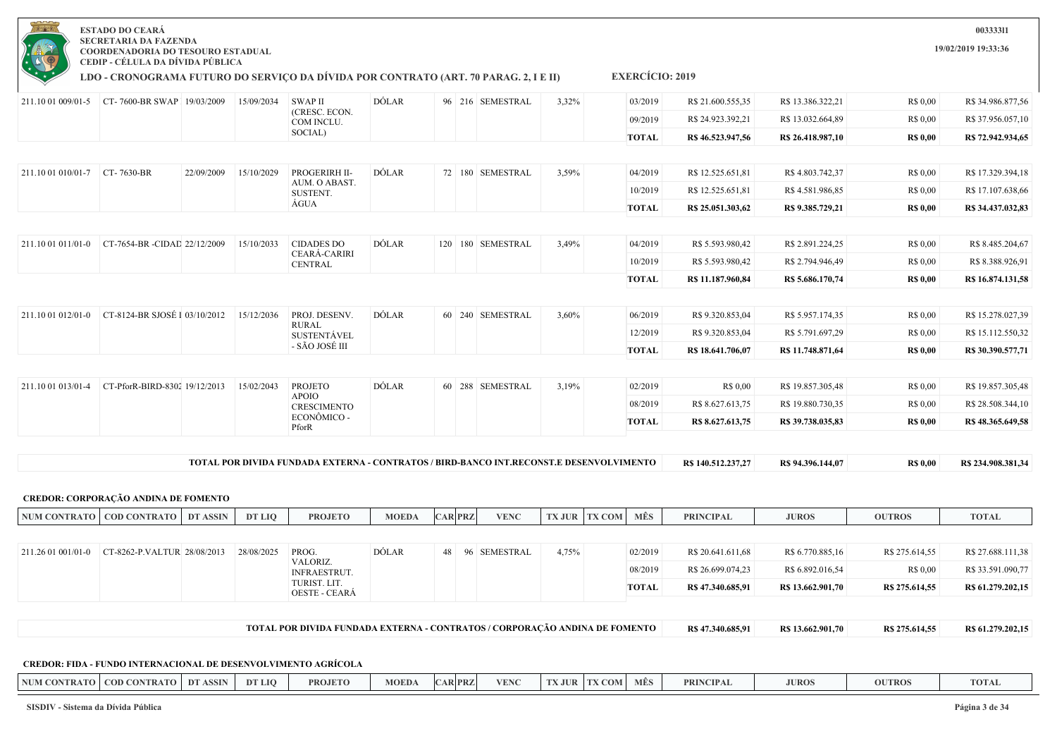

**LDO - CRONOGRAMA FUTURO DO SERVIÇO DA DÍVIDA POR CONTRATO (ART. 70 PARAG. 2, I E II)**

**EXERCÍCIO: 2019**

|                               |                                             |                 |            | <b>OESTE - CEARÁ</b>                  |              |                |                       |                                                                                         |                         |                                       |                                       |                            |                                        |
|-------------------------------|---------------------------------------------|-----------------|------------|---------------------------------------|--------------|----------------|-----------------------|-----------------------------------------------------------------------------------------|-------------------------|---------------------------------------|---------------------------------------|----------------------------|----------------------------------------|
|                               |                                             |                 |            | INFRAESTRUT.<br>TURIST. LIT.          |              |                |                       |                                                                                         | 08/2019<br><b>TOTAL</b> | R\$ 26.699.074,23<br>R\$47.340.685,91 | R\$ 6.892.016,54<br>R\$ 13.662.901,70 | R\$ 0,00<br>R\$ 275.614,55 | R\$ 33.591.090,77<br>R\$ 61.279.202,15 |
| 211.26 01 001/01-0            | CT-8262-P.VALTUR 28/08/2013                 |                 | 28/08/2025 | PROG.<br>VALORIZ.                     | <b>DÓLAR</b> | 48             | 96 SEMESTRAL          | 4,75%                                                                                   | 02/2019                 | R\$ 20.641.611,68                     | R\$ 6.770.885,16                      | R\$ 275.614,55             | R\$ 27.688.111,38                      |
|                               | NUM CONTRATO   COD CONTRATO                 | <b>DT ASSIN</b> | DT LIQ     | <b>PROJETO</b>                        | <b>MOEDA</b> | <b>CAR PRZ</b> | <b>VENC</b>           | <b>TX JUR</b><br><b>TX COM</b>                                                          | MÊS                     | <b>PRINCIPAL</b>                      | <b>JUROS</b>                          | <b>OUTROS</b>              | <b>TOTAL</b>                           |
|                               | <b>CREDOR: CORPORAÇÃO ANDINA DE FOMENTO</b> |                 |            |                                       |              |                |                       |                                                                                         |                         |                                       |                                       |                            |                                        |
|                               |                                             |                 |            |                                       |              |                |                       | TOTAL POR DIVIDA FUNDADA EXTERNA - CONTRATOS / BIRD-BANCO INT.RECONST.E DESENVOLVIMENTO |                         | R\$ 140.512.237,27                    | R\$ 94.396.144,07                     | <b>R\$ 0,00</b>            | R\$ 234.908.381,34                     |
|                               |                                             |                 |            | PforR                                 |              |                |                       |                                                                                         |                         |                                       |                                       |                            |                                        |
|                               |                                             |                 |            | <b>CRESCIMENTO</b><br>ECONÔMICO -     |              |                |                       |                                                                                         | <b>TOTAL</b>            | R\$ 8.627.613,75                      | R\$ 39.738.035,83                     | <b>R\$ 0,00</b>            | R\$48.365.649,58                       |
|                               |                                             |                 |            | <b>APOIO</b>                          |              |                |                       |                                                                                         | 08/2019                 | R\$ 8.627.613,75                      | R\$ 19.880.730,35                     | R\$ 0,00                   | R\$ 28.508.344,10                      |
| 211.10 01 013/01-4            | CT-PforR-BIRD-8302 19/12/2013               |                 | 15/02/2043 | <b>PROJETO</b>                        | <b>DÓLAR</b> |                | 60 288 SEMESTRAL      | 3,19%                                                                                   | 02/2019                 | R\$ 0,00                              | R\$ 19.857.305,48                     | R\$ 0,00                   | R\$ 19.857.305,48                      |
|                               |                                             |                 |            |                                       |              |                |                       |                                                                                         | <b>TOTAL</b>            | R\$ 18.641.706,07                     | R\$ 11.748.871,64                     | <b>R\$ 0,00</b>            | R\$ 30.390.577,71                      |
|                               |                                             |                 |            | <b>SUSTENTÁVEL</b><br>- SÃO JOSÉ III  |              |                |                       |                                                                                         | 12/2019                 | R\$ 9.320.853,04                      | R\$ 5.791.697,29                      | R\$ 0,00                   | R\$ 15.112.550,32                      |
| 211.10 01 012/01-0            | CT-8124-BR SJOSÉ I 03/10/2012               |                 | 15/12/2036 | PROJ. DESENV.<br><b>RURAL</b>         | DÓLAR        |                | 60 240 SEMESTRAL      | 3,60%                                                                                   | 06/2019                 | R\$ 9.320.853,04                      | R\$ 5.957.174,35                      | R\$ 0,00                   | R\$ 15.278.027,39                      |
|                               |                                             |                 |            |                                       |              |                |                       |                                                                                         |                         |                                       |                                       |                            |                                        |
|                               |                                             |                 |            |                                       |              |                |                       |                                                                                         | <b>TOTAL</b>            | R\$ 11.187.960,84                     | R\$ 5.686.170,74                      | <b>R\$ 0,00</b>            | R\$ 16.874.131,58                      |
|                               |                                             |                 |            | <b>CEARÁ-CARIRI</b><br><b>CENTRAL</b> |              |                |                       |                                                                                         | 10/2019                 | R\$ 5.593.980,42                      | R\$ 2.794.946,49                      | R\$ 0.00                   | R\$ 8.388.926,91                       |
| 211.10 01 011/01-0            | CT-7654-BR -CIDAD 22/12/2009                |                 | 15/10/2033 | <b>CIDADES DO</b>                     | <b>DÓLAR</b> |                | 120   180   SEMESTRAL | 3,49%                                                                                   | 04/2019                 | R\$ 5.593.980,42                      | R\$ 2.891.224,25                      | R\$ 0,00                   | R\$ 8.485.204,67                       |
|                               |                                             |                 |            |                                       |              |                |                       |                                                                                         | <b>TOTAL</b>            | R\$ 25.051.303,62                     | R\$ 9.385.729,21                      | <b>R\$ 0,00</b>            | R\$ 34.437.032,83                      |
|                               |                                             |                 |            | SUSTENT.<br>ÁGUA                      |              |                |                       |                                                                                         | 10/2019                 | R\$ 12.525.651,81                     | R\$4.581.986,85                       | R\$ 0,00                   | R\$ 17.107.638,66                      |
| 211.10 01 010/01-7 CT-7630-BR |                                             | 22/09/2009      | 15/10/2029 | PROGERIRH II-<br>AUM. O ABAST.        | DÓLAR        |                | 72 180 SEMESTRAL      | 3,59%                                                                                   | 04/2019                 | R\$ 12.525.651,81                     | R\$4.803.742,37                       | R\$ 0.00                   | R\$ 17.329.394,18                      |
|                               |                                             |                 |            |                                       |              |                |                       |                                                                                         |                         |                                       |                                       |                            |                                        |
|                               |                                             |                 |            | SOCIAL)                               |              |                |                       |                                                                                         | <b>TOTAL</b>            | R\$46.523.947,56                      | R\$ 26.418.987,10                     | <b>R\$ 0,00</b>            | R\$ 72.942.934,65                      |
|                               |                                             |                 |            | COM INCLU.                            |              |                |                       |                                                                                         | 09/2019                 | R\$ 24.923.392,21                     | R\$ 13.032.664,89                     | R\$ 0,00                   | R\$ 37.956.057,10                      |

**CREDOR: FIDA - FUNDO INTERNACIONAL DE DESENVOLVIMENTO AGRÍCOLA**

| NUM CONTRATO | <b>COD CONTRATO</b> | DT<br><b>ASSIN</b> | DT LIO | <b>PROJETO</b> | <b>MOED</b> | <b>CAR PRZ</b> | 7/TNCT<br>V EINN | <b>CONTRACT</b><br>THE<br>1 A J U IX | $\overline{COM}$ | <b>MES</b> | <b>PRINCIPAL</b> | <b>JUROS</b> | <b>OUTROS</b> | <b>TOTAL</b> |
|--------------|---------------------|--------------------|--------|----------------|-------------|----------------|------------------|--------------------------------------|------------------|------------|------------------|--------------|---------------|--------------|
|              |                     |                    |        |                |             |                |                  |                                      |                  |            |                  |              |               |              |

**SISDIV - Sistema da Dívida Pública Página 3 de 34**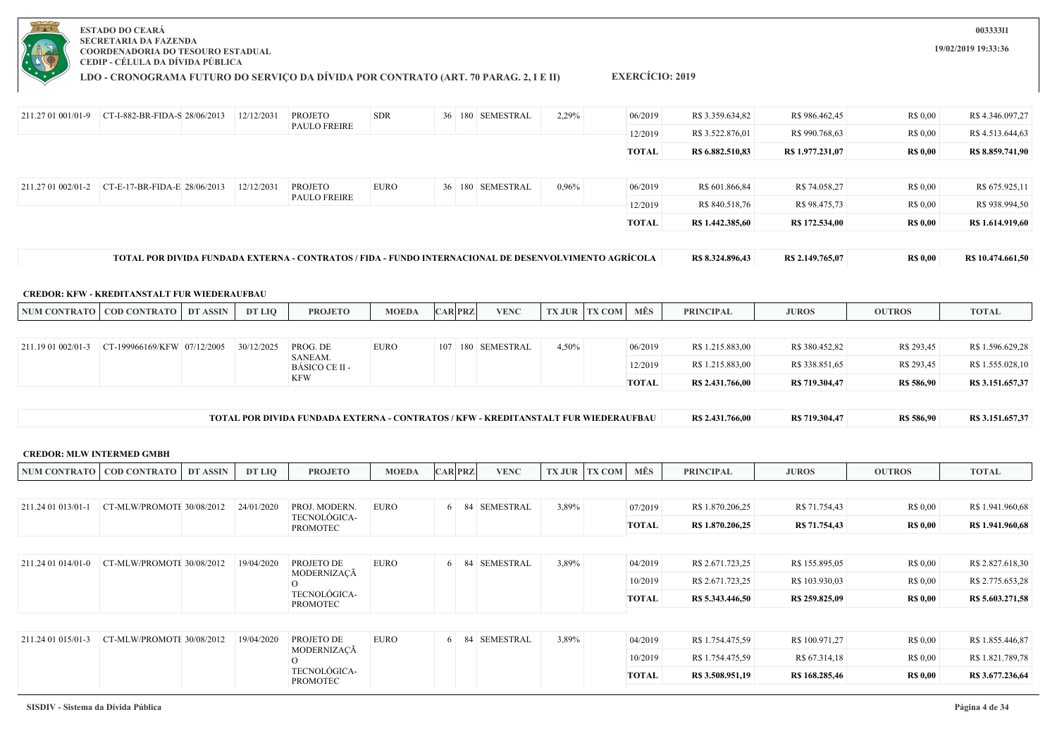

**LDO - CRONOGRAMA FUTURO DO SERVIÇO DA DÍVIDA POR CONTRATO (ART. 70 PARAG. 2, I E II)**

**EXERCÍCIO: 2019**

| 211.27 01 001/01-9 | $CT-I-882-BR-FIDA-S$ 28/06/2013                     |                 | 12/12/2031 | PROJETO                         | <b>SDR</b>   |                | 36 180 SEMESTRAL                                                                                      | 2,29% |                      | 06/2019      | R\$ 3.359.634,82 | R\$ 986.462,45   | R\$ 0,00        | R\$4.346.097,27   |
|--------------------|-----------------------------------------------------|-----------------|------------|---------------------------------|--------------|----------------|-------------------------------------------------------------------------------------------------------|-------|----------------------|--------------|------------------|------------------|-----------------|-------------------|
|                    |                                                     |                 |            | <b>PAULO FREIRE</b>             |              |                |                                                                                                       |       |                      | 12/2019      | R\$ 3.522.876,01 | R\$ 990.768,63   | R\$ 0,00        | R\$ 4.513.644,63  |
|                    |                                                     |                 |            |                                 |              |                |                                                                                                       |       |                      | <b>TOTAL</b> | R\$ 6.882.510,83 | R\$ 1.977.231,07 | <b>R\$ 0,00</b> | R\$ 8.859.741,90  |
|                    |                                                     |                 |            |                                 |              |                |                                                                                                       |       |                      |              |                  |                  |                 |                   |
| 211.27 01 002/01-2 | CT-E-17-BR-FIDA-E 28/06/2013                        |                 | 12/12/2031 | <b>PROJETO</b>                  | EURO         |                | 36 180 SEMESTRAL                                                                                      | 0,96% |                      | 06/2019      | R\$ 601.866,84   | R\$ 74.058,27    | R\$ 0,00        | R\$ 675.925,11    |
|                    |                                                     |                 |            | PAULO FREIRE                    |              |                |                                                                                                       |       |                      | 12/2019      | R\$ 840.518,76   | R\$ 98.475,73    | R\$ 0,00        | R\$ 938.994,50    |
|                    |                                                     |                 |            |                                 |              |                |                                                                                                       |       |                      | <b>TOTAL</b> | R\$ 1.442.385,60 | R\$ 172.534,00   | <b>R\$ 0,00</b> | R\$ 1.614.919,60  |
|                    |                                                     |                 |            |                                 |              |                | TOTAL POR DIVIDA FUNDADA EXTERNA - CONTRATOS / FIDA - FUNDO INTERNACIONAL DE DESENVOLVIMENTO AGRÍCOLA |       |                      |              | R\$ 8.324.896,43 | R\$ 2.149.765,07 | <b>R\$ 0,00</b> | R\$ 10.474.661,50 |
|                    |                                                     |                 |            |                                 |              |                |                                                                                                       |       |                      |              |                  |                  |                 |                   |
|                    | <b>CREDOR: KFW - KREDITANSTALT FUR WIEDERAUFBAU</b> |                 |            |                                 |              |                |                                                                                                       |       |                      |              |                  |                  |                 |                   |
|                    | NUM CONTRATO   COD CONTRATO                         | <b>DT ASSIN</b> | DT LIO     | <b>PROJETO</b>                  | <b>MOEDA</b> | <b>CAR PRZ</b> | <b>VENC</b>                                                                                           |       | <b>TX JUR TX COM</b> | MÊS          | <b>PRINCIPAL</b> | <b>JUROS</b>     | <b>OUTROS</b>   | <b>TOTAL</b>      |
|                    |                                                     |                 |            |                                 |              |                |                                                                                                       |       |                      |              |                  |                  |                 |                   |
| 211.19 01 002/01-3 | CT-199966169/KFW 07/12/2005                         |                 | 30/12/2025 | PROG. DE<br>SANEAM.             | <b>EURO</b>  |                | 107 180 SEMESTRAL                                                                                     | 4,50% |                      | 06/2019      | R\$ 1.215.883,00 | R\$ 380.452,82   | R\$ 293,45      | R\$ 1.596.629,28  |
|                    |                                                     |                 |            | BÁSICO CE II -<br><b>KFW</b>    |              |                |                                                                                                       |       |                      | 12/2019      | R\$ 1.215.883,00 | R\$ 338.851,65   | R\$ 293,45      | R\$ 1.555.028,10  |
|                    |                                                     |                 |            |                                 |              |                |                                                                                                       |       |                      | <b>TOTAL</b> | R\$ 2.431.766,00 | R\$ 719.304,47   | R\$ 586,90      | R\$ 3.151.657,37  |
|                    |                                                     |                 |            |                                 |              |                | TOTAL POR DIVIDA FUNDADA EXTERNA - CONTRATOS / KFW - KREDITANSTALT FUR WIEDERAUFBAU                   |       |                      |              | R\$ 2.431.766,00 | R\$ 719.304,47   | R\$ 586,90      | R\$ 3.151.657,37  |
|                    |                                                     |                 |            |                                 |              |                |                                                                                                       |       |                      |              |                  |                  |                 |                   |
|                    | <b>CREDOR: MLW INTERMED GMBH</b>                    |                 |            |                                 |              |                |                                                                                                       |       |                      |              |                  |                  |                 |                   |
|                    | NUM CONTRATO   COD CONTRATO                         | DT ASSIN        | DT LIO     | <b>PROJETO</b>                  | <b>MOEDA</b> | <b>CAR PRZ</b> | <b>VENC</b>                                                                                           |       | <b>TX JUR TX COM</b> | MÊS          | <b>PRINCIPAL</b> | <b>JUROS</b>     | <b>OUTROS</b>   | <b>TOTAL</b>      |
|                    |                                                     |                 |            |                                 |              |                |                                                                                                       |       |                      |              |                  |                  |                 |                   |
| 211.24 01 013/01-1 | CT-MLW/PROMOTE 30/08/2012                           |                 | 24/01/2020 | PROJ. MODERN.<br>TECNOLÓGICA-   | <b>EURO</b>  |                | 6 84 SEMESTRAL                                                                                        | 3,89% |                      | 07/2019      | R\$ 1.870.206,25 | R\$ 71.754,43    | R\$ 0,00        | R\$ 1.941.960,68  |
|                    |                                                     |                 |            | <b>PROMOTEC</b>                 |              |                |                                                                                                       |       |                      | <b>TOTAL</b> | R\$ 1.870.206,25 | R\$ 71.754,43    | <b>R\$ 0,00</b> | R\$ 1.941.960,68  |
|                    |                                                     |                 |            |                                 |              |                |                                                                                                       |       |                      |              |                  |                  |                 |                   |
| 211.24 01 014/01-0 | CT-MLW/PROMOTE 30/08/2012                           |                 | 19/04/2020 | PROJETO DE<br>MODERNIZAÇÃ       | <b>EURO</b>  |                | 6 84 SEMESTRAL                                                                                        | 3,89% |                      | 04/2019      | R\$ 2.671.723,25 | R\$ 155.895,05   | R\$ 0,00        | R\$ 2.827.618,30  |
|                    |                                                     |                 |            | $\Omega$                        |              |                |                                                                                                       |       |                      | 10/2019      | R\$ 2.671.723,25 | R\$ 103.930,03   | R\$ 0,00        | R\$ 2.775.653,28  |
|                    |                                                     |                 |            | TECNOLÓGICA-<br><b>PROMOTEC</b> |              |                |                                                                                                       |       |                      | <b>TOTAL</b> | R\$ 5.343.446,50 | R\$ 259.825,09   | <b>R\$ 0,00</b> | R\$ 5.603.271,58  |
|                    |                                                     |                 |            |                                 |              |                |                                                                                                       |       |                      |              |                  |                  |                 |                   |
| 211.24 01 015/01-3 | CT-MLW/PROMOTE 30/08/2012                           |                 | 19/04/2020 | PROJETO DE                      | <b>EURO</b>  |                | 6 84 SEMESTRAL                                                                                        | 3,89% |                      | 04/2019      | R\$ 1.754.475,59 | R\$ 100.971,27   | R\$ 0,00        | R\$ 1.855.446,87  |
|                    |                                                     |                 |            | MODERNIZAÇÃ<br>$\Omega$         |              |                |                                                                                                       |       |                      | 10/2019      | R\$ 1.754.475,59 | R\$ 67.314,18    | R\$ 0,00        | R\$ 1.821.789,78  |
|                    |                                                     |                 |            | TECNOLÓGICA-<br><b>PROMOTEC</b> |              |                |                                                                                                       |       |                      | <b>TOTAL</b> | R\$ 3.508.951,19 | R\$ 168.285,46   | <b>R\$ 0,00</b> | R\$ 3.677.236,64  |
|                    |                                                     |                 |            |                                 |              |                |                                                                                                       |       |                      |              |                  |                  |                 |                   |

**003333l1**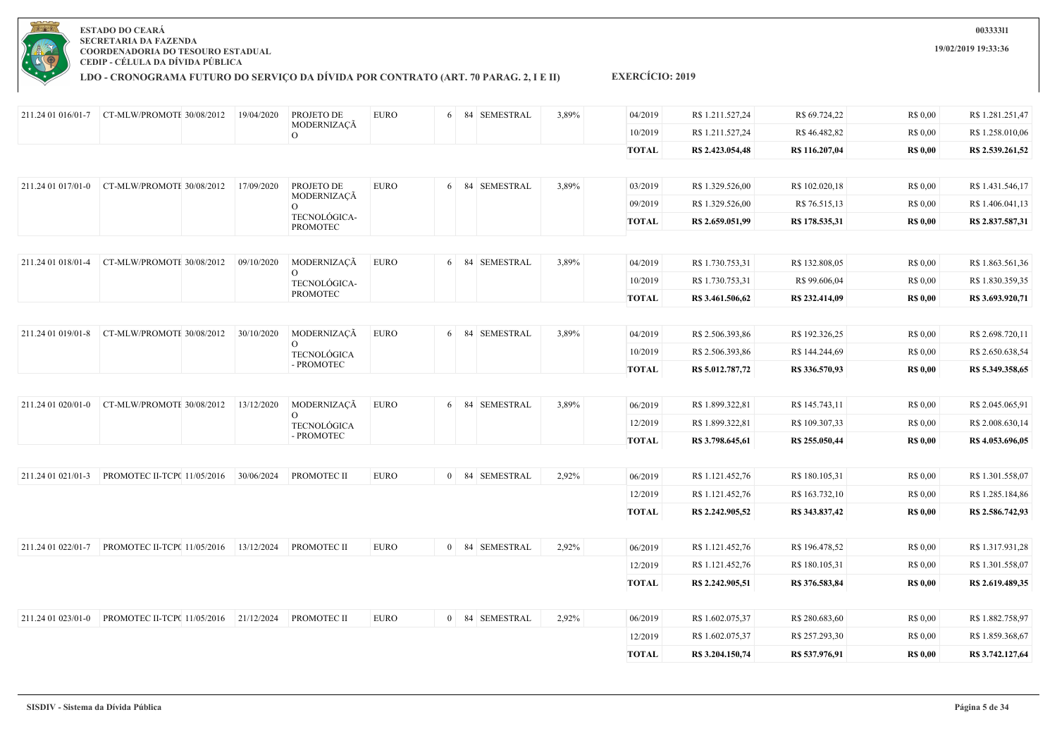

**LDO - CRONOGRAMA FUTURO DO SERVIÇO DA DÍVIDA POR CONTRATO (ART. 70 PARAG. 2, I E II)**

| 211.24 01 016/01-7 | CT-MLW/PROMOTE 30/08/2012              | 19/04/2020 | PROJETO DE                      | <b>EURO</b> | 6 | 84 SEMESTRAL   | 3,89% | 04/2019      | R\$ 1.211.527,24 | R\$ 69.724,22  | R\$ 0,00        | R\$1.281.251,47  |
|--------------------|----------------------------------------|------------|---------------------------------|-------------|---|----------------|-------|--------------|------------------|----------------|-----------------|------------------|
|                    |                                        |            | MODERNIZAÇÃ<br>$\Omega$         |             |   |                |       | 10/2019      | R\$ 1.211.527,24 | R\$46.482,82   | R\$ 0,00        | R\$ 1.258.010,06 |
|                    |                                        |            |                                 |             |   |                |       | <b>TOTAL</b> | R\$ 2.423.054,48 | R\$ 116.207,04 | <b>R\$ 0,00</b> | R\$ 2.539.261,52 |
|                    |                                        |            |                                 |             |   |                |       |              |                  |                |                 |                  |
| 211.24 01 017/01-0 | CT-MLW/PROMOTE 30/08/2012              | 17/09/2020 | PROJETO DE<br>MODERNIZAÇÃ       | <b>EURO</b> |   | 6 84 SEMESTRAL | 3,89% | 03/2019      | R\$ 1.329.526,00 | R\$ 102.020,18 | R\$ 0,00        | R\$ 1.431.546,17 |
|                    |                                        |            | $\Omega$                        |             |   |                |       | 09/2019      | R\$ 1.329.526,00 | R\$ 76.515,13  | R\$ 0,00        | R\$ 1.406.041,13 |
|                    |                                        |            | TECNOLÓGICA-<br><b>PROMOTEC</b> |             |   |                |       | <b>TOTAL</b> | R\$ 2.659.051,99 | R\$ 178.535,31 | <b>R\$ 0,00</b> | R\$ 2.837.587,31 |
|                    |                                        |            |                                 |             |   |                |       |              |                  |                |                 |                  |
| 211.24 01 018/01-4 | CT-MLW/PROMOTE 30/08/2012              | 09/10/2020 | MODERNIZAÇÃ                     | <b>EURO</b> |   | 6 84 SEMESTRAL | 3,89% | 04/2019      | R\$ 1.730.753,31 | R\$ 132.808,05 | R\$ 0,00        | R\$ 1.863.561,36 |
|                    |                                        |            | $\circ$<br>TECNOLÓGICA-         |             |   |                |       | 10/2019      | R\$ 1.730.753,31 | R\$ 99.606,04  | R\$ 0,00        | R\$ 1.830.359,35 |
|                    |                                        |            | <b>PROMOTEC</b>                 |             |   |                |       | <b>TOTAL</b> | R\$ 3.461.506,62 | R\$ 232.414,09 | <b>R\$ 0,00</b> | R\$ 3.693.920,71 |
|                    |                                        |            |                                 |             |   |                |       |              |                  |                |                 |                  |
| 211.24 01 019/01-8 | CT-MLW/PROMOTE 30/08/2012              | 30/10/2020 | MODERNIZAÇÃ<br>0                | <b>EURO</b> |   | 6 84 SEMESTRAL | 3,89% | 04/2019      | R\$ 2.506.393,86 | R\$ 192.326,25 | R\$ 0,00        | R\$ 2.698.720,11 |
|                    |                                        |            | <b>TECNOLÓGICA</b>              |             |   |                |       | 10/2019      | R\$ 2.506.393,86 | R\$ 144.244,69 | R\$ 0,00        | R\$ 2.650.638,54 |
|                    |                                        |            | - PROMOTEC                      |             |   |                |       | <b>TOTAL</b> | R\$ 5.012.787,72 | R\$ 336.570,93 | <b>R\$ 0,00</b> | R\$ 5.349.358,65 |
|                    |                                        |            |                                 |             |   |                |       |              |                  |                |                 |                  |
| 211.24 01 020/01-0 | CT-MLW/PROMOTE 30/08/2012              | 13/12/2020 | MODERNIZAÇÃ<br>$\overline{O}$   | <b>EURO</b> |   | 6 84 SEMESTRAL | 3,89% | 06/2019      | R\$ 1.899.322,81 | R\$ 145.743,11 | R\$ 0,00        | R\$ 2.045.065,91 |
|                    |                                        |            | <b>TECNOLÓGICA</b>              |             |   |                |       | 12/2019      | R\$ 1.899.322,81 | R\$ 109.307,33 | R\$ 0,00        | R\$ 2.008.630,14 |
|                    |                                        |            | - PROMOTEC                      |             |   |                |       | <b>TOTAL</b> | R\$ 3.798.645,61 | R\$ 255.050,44 | <b>R\$ 0,00</b> | R\$ 4.053.696,05 |
|                    |                                        |            |                                 |             |   |                |       |              |                  |                |                 |                  |
| 211.24 01 021/01-3 | PROMOTEC II-TCP( 11/05/2016            | 30/06/2024 | PROMOTEC II                     | <b>EURO</b> |   | 0 84 SEMESTRAL | 2,92% | 06/2019      | R\$ 1.121.452,76 | R\$ 180.105,31 | R\$ 0,00        | R\$ 1.301.558,07 |
|                    |                                        |            |                                 |             |   |                |       | 12/2019      | R\$ 1.121.452,76 | R\$ 163.732,10 | R\$ 0,00        | R\$ 1.285.184,86 |
|                    |                                        |            |                                 |             |   |                |       | <b>TOTAL</b> | R\$ 2.242.905,52 | R\$ 343.837,42 | <b>R\$ 0,00</b> | R\$ 2.586.742,93 |
|                    |                                        |            |                                 |             |   |                |       |              |                  |                |                 |                  |
|                    |                                        |            | PROMOTEC II                     | <b>EURO</b> |   | 0 84 SEMESTRAL | 2,92% | 06/2019      | R\$ 1.121.452,76 | R\$ 196.478,52 | R\$ 0,00        | R\$ 1.317.931,28 |
|                    |                                        |            |                                 |             |   |                |       | 12/2019      | R\$ 1.121.452,76 | R\$ 180.105,31 | R\$ 0,00        | R\$ 1.301.558,07 |
|                    |                                        |            |                                 |             |   |                |       | <b>TOTAL</b> | R\$ 2.242.905,51 | R\$ 376.583,84 | <b>R\$ 0,00</b> | R\$ 2.619.489,35 |
|                    |                                        |            |                                 |             |   |                |       |              |                  |                |                 |                  |
| 211.24 01 023/01-0 | PROMOTEC II-TCP( 11/05/2016 21/12/2024 |            | PROMOTEC II                     | <b>EURO</b> |   | 0 84 SEMESTRAL | 2,92% | 06/2019      | R\$ 1.602.075,37 | R\$ 280.683,60 | R\$ 0,00        | R\$ 1.882.758,97 |
|                    |                                        |            |                                 |             |   |                |       | 12/2019      | R\$ 1.602.075,37 | R\$ 257.293,30 | R\$ 0,00        | R\$ 1.859.368,67 |
|                    |                                        |            |                                 |             |   |                |       | <b>TOTAL</b> | R\$ 3.204.150,74 | R\$ 537.976,91 | <b>R\$ 0,00</b> | R\$ 3.742.127,64 |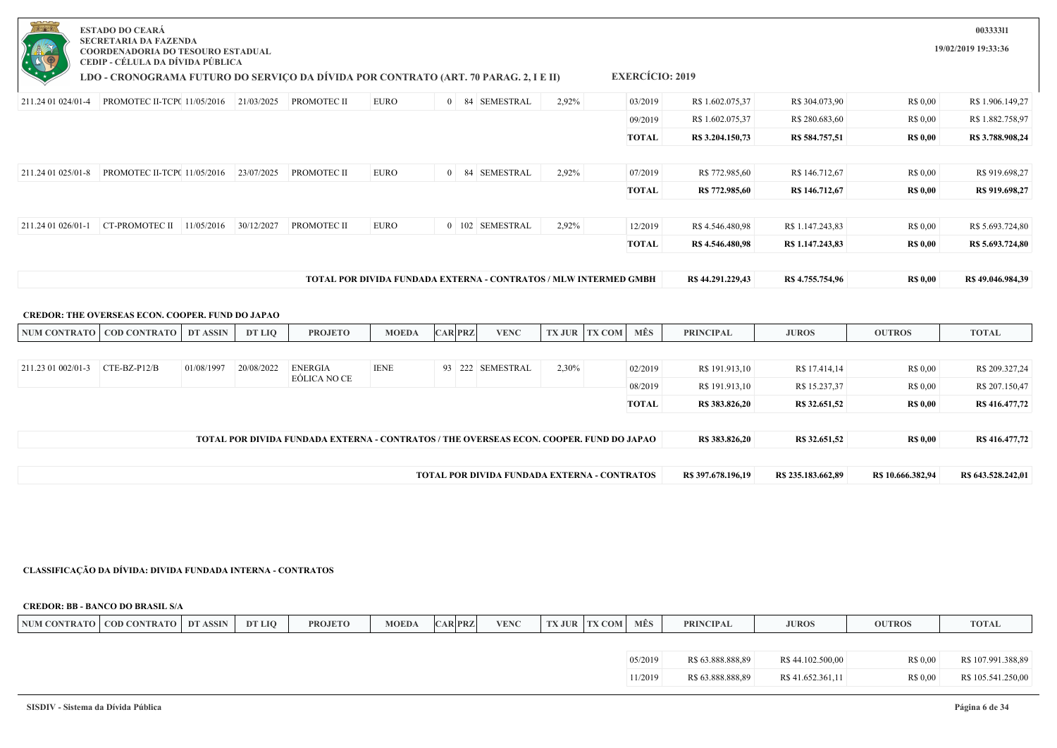| <b>PLANA</b><br>$-0 + 0 = 0$ | <b>ESTADO DO CEARÁ</b><br><b>SECRETARIA DA FAZENDA</b><br>COORDENADORIA DO TESOURO ESTADUAL                              |                 |            |                                                                                         |              |                |                  |       |                                                                  |                    |                    |                   | 00333311<br>19/02/2019 19:33:36 |
|------------------------------|--------------------------------------------------------------------------------------------------------------------------|-----------------|------------|-----------------------------------------------------------------------------------------|--------------|----------------|------------------|-------|------------------------------------------------------------------|--------------------|--------------------|-------------------|---------------------------------|
|                              | CEDIP - CÉLULA DA DÍVIDA PÚBLICA<br>LDO - CRONOGRAMA FUTURO DO SERVIÇO DA DÍVIDA POR CONTRATO (ART. 70 PARAG. 2, I E II) |                 |            |                                                                                         |              |                |                  |       | <b>EXERCÍCIO: 2019</b>                                           |                    |                    |                   |                                 |
| 211.24 01 024/01-4           | PROMOTEC II-TCP( 11/05/2016   21/03/2025   PROMOTEC II                                                                   |                 |            |                                                                                         | <b>EURO</b>  |                | 0 84 SEMESTRAL   | 2,92% | 03/2019                                                          | R\$ 1.602.075,37   | R\$ 304.073,90     | R\$ 0,00          | R\$ 1.906.149,27                |
|                              |                                                                                                                          |                 |            |                                                                                         |              |                |                  |       | 09/2019                                                          | R\$ 1.602.075,37   | R\$ 280.683,60     | R\$ 0,00          | R\$ 1.882.758,97                |
|                              |                                                                                                                          |                 |            |                                                                                         |              |                |                  |       | TOTAL                                                            | R\$ 3.204.150,73   | R\$ 584.757,51     | <b>R\$ 0,00</b>   | R\$ 3.788.908,24                |
|                              |                                                                                                                          |                 |            |                                                                                         |              |                |                  |       |                                                                  |                    |                    |                   |                                 |
| 211.24 01 025/01-8           | PROMOTEC II-TCP( 11/05/2016                                                                                              |                 | 23/07/2025 | PROMOTEC II                                                                             | <b>EURO</b>  |                | 0 84 SEMESTRAL   | 2,92% | 07/2019                                                          | R\$ 772.985,60     | R\$ 146.712,67     | R\$ 0,00          | R\$ 919.698,27                  |
|                              |                                                                                                                          |                 |            |                                                                                         |              |                |                  |       | <b>TOTAL</b>                                                     | R\$ 772.985.60     | R\$ 146,712,67     | <b>R\$ 0,00</b>   | R\$ 919.698.27                  |
|                              |                                                                                                                          |                 |            |                                                                                         |              |                |                  |       |                                                                  |                    |                    |                   |                                 |
| 211.24 01 026/01-1           | CT-PROMOTEC II $11/05/2016$                                                                                              |                 | 30/12/2027 | <b>PROMOTEC II</b>                                                                      | EURO         |                | 0 102 SEMESTRAL  | 2,92% | 12/2019                                                          | R\$4.546.480,98    | R\$ 1.147.243,83   | <b>R\$ 0.00</b>   | R\$ 5.693.724,80                |
|                              |                                                                                                                          |                 |            |                                                                                         |              |                |                  |       | <b>TOTAL</b>                                                     | R\$ 4.546.480,98   | R\$ 1.147.243,83   | <b>R\$ 0,00</b>   | R\$ 5.693.724,80                |
|                              |                                                                                                                          |                 |            |                                                                                         |              |                |                  |       |                                                                  |                    |                    |                   |                                 |
|                              |                                                                                                                          |                 |            |                                                                                         |              |                |                  |       | TOTAL POR DIVIDA FUNDADA EXTERNA - CONTRATOS / MLW INTERMED GMBH | R\$44.291.229,43   | R\$ 4.755.754,96   | <b>R\$ 0,00</b>   | R\$49.046.984,39                |
|                              |                                                                                                                          |                 |            |                                                                                         |              |                |                  |       |                                                                  |                    |                    |                   |                                 |
|                              | <b>CREDOR: THE OVERSEAS ECON. COOPER. FUND DO JAPAO</b>                                                                  |                 |            |                                                                                         |              |                |                  |       |                                                                  |                    |                    |                   |                                 |
|                              | NUM CONTRATO   COD CONTRATO                                                                                              | <b>DT ASSIN</b> | DT LIO     | <b>PROJETO</b>                                                                          | <b>MOEDA</b> | <b>CAR PRZ</b> | <b>VENC</b>      |       | MÊS<br><b>TX JUR TX COM</b>                                      | <b>PRINCIPAL</b>   | <b>JUROS</b>       | <b>OUTROS</b>     | <b>TOTAL</b>                    |
|                              |                                                                                                                          |                 |            |                                                                                         |              |                |                  |       |                                                                  |                    |                    |                   |                                 |
| 211.23 01 002/01-3           | CTE-BZ-P12/B                                                                                                             | 01/08/1997      | 20/08/2022 | <b>ENERGIA</b><br>EÓLICA NO CE                                                          | <b>IENE</b>  |                | 93 222 SEMESTRAL | 2,30% | 02/2019                                                          | R\$ 191.913,10     | R\$ 17.414,14      | R\$ 0,00          | R\$ 209.327,24                  |
|                              |                                                                                                                          |                 |            |                                                                                         |              |                |                  |       | 08/2019                                                          | R\$ 191.913,10     | R\$ 15.237,37      | R\$ 0,00          | R\$ 207.150,47                  |
|                              |                                                                                                                          |                 |            |                                                                                         |              |                |                  |       | <b>TOTAL</b>                                                     | R\$ 383.826,20     | R\$ 32.651,52      | <b>R\$ 0,00</b>   | R\$416.477,72                   |
|                              |                                                                                                                          |                 |            |                                                                                         |              |                |                  |       |                                                                  |                    |                    |                   |                                 |
|                              |                                                                                                                          |                 |            | TOTAL POR DIVIDA FUNDADA EXTERNA - CONTRATOS / THE OVERSEAS ECON. COOPER. FUND DO JAPAO |              |                |                  |       |                                                                  | R\$ 383,826,20     | R\$ 32.651.52      | <b>R\$ 0,00</b>   | R\$ 416,477,72                  |
|                              |                                                                                                                          |                 |            |                                                                                         |              |                |                  |       |                                                                  |                    |                    |                   |                                 |
|                              |                                                                                                                          |                 |            |                                                                                         |              |                |                  |       | TOTAL POR DIVIDA FUNDADA EXTERNA - CONTRATOS                     | R\$ 397.678.196,19 | R\$ 235.183.662,89 | R\$ 10.666.382,94 | R\$ 643.528.242,01              |
|                              |                                                                                                                          |                 |            |                                                                                         |              |                |                  |       |                                                                  |                    |                    |                   |                                 |

## **CLASSIFICAÇÃO DA DÍVIDA: DIVIDA FUNDADA INTERNA - CONTRATOS**

| NUM CONTRATO   COD CONTRATO   DT ASSIN | DT LIO | <b>PROJETO</b> | <b>MOEDA</b> | <b>CAR PRZ</b> | <b>VENC</b> | <b>TX JUR TX COM</b> | MÊS     | <b>PRINCIPAL</b>  | <b>JUROS</b>     | <b>OUTROS</b> | <b>TOTAL</b>       |
|----------------------------------------|--------|----------------|--------------|----------------|-------------|----------------------|---------|-------------------|------------------|---------------|--------------------|
|                                        |        |                |              |                |             |                      |         |                   |                  |               |                    |
|                                        |        |                |              |                |             |                      | 05/2019 | R\$ 63.888.888,89 | R\$44.102.500,00 | R\$ 0.00      | R\$ 107.991.388,89 |
|                                        |        |                |              |                |             |                      | 11/2019 | R\$ 63.888.888,89 | R\$41.652.361,11 | R\$ 0.00      | R\$ 105.541.250,00 |

**CREDOR: BB - BANCO DO BRASIL S/A**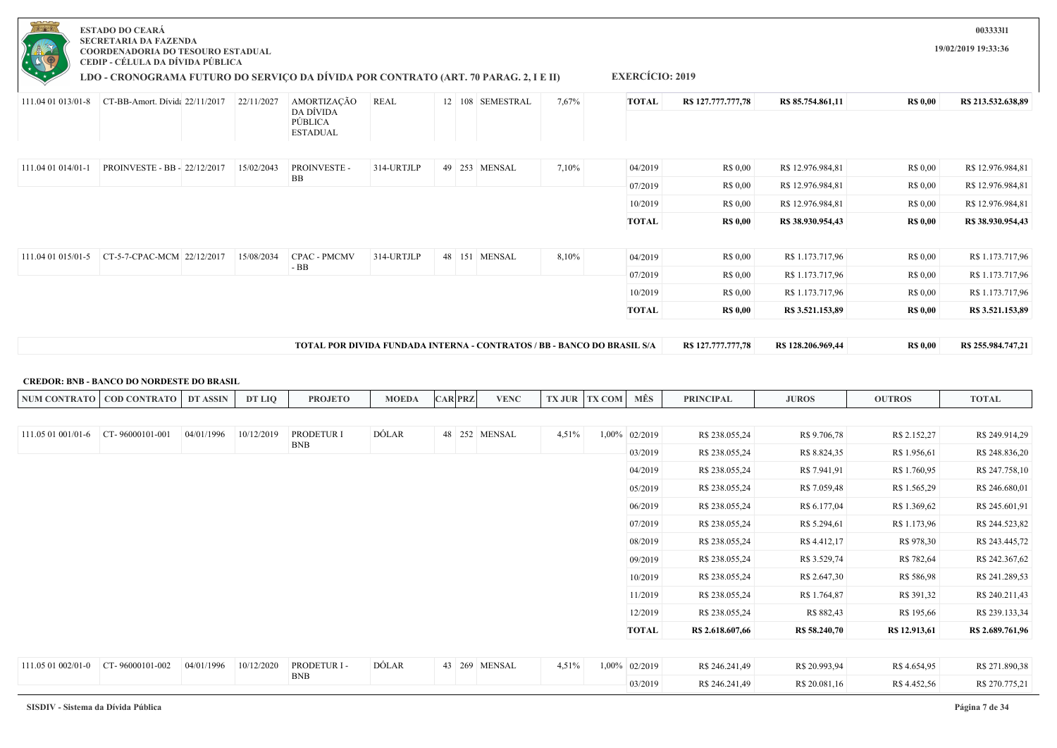| $-0 - 0$           | <b>ESTADO DO CEARÁ</b><br><b>SECRETARIA DA FAZENDA</b><br>COORDENADORIA DO TESOURO ESTADUAL<br>CEDIP - CÉLULA DA DÍVIDA PÚBLICA |            |                                                                                |             |  |                  |       |                        |                    |                    |                 | 00333311<br>19/02/2019 19:33:36 |
|--------------------|---------------------------------------------------------------------------------------------------------------------------------|------------|--------------------------------------------------------------------------------|-------------|--|------------------|-------|------------------------|--------------------|--------------------|-----------------|---------------------------------|
|                    | LDO - CRONOGRAMA FUTURO DO SERVIÇO DA DÍVIDA POR CONTRATO (ART. 70 PARAG. 2, I E II)                                            |            |                                                                                |             |  |                  |       | <b>EXERCÍCIO: 2019</b> |                    |                    |                 |                                 |
| 111.04 01 013/01-8 | CT-BB-Amort. Dívida 22/11/2017                                                                                                  | 22/11/2027 | AMORTIZAÇÃO<br>DA DÍVIDA<br>PÚBLICA<br><b>ESTADUAL</b>                         | <b>REAL</b> |  | 12 108 SEMESTRAL | 7,67% | <b>TOTAL</b>           | R\$ 127.777.777,78 | R\$ 85.754.861,11  | <b>R\$ 0,00</b> | R\$ 213.532.638,89              |
| 111.04 01 014/01-1 | PROINVESTE - BB - 22/12/2017                                                                                                    | 15/02/2043 | PROINVESTE -<br>BB                                                             | 314-URTJLP  |  | 49 253 MENSAL    | 7,10% | 04/2019                | R\$ 0,00           | R\$ 12.976.984,81  | R\$ 0.00        | R\$ 12.976.984,81               |
|                    |                                                                                                                                 |            |                                                                                |             |  |                  |       | 07/2019                | R\$ 0,00           | R\$ 12.976.984,81  | R\$ 0,00        | R\$ 12.976.984,81               |
|                    |                                                                                                                                 |            |                                                                                |             |  |                  |       | 10/2019                | R\$ 0,00           | R\$ 12.976.984,81  | R\$ 0,00        | R\$ 12.976.984,81               |
|                    |                                                                                                                                 |            |                                                                                |             |  |                  |       | <b>TOTAL</b>           | <b>R\$ 0.00</b>    | R\$ 38.930.954,43  | <b>R\$ 0,00</b> | R\$ 38.930.954,43               |
|                    |                                                                                                                                 |            |                                                                                |             |  |                  |       |                        |                    |                    |                 |                                 |
| 111.04 01 015/01-5 | CT-5-7-CPAC-MCM 22/12/2017                                                                                                      | 15/08/2034 | <b>CPAC - PMCMV</b><br>$-BB$                                                   | 314-URTJLP  |  | 48 151 MENSAL    | 8,10% | 04/2019                | R\$ 0,00           | R\$ 1.173.717,96   | R\$ 0,00        | R\$ 1.173.717,96                |
|                    |                                                                                                                                 |            |                                                                                |             |  |                  |       | 07/2019                | R\$ 0,00           | R\$ 1.173.717,96   | R\$ 0,00        | R\$ 1.173.717,96                |
|                    |                                                                                                                                 |            |                                                                                |             |  |                  |       | 10/2019                | R\$ 0.00           | R\$ 1.173.717,96   | R\$ 0.00        | R\$ 1.173.717,96                |
|                    |                                                                                                                                 |            |                                                                                |             |  |                  |       | <b>TOTAL</b>           | <b>RS 0.00</b>     | R\$ 3.521.153,89   | <b>R\$ 0,00</b> | R\$ 3.521.153,89                |
|                    |                                                                                                                                 |            | <b>TOTAL POR DIVIDA FUNDADA INTERNA - CONTRATOS / BB - BANCO DO BRASIL S/A</b> |             |  |                  |       |                        | R\$127,777,777,78  | R\$ 128.206.969,44 | <b>R\$ 0,00</b> | R\$ 255.984.747,21              |
|                    | <b>CREDOR: BNB - BANCO DO NORDESTE DO BRASIL</b>                                                                                |            |                                                                                |             |  |                  |       |                        |                    |                    |                 |                                 |

| NUM CONTRA<br>$\cdot$ RATO $\sim$ | <b>CONTRATO</b><br>$\mathbb{C}$ OD C | <b>ASSIN</b> | DT LIO | <b>PROJETO</b> | <b>MOEDA</b> | <b>AR PRZ</b> | VENC<br><b>TALL</b> | <b>TITD</b> | <b>COM</b> | MÊS | <b>PRINCIPAL</b> | <b>JUROS</b> | <b>OUTROS</b> | <b>TOTAL</b> |
|-----------------------------------|--------------------------------------|--------------|--------|----------------|--------------|---------------|---------------------|-------------|------------|-----|------------------|--------------|---------------|--------------|
|                                   |                                      |              |        |                |              |               |                     |             |            |     |                  |              |               |              |

| 111.05 01 001/01-6 | CT-96000101-001 | 04/01/1996 | 10/12/2019 | PRODETUR I  | DÓLAR | 48 252 | <b>MENSAL</b> | 4,51% | $1,00\%$ | 02/2019      | R\$ 238.055,24   | R\$ 9.706,78  | R\$ 2.152,27  | R\$ 249.914,29   |
|--------------------|-----------------|------------|------------|-------------|-------|--------|---------------|-------|----------|--------------|------------------|---------------|---------------|------------------|
|                    |                 |            |            | <b>BNB</b>  |       |        |               |       |          | 03/2019      | R\$ 238.055,24   | R\$ 8.824,35  | R\$ 1.956,61  | R\$ 248.836,20   |
|                    |                 |            |            |             |       |        |               |       |          | 04/2019      | R\$ 238.055,24   | R\$ 7.941,91  | R\$ 1.760,95  | R\$ 247.758,10   |
|                    |                 |            |            |             |       |        |               |       |          | 05/2019      | R\$ 238.055,24   | R\$ 7.059,48  | R\$ 1.565,29  | R\$ 246.680,01   |
|                    |                 |            |            |             |       |        |               |       |          | 06/2019      | R\$ 238.055,24   | R\$ 6.177,04  | R\$ 1.369,62  | R\$ 245.601,91   |
|                    |                 |            |            |             |       |        |               |       |          | 07/2019      | R\$ 238.055,24   | R\$ 5.294,61  | R\$ 1.173,96  | R\$ 244.523,82   |
|                    |                 |            |            |             |       |        |               |       |          | 08/2019      | R\$ 238.055,24   | R\$ 4.412,17  | R\$ 978,30    | R\$ 243.445,72   |
|                    |                 |            |            |             |       |        |               |       |          | 09/2019      | R\$ 238.055,24   | R\$ 3.529,74  | R\$ 782,64    | R\$ 242.367,62   |
|                    |                 |            |            |             |       |        |               |       |          | 10/2019      | R\$ 238.055,24   | R\$ 2.647,30  | R\$ 586,98    | R\$ 241.289,53   |
|                    |                 |            |            |             |       |        |               |       |          | 11/2019      | R\$ 238.055,24   | R\$ 1.764,87  | R\$ 391,32    | R\$ 240.211,43   |
|                    |                 |            |            |             |       |        |               |       |          | 12/2019      | R\$ 238.055,24   | R\$ 882,43    | R\$ 195,66    | R\$ 239.133,34   |
|                    |                 |            |            |             |       |        |               |       |          | <b>TOTAL</b> | R\$ 2.618.607,66 | R\$ 58.240,70 | R\$ 12.913,61 | R\$ 2.689.761,96 |
|                    |                 |            |            |             |       |        |               |       |          |              |                  |               |               |                  |
| 111.05 01 002/01-0 | CT-96000101-002 | 04/01/1996 | 10/12/2020 | PRODETUR I- | DÓLAR |        | 43 269 MENSAL | 4,51% | $1,00\%$ | 02/2019      | R\$ 246.241,49   | R\$ 20.993,94 | R\$ 4.654,95  | R\$ 271.890,38   |
|                    |                 |            |            | <b>BNB</b>  |       |        |               |       |          | 03/2019      | R\$ 246.241,49   | R\$ 20.081,16 | R\$ 4.452,56  | R\$ 270.775,21   |
|                    |                 |            |            |             |       |        |               |       |          |              |                  |               |               |                  |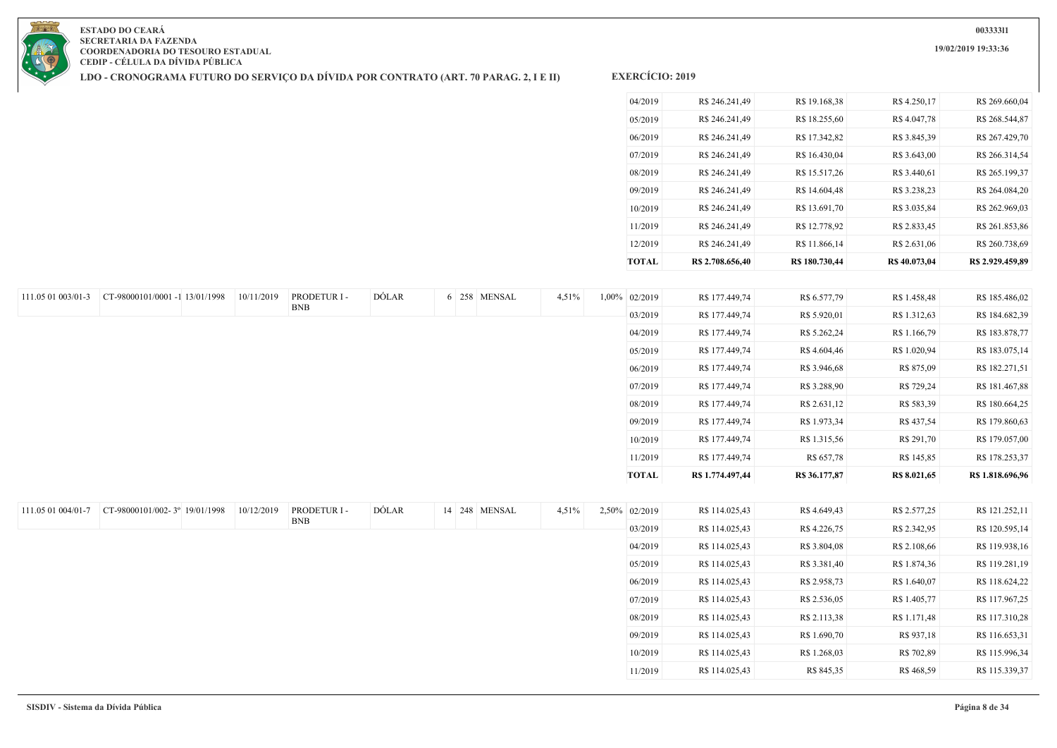**19/02/2019 19:33:36**



**ESTADO DO CEARÁ SECRETARIA DA FAZENDA COORDENADORIA DO TESOURO ESTADUAL CEDIP - CÉLULA DA DÍVIDA PÚBLICA**

**LDO - CRONOGRAMA FUTURO DO SERVIÇO DA DÍVIDA POR CONTRATO (ART. 70 PARAG. 2, I E II)**

| <b>TOTAL</b> | R\$ 2.708.656.40 | R\$ 180.730,44 | R\$ 40.073,04 | R\$ 2.929.459.89 |
|--------------|------------------|----------------|---------------|------------------|
| 12/2019      | R\$ 246.241,49   | R\$ 11.866,14  | R\$ 2.631,06  | R\$ 260.738,69   |
| 11/2019      | R\$ 246.241.49   | R\$ 12.778,92  | R\$ 2.833,45  | R\$ 261.853,86   |
| 10/2019      | R\$ 246.241,49   | R\$ 13.691,70  | R\$ 3.035,84  | R\$ 262.969,03   |
| 09/2019      | R\$ 246.241,49   | R\$ 14.604.48  | R\$ 3.238,23  | R\$ 264,084.20   |
| 08/2019      | R\$ 246.241.49   | R\$ 15.517,26  | R\$ 3.440.61  | R\$ 265.199,37   |
| 07/2019      | R\$ 246.241.49   | R\$ 16.430,04  | R\$ 3.643,00  | R\$ 266.314,54   |
| 06/2019      | R\$ 246.241,49   | R\$ 17.342,82  | R\$ 3.845,39  | R\$ 267.429,70   |
| 05/2019      | R\$ 246.241,49   | R\$ 18.255,60  | R\$ 4.047,78  | R\$ 268.544,87   |
| 04/2019      | R\$ 246.241.49   | R\$ 19.168,38  | R\$4.250,17   | R\$ 269,660.04   |
|              |                  |                |               |                  |

| 111.05 01 003/01-3 | CT-98000101/0001 -1 13/01/1998 | 10/11/2019 | PRODETUR I - | DÓLAR |  | 6 258 MENSAL | 4,51% | 1,00% 02/2019 | R\$ 177.449,74   | R\$ 6.577,79  | R\$ 1.458,48 | R\$ 185.486,02   |
|--------------------|--------------------------------|------------|--------------|-------|--|--------------|-------|---------------|------------------|---------------|--------------|------------------|
|                    |                                |            | <b>BNB</b>   |       |  |              |       | 03/2019       | R\$ 177.449,74   | R\$ 5.920,01  | R\$ 1.312,63 | R\$ 184.682,39   |
|                    |                                |            |              |       |  |              |       | 04/2019       | R\$ 177.449,74   | R\$ 5.262,24  | R\$ 1.166,79 | R\$ 183.878,77   |
|                    |                                |            |              |       |  |              |       | 05/2019       | R\$ 177.449,74   | R\$ 4.604,46  | R\$ 1.020,94 | R\$ 183.075,14   |
|                    |                                |            |              |       |  |              |       | 06/2019       | R\$ 177.449,74   | R\$ 3.946,68  | R\$ 875,09   | R\$ 182.271,51   |
|                    |                                |            |              |       |  |              |       | 07/2019       | R\$ 177.449,74   | R\$ 3.288,90  | R\$ 729,24   | R\$ 181.467,88   |
|                    |                                |            |              |       |  |              |       | 08/2019       | R\$ 177.449,74   | R\$ 2.631,12  | R\$ 583,39   | R\$ 180.664,25   |
|                    |                                |            |              |       |  |              |       | 09/2019       | R\$ 177.449,74   | R\$ 1.973,34  | R\$ 437,54   | R\$ 179.860,63   |
|                    |                                |            |              |       |  |              |       | 10/2019       | R\$ 177.449,74   | R\$ 1.315,56  | R\$ 291,70   | R\$ 179.057,00   |
|                    |                                |            |              |       |  |              |       | 11/2019       | R\$ 177.449,74   | R\$ 657,78    | R\$ 145,85   | R\$ 178.253,37   |
|                    |                                |            |              |       |  |              |       | <b>TOTAL</b>  | R\$ 1.774.497,44 | R\$ 36.177,87 | R\$ 8.021,65 | R\$ 1.818.696,96 |
|                    |                                |            |              |       |  |              |       |               |                  |               |              |                  |

| 111.05 01 004/01-7 | CT-98000101/002-3° 19/01/1998 | 10/12/2019 | PRODETUR I- | DÓLAR | 14 248 MENSAL | 4,51% | 2,50% 02/2019 | R\$ 114.025,43 | R\$ 4.649,43 | R\$ 2.577,25 | R\$ 121.252,11 |
|--------------------|-------------------------------|------------|-------------|-------|---------------|-------|---------------|----------------|--------------|--------------|----------------|
|                    |                               |            | <b>BNB</b>  |       |               |       | 03/2019       | R\$ 114.025,43 | R\$ 4.226,75 | R\$ 2.342,95 | R\$ 120.595,14 |
|                    |                               |            |             |       |               |       | 04/2019       | R\$ 114.025,43 | R\$ 3.804,08 | R\$ 2.108,66 | R\$ 119.938,16 |
|                    |                               |            |             |       |               |       | 05/2019       | R\$ 114.025,43 | R\$ 3.381,40 | R\$ 1.874,36 | R\$ 119.281,19 |
|                    |                               |            |             |       |               |       | 06/2019       | R\$ 114.025,43 | R\$ 2.958,73 | R\$ 1.640,07 | R\$ 118.624,22 |
|                    |                               |            |             |       |               |       | 07/2019       | R\$ 114.025,43 | R\$ 2.536,05 | R\$ 1.405,77 | R\$ 117.967,25 |
|                    |                               |            |             |       |               |       | 08/2019       | R\$ 114.025,43 | R\$ 2.113,38 | R\$ 1.171,48 | R\$ 117.310,28 |
|                    |                               |            |             |       |               |       | 09/2019       | R\$ 114.025,43 | R\$ 1.690,70 | R\$ 937,18   | R\$ 116.653,31 |
|                    |                               |            |             |       |               |       | 10/2019       | R\$ 114.025,43 | R\$ 1.268,03 | R\$ 702,89   | R\$ 115.996,34 |
|                    |                               |            |             |       |               |       | 11/2019       | R\$ 114.025,43 | R\$ 845,35   | R\$ 468,59   | R\$ 115.339,37 |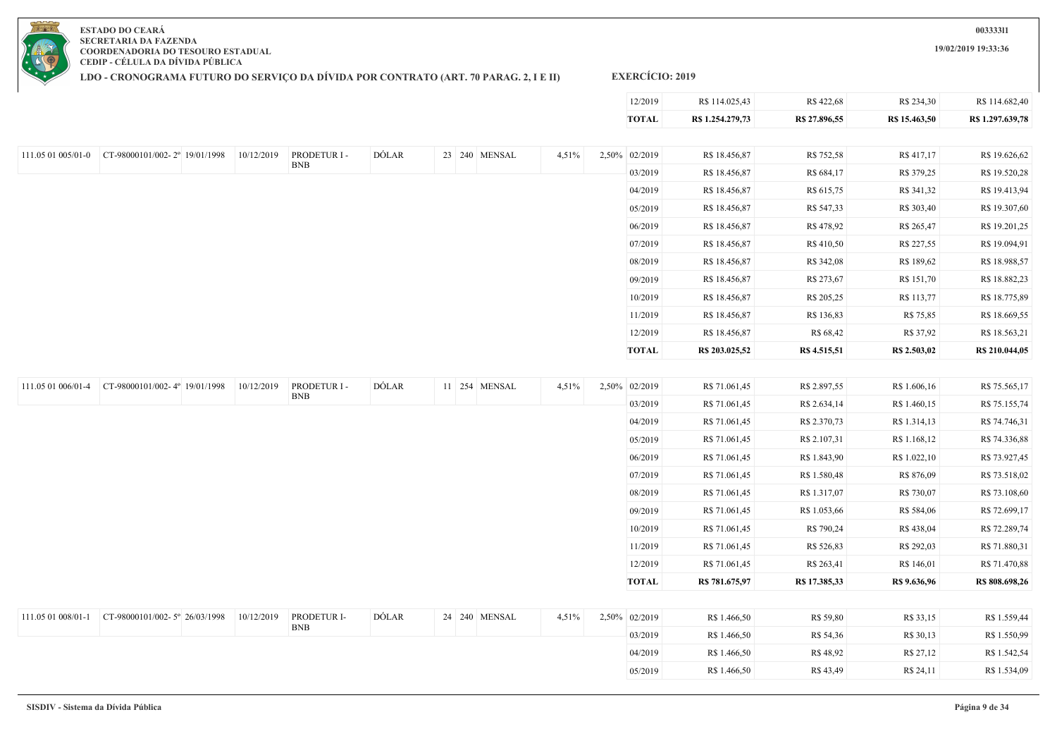

**LDO - CRONOGRAMA FUTURO DO SERVIÇO DA DÍVIDA POR CONTRATO (ART. 70 PARAG. 2, I E II)**

### **EXERCÍCIO: 2019**

| 12/2019      | R\$ 114,025,43   | R\$ 422,68    | R\$ 234.30    | R\$ 114,682.40   |
|--------------|------------------|---------------|---------------|------------------|
| <b>TOTAL</b> | R\$ 1.254.279,73 | R\$ 27.896,55 | R\$ 15.463.50 | R\$ 1.297.639,78 |

| 111.05 01 005/01-0 | CT-98000101/002-2° 19/01/1998 | 10/12/2019 | PRODETUR I - | DÓLAR |  | 23 240 MENSAL | 4,51% | 2,50% 02/2019 | R\$ 18.456,87  | R\$ 752,58   | R\$ 417,17   | R\$ 19.626,62  |
|--------------------|-------------------------------|------------|--------------|-------|--|---------------|-------|---------------|----------------|--------------|--------------|----------------|
|                    |                               |            | <b>BNB</b>   |       |  |               |       | 03/2019       | R\$ 18.456,87  | R\$ 684,17   | R\$ 379,25   | R\$ 19.520,28  |
|                    |                               |            |              |       |  |               |       | 04/2019       | R\$ 18.456,87  | R\$ 615,75   | R\$ 341,32   | R\$ 19.413,94  |
|                    |                               |            |              |       |  |               |       | 05/2019       | R\$ 18.456,87  | R\$ 547,33   | R\$ 303,40   | R\$ 19.307,60  |
|                    |                               |            |              |       |  |               |       | 06/2019       | R\$ 18.456,87  | R\$ 478,92   | R\$ 265,47   | R\$ 19.201,25  |
|                    |                               |            |              |       |  |               |       | 07/2019       | R\$ 18.456,87  | R\$410,50    | R\$ 227,55   | R\$ 19.094,91  |
|                    |                               |            |              |       |  |               |       | 08/2019       | R\$ 18.456,87  | R\$ 342,08   | R\$ 189,62   | R\$ 18.988,57  |
|                    |                               |            |              |       |  |               |       | 09/2019       | R\$ 18.456,87  | R\$ 273,67   | R\$ 151,70   | R\$ 18.882,23  |
|                    |                               |            |              |       |  |               |       | 10/2019       | R\$ 18.456,87  | R\$ 205,25   | R\$ 113,77   | R\$ 18.775,89  |
|                    |                               |            |              |       |  |               |       | 11/2019       | R\$ 18.456,87  | R\$ 136,83   | R\$ 75,85    | R\$ 18.669,55  |
|                    |                               |            |              |       |  |               |       | 12/2019       | R\$ 18.456,87  | R\$ 68,42    | R\$ 37,92    | R\$ 18.563,21  |
|                    |                               |            |              |       |  |               |       | <b>TOTAL</b>  | R\$ 203.025,52 | R\$ 4.515,51 | R\$ 2.503,02 | R\$ 210.044,05 |

| 111.05 01 006/01-4 | CT-98000101/002-4° 19/01/1998 | 10/12/2019 | PRODETUR I- | DÓLAR | 11 254 MENSAL | 4,51% | 2,50% 02/2019 | R\$ 71.061,45  | R\$ 2.897,55  | R\$ 1.606,16 | R\$ 75.565,17  |
|--------------------|-------------------------------|------------|-------------|-------|---------------|-------|---------------|----------------|---------------|--------------|----------------|
|                    |                               |            | <b>BNB</b>  |       |               |       | 03/2019       | R\$ 71.061,45  | R\$ 2.634,14  | R\$ 1.460,15 | R\$ 75.155,74  |
|                    |                               |            |             |       |               |       | 04/2019       | R\$ 71.061,45  | R\$ 2.370,73  | R\$ 1.314,13 | R\$ 74.746,31  |
|                    |                               |            |             |       |               |       | 05/2019       | R\$ 71.061,45  | R\$ 2.107,31  | R\$ 1.168,12 | R\$ 74.336,88  |
|                    |                               |            |             |       |               |       | 06/2019       | R\$ 71.061,45  | R\$ 1.843,90  | R\$ 1.022,10 | R\$ 73.927,45  |
|                    |                               |            |             |       |               |       | 07/2019       | R\$ 71.061,45  | R\$ 1.580,48  | R\$ 876,09   | R\$ 73.518,02  |
|                    |                               |            |             |       |               |       | 08/2019       | R\$ 71.061,45  | R\$ 1.317,07  | R\$ 730,07   | R\$ 73.108,60  |
|                    |                               |            |             |       |               |       | 09/2019       | R\$ 71.061,45  | R\$ 1.053,66  | R\$ 584,06   | R\$ 72.699,17  |
|                    |                               |            |             |       |               |       | 10/2019       | R\$ 71.061,45  | R\$ 790,24    | R\$ 438,04   | R\$ 72.289,74  |
|                    |                               |            |             |       |               |       | 11/2019       | R\$ 71.061,45  | R\$ 526,83    | R\$ 292,03   | R\$ 71.880,31  |
|                    |                               |            |             |       |               |       | 12/2019       | R\$ 71.061,45  | R\$ 263,41    | R\$ 146,01   | R\$ 71.470,88  |
|                    |                               |            |             |       |               |       | <b>TOTAL</b>  | R\$ 781.675,97 | R\$ 17.385,33 | R\$ 9.636,96 | R\$ 808.698,26 |
|                    |                               |            |             |       |               |       |               |                |               |              |                |
| 111.05 01 008/01-1 | CT-98000101/002-5° 26/03/1998 | 10/12/2019 | PRODETUR I- | DÓLAR | 24 240 MENSAL | 4,51% | 2,50% 02/2019 | R\$ 1.466,50   | R\$ 59,80     | R\$ 33,15    | R\$ 1.559,44   |
|                    |                               |            | <b>BNB</b>  |       |               |       | 03/2019       | R\$ 1.466,50   | R\$ 54,36     | R\$ 30,13    | R\$ 1.550,99   |
|                    |                               |            |             |       |               |       | 04/2019       | R\$ 1.466,50   | R\$ 48,92     | R\$ 27,12    | R\$ 1.542,54   |
|                    |                               |            |             |       |               |       | 05/2019       | R\$ 1.466,50   | R\$ 43,49     | R\$ 24,11    | R\$ 1.534,09   |
|                    |                               |            |             |       |               |       |               |                |               |              |                |

**003333l1 19/02/2019 19:33:36**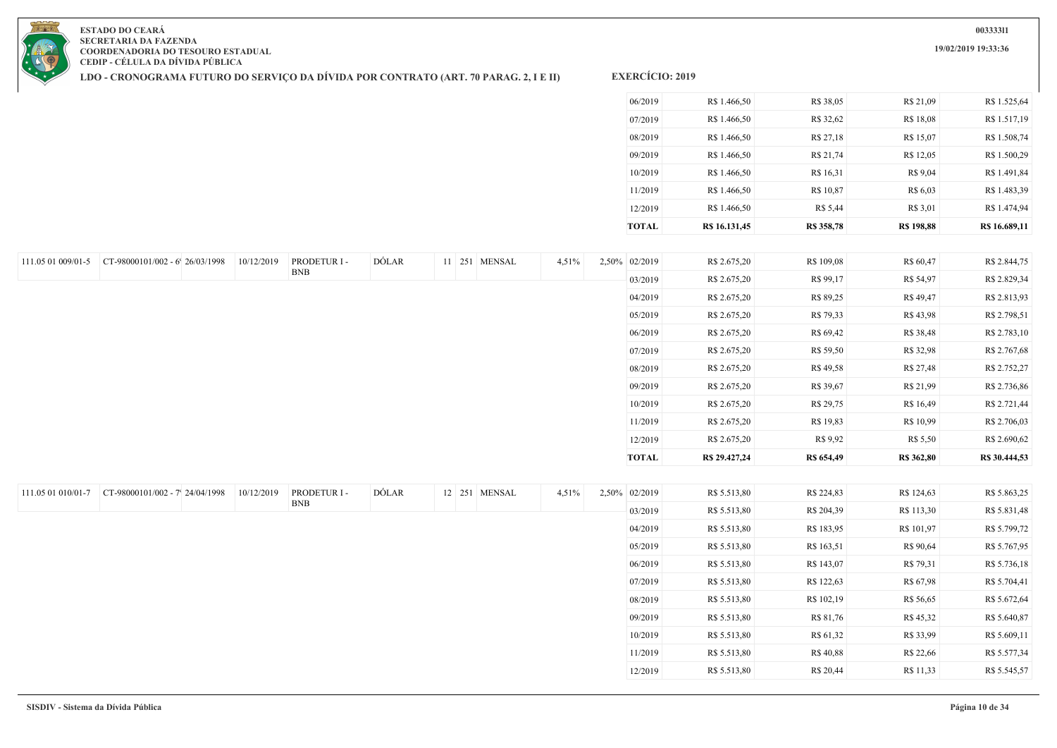

**LDO - CRONOGRAMA FUTURO DO SERVIÇO DA DÍVIDA POR CONTRATO (ART. 70 PARAG. 2, I E II)**

**EXERCÍCIO: 2019**

| <b>TOTAL</b> | R\$ 16.131,45 | R\$ 358,78 | <b>R\$ 198,88</b> | R\$ 16.689,11 |
|--------------|---------------|------------|-------------------|---------------|
| 12/2019      | R\$ 1.466,50  | R\$ 5,44   | R\$ 3,01          | R\$ 1.474,94  |
| 11/2019      | R\$ 1.466,50  | R\$ 10,87  | R\$ 6,03          | R\$ 1.483,39  |
| 10/2019      | R\$ 1.466,50  | R\$ 16,31  | R\$ 9,04          | R\$ 1.491,84  |
| 09/2019      | R\$ 1.466,50  | R\$ 21,74  | R\$ 12,05         | R\$ 1.500,29  |
| 08/2019      | R\$ 1.466,50  | R\$ 27,18  | R\$ 15,07         | R\$ 1.508,74  |
| 07/2019      | R\$ 1.466,50  | R\$ 32,62  | R\$ 18,08         | R\$ 1.517,19  |
| 06/2019      | R\$ 1.466,50  | R\$ 38,05  | R\$ 21,09         | R\$ 1.525,64  |

|                    | 111.05 01 009/01-5 CT-98000101/002 - 6' 26/03/1998 | 10/12/2019 | PRODETUR I - | DÓLAR |  | 11 251 MENSAL | 4,51% | 2,50% 02/2019 | R\$ 2.675,20  | R\$ 109,08 | R\$ 60,47  | R\$ 2.844,75  |
|--------------------|----------------------------------------------------|------------|--------------|-------|--|---------------|-------|---------------|---------------|------------|------------|---------------|
|                    |                                                    |            | <b>BNB</b>   |       |  |               |       | 03/2019       | R\$ 2.675,20  | R\$ 99,17  | R\$ 54,97  | R\$ 2.829,34  |
|                    |                                                    |            |              |       |  |               |       | 04/2019       | R\$ 2.675,20  | R\$ 89,25  | R\$ 49,47  | R\$ 2.813,93  |
|                    |                                                    |            |              |       |  |               |       | 05/2019       | R\$ 2.675,20  | R\$ 79,33  | R\$ 43,98  | R\$ 2.798,51  |
|                    |                                                    |            |              |       |  |               |       | 06/2019       | R\$ 2.675,20  | R\$ 69,42  | R\$ 38,48  | R\$ 2.783,10  |
|                    |                                                    |            |              |       |  |               |       | 07/2019       | R\$ 2.675,20  | R\$ 59,50  | R\$ 32,98  | R\$ 2.767,68  |
|                    |                                                    |            |              |       |  |               |       | 08/2019       | R\$ 2.675,20  | R\$ 49,58  | R\$ 27,48  | R\$ 2.752,27  |
|                    |                                                    |            |              |       |  |               |       | 09/2019       | R\$ 2.675,20  | R\$ 39,67  | R\$ 21,99  | R\$ 2.736,86  |
|                    |                                                    |            |              |       |  |               |       | 10/2019       | R\$ 2.675,20  | R\$ 29,75  | R\$ 16,49  | R\$ 2.721,44  |
|                    |                                                    |            |              |       |  |               |       | 11/2019       | R\$ 2.675,20  | R\$ 19,83  | R\$ 10,99  | R\$ 2.706,03  |
|                    |                                                    |            |              |       |  |               |       | 12/2019       | R\$ 2.675,20  | R\$ 9,92   | R\$ 5,50   | R\$ 2.690,62  |
|                    |                                                    |            |              |       |  |               |       | <b>TOTAL</b>  | R\$ 29.427,24 | R\$ 654,49 | R\$ 362,80 | R\$ 30.444,53 |
|                    |                                                    |            |              |       |  |               |       |               |               |            |            |               |
| 111.05 01 010/01-7 | CT-98000101/002 - 7' 24/04/1998                    | 10/12/2019 | PRODETUR I - | DÓLAR |  | 12 251 MENSAL | 4,51% | 2,50% 02/2019 | R\$ 5.513,80  | R\$ 224,83 | R\$ 124,63 | R\$ 5.863,25  |
|                    |                                                    |            | <b>BNB</b>   |       |  |               |       | 03/2019       | R\$ 5.513,80  | R\$ 204,39 | R\$ 113,30 | R\$ 5.831,48  |
|                    |                                                    |            |              |       |  |               |       | 04/2019       | R\$ 5.513,80  | R\$ 183,95 | R\$ 101,97 | R\$ 5.799,72  |
|                    |                                                    |            |              |       |  |               |       | 05/2019       | R\$ 5.513,80  | R\$ 163,51 | R\$ 90,64  | R\$ 5.767,95  |
|                    |                                                    |            |              |       |  |               |       | 06/2019       | R\$ 5.513,80  | R\$ 143,07 | R\$ 79,31  | R\$ 5.736,18  |
|                    |                                                    |            |              |       |  |               |       | 07/2019       | R\$ 5.513,80  | R\$ 122,63 | R\$ 67,98  | R\$ 5.704,41  |
|                    |                                                    |            |              |       |  |               |       | 08/2019       | R\$ 5.513,80  | R\$ 102,19 | R\$ 56,65  | R\$ 5.672,64  |
|                    |                                                    |            |              |       |  |               |       | 09/2019       | R\$ 5.513,80  | R\$ 81,76  | R\$ 45,32  | R\$ 5.640,87  |
|                    |                                                    |            |              |       |  |               |       | 10/2019       | R\$ 5.513,80  | R\$ 61,32  | R\$ 33,99  | R\$ 5.609,11  |
|                    |                                                    |            |              |       |  |               |       | 11/2019       | R\$ 5.513,80  | R\$ 40,88  | R\$ 22,66  | R\$ 5.577,34  |
|                    |                                                    |            |              |       |  |               |       |               |               |            |            |               |
|                    |                                                    |            |              |       |  |               |       | 12/2019       | R\$ 5.513,80  | R\$ 20,44  | R\$ 11,33  | R\$ 5.545,57  |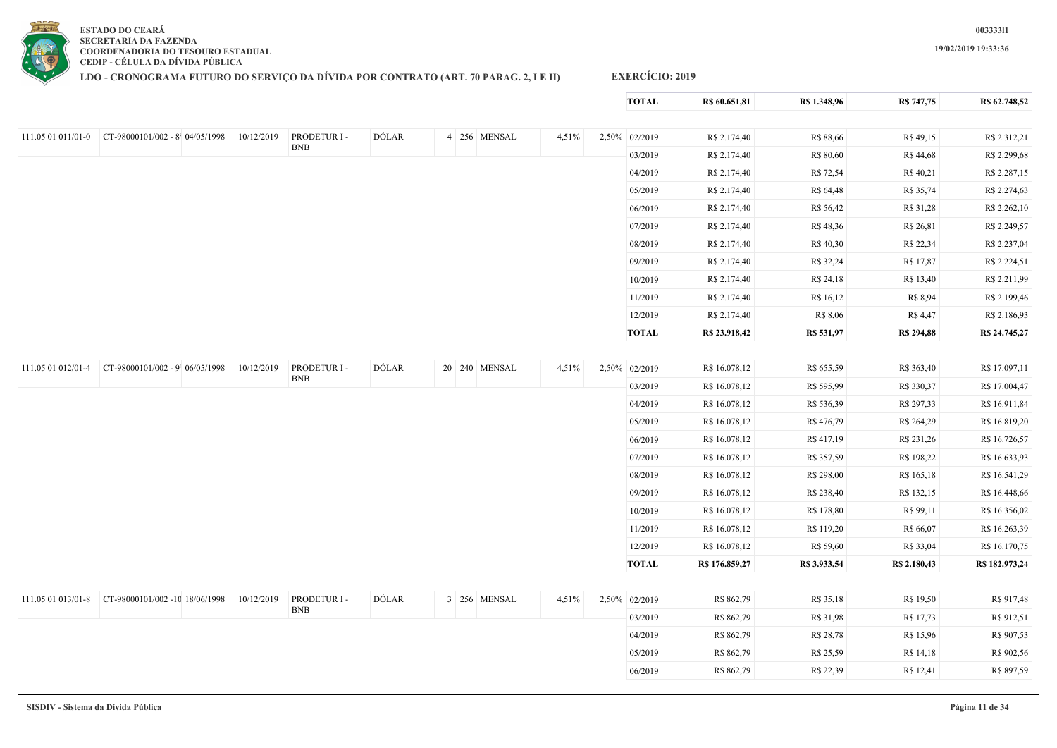

**LDO - CRONOGRAMA FUTURO DO SERVIÇO DA DÍVIDA POR CONTRATO (ART. 70 PARAG. 2, I E II)**

### **EXERCÍCIO: 2019**

|                    |                                                        |            |              |              |               |       | <b>TOTAL</b>  | R\$ 60.651,81  | R\$ 1.348,96 | R\$ 747,75        | R\$ 62.748,52  |
|--------------------|--------------------------------------------------------|------------|--------------|--------------|---------------|-------|---------------|----------------|--------------|-------------------|----------------|
|                    |                                                        |            |              |              |               |       |               |                |              |                   |                |
|                    | 111.05 01 011/01-0 $CT-98000101/002 - 8^{6}04/05/1998$ | 10/12/2019 | PRODETUR I - | DÓLAR        | 4 256 MENSAL  | 4,51% | 2,50% 02/2019 | R\$ 2.174,40   | R\$ 88,66    | R\$ 49,15         | R\$ 2.312,21   |
|                    |                                                        |            | <b>BNB</b>   |              |               |       | 03/2019       | R\$ 2.174,40   | R\$ 80,60    | R\$ 44,68         | R\$ 2.299,68   |
|                    |                                                        |            |              |              |               |       | 04/2019       | R\$ 2.174,40   | R\$ 72,54    | R\$ 40,21         | R\$ 2.287,15   |
|                    |                                                        |            |              |              |               |       | 05/2019       | R\$ 2.174,40   | R\$ 64,48    | R\$ 35,74         | R\$ 2.274,63   |
|                    |                                                        |            |              |              |               |       | 06/2019       | R\$ 2.174,40   | R\$ 56,42    | R\$ 31,28         | R\$ 2.262,10   |
|                    |                                                        |            |              |              |               |       | 07/2019       | R\$ 2.174,40   | R\$48,36     | R\$ 26,81         | R\$ 2.249,57   |
|                    |                                                        |            |              |              |               |       | 08/2019       | R\$ 2.174,40   | R\$ 40,30    | R\$ 22,34         | R\$ 2.237,04   |
|                    |                                                        |            |              |              |               |       | 09/2019       | R\$ 2.174,40   | R\$ 32,24    | R\$ 17,87         | R\$ 2.224,51   |
|                    |                                                        |            |              |              |               |       | 10/2019       | R\$ 2.174,40   | R\$ 24,18    | R\$ 13,40         | R\$ 2.211,99   |
|                    |                                                        |            |              |              |               |       | 11/2019       | R\$ 2.174,40   | R\$ 16,12    | R\$ 8,94          | R\$ 2.199,46   |
|                    |                                                        |            |              |              |               |       | 12/2019       | R\$ 2.174,40   | R\$ 8,06     | R\$ 4,47          | R\$ 2.186,93   |
|                    |                                                        |            |              |              |               |       | <b>TOTAL</b>  | R\$ 23.918,42  | R\$ 531,97   | <b>R\$ 294,88</b> | R\$ 24.745,27  |
|                    |                                                        |            |              |              |               |       |               |                |              |                   |                |
| 111.05 01 012/01-4 | CT-98000101/002 - 9' 06/05/1998                        | 10/12/2019 | PRODETUR I - | DÓLAR        | 20 240 MENSAL | 4,51% | 2,50% 02/2019 | R\$ 16.078,12  | R\$ 655,59   | R\$ 363,40        | R\$ 17.097,11  |
|                    |                                                        |            | <b>BNB</b>   |              |               |       | 03/2019       | R\$ 16.078,12  | R\$ 595,99   | R\$ 330,37        | R\$ 17.004,47  |
|                    |                                                        |            |              |              |               |       | 04/2019       | R\$ 16.078,12  | R\$ 536,39   | R\$ 297,33        | R\$ 16.911,84  |
|                    |                                                        |            |              |              |               |       | 05/2019       | R\$ 16.078,12  | R\$ 476,79   | R\$ 264,29        | R\$ 16.819,20  |
|                    |                                                        |            |              |              |               |       | 06/2019       | R\$ 16.078,12  | R\$ 417,19   | R\$ 231,26        | R\$ 16.726,57  |
|                    |                                                        |            |              |              |               |       | 07/2019       | R\$ 16.078,12  | R\$ 357,59   | R\$ 198,22        | R\$ 16.633,93  |
|                    |                                                        |            |              |              |               |       | 08/2019       | R\$ 16.078,12  | R\$ 298,00   | R\$ 165,18        | R\$ 16.541,29  |
|                    |                                                        |            |              |              |               |       | 09/2019       | R\$ 16.078,12  | R\$ 238,40   | R\$ 132,15        | R\$ 16.448,66  |
|                    |                                                        |            |              |              |               |       | 10/2019       | R\$ 16.078,12  | R\$ 178,80   | R\$ 99,11         | R\$ 16.356,02  |
|                    |                                                        |            |              |              |               |       | 11/2019       | R\$ 16.078,12  | R\$ 119,20   | R\$ 66,07         | R\$ 16.263,39  |
|                    |                                                        |            |              |              |               |       | 12/2019       | R\$ 16.078,12  | R\$ 59,60    | R\$ 33,04         | R\$ 16.170,75  |
|                    |                                                        |            |              |              |               |       | <b>TOTAL</b>  | R\$ 176.859,27 | R\$ 3.933,54 | R\$ 2.180,43      | R\$ 182.973,24 |
|                    |                                                        |            |              |              |               |       |               |                |              |                   |                |
|                    |                                                        | 10/12/2019 | PRODETUR I - | <b>DÓLAR</b> | 3 256 MENSAL  | 4,51% | 2,50% 02/2019 | R\$ 862,79     | R\$ 35,18    | R\$ 19,50         | R\$ 917,48     |
|                    |                                                        |            | <b>BNB</b>   |              |               |       | 03/2019       | R\$ 862,79     | R\$ 31,98    | R\$ 17,73         | R\$ 912,51     |
|                    |                                                        |            |              |              |               |       | 04/2019       | R\$ 862,79     | R\$ 28,78    | R\$ 15,96         | R\$ 907,53     |
|                    |                                                        |            |              |              |               |       | 05/2019       | R\$ 862,79     | R\$ 25,59    | R\$ 14,18         | R\$ 902,56     |
|                    |                                                        |            |              |              |               |       | 06/2019       | R\$ 862,79     | R\$ 22,39    | R\$ 12,41         | R\$ 897,59     |
|                    |                                                        |            |              |              |               |       |               |                |              |                   |                |

**003333l1**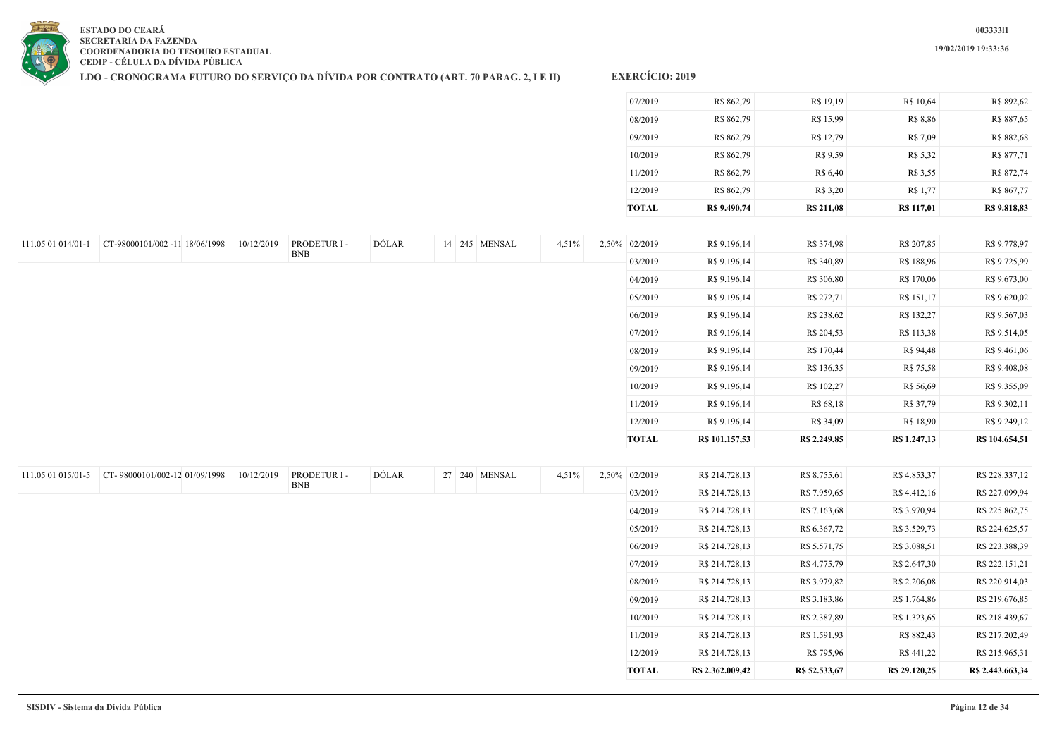**19/02/2019 19:33:36**

**ESTADO DO CEARÁ SECRETARIA DA FAZENDA COORDENADORIA DO TESOURO ESTADUAL CEDIP - CÉLULA DA DÍVIDA PÚBLICA**

**LDO - CRONOGRAMA FUTURO DO SERVIÇO DA DÍVIDA POR CONTRATO (ART. 70 PARAG. 2, I E II)**

| <b>TOTAL</b> | R\$ 9.490,74 | <b>R\$ 211,08</b> | <b>R\$</b> 117,01 | R\$ 9.818,83 |
|--------------|--------------|-------------------|-------------------|--------------|
| 12/2019      | R\$ 862,79   | R\$ 3,20          | R\$ 1,77          | R\$ 867,77   |
| 11/2019      | R\$ 862,79   | R\$ 6,40          | R\$ 3,55          | R\$ 872,74   |
| 10/2019      | R\$ 862,79   | R\$ 9.59          | R\$ 5,32          | R\$ 877,71   |
| 09/2019      | R\$ 862,79   | R\$ 12,79         | R\$ 7,09          | R\$ 882,68   |
| 08/2019      | R\$ 862,79   | R\$ 15,99         | R\$ 8,86          | R\$ 887,65   |
| 07/2019      | R\$ 862,79   | R\$ 19,19         | R\$ 10,64         | R\$ 892,62   |

| 111.05 01 014/01-1 | CT-98000101/002 -11 18/06/1998 | 10/12/2019 | PRODETUR I - | DÓLAR |  | 14 245 MENSAL | 4,51% | 2,50% 02/2019 | R\$ 9.196,14   | R\$ 374,98   | R\$ 207,85   | R\$ 9.778,97   |
|--------------------|--------------------------------|------------|--------------|-------|--|---------------|-------|---------------|----------------|--------------|--------------|----------------|
|                    |                                |            | <b>BNB</b>   |       |  |               |       | 03/2019       | R\$ 9.196,14   | R\$ 340,89   | R\$ 188,96   | R\$ 9.725,99   |
|                    |                                |            |              |       |  |               |       | 04/2019       | R\$ 9.196,14   | R\$ 306,80   | R\$ 170,06   | R\$ 9.673,00   |
|                    |                                |            |              |       |  |               |       | 05/2019       | R\$ 9.196,14   | R\$ 272,71   | R\$ 151,17   | R\$ 9.620,02   |
|                    |                                |            |              |       |  |               |       | 06/2019       | R\$ 9.196,14   | R\$ 238,62   | R\$ 132,27   | R\$ 9.567,03   |
|                    |                                |            |              |       |  |               |       | 07/2019       | R\$ 9.196,14   | R\$ 204,53   | R\$ 113,38   | R\$ 9.514,05   |
|                    |                                |            |              |       |  |               |       | 08/2019       | R\$ 9.196,14   | R\$ 170,44   | R\$ 94,48    | R\$ 9.461,06   |
|                    |                                |            |              |       |  |               |       | 09/2019       | R\$ 9.196,14   | R\$ 136,35   | R\$ 75,58    | R\$ 9.408,08   |
|                    |                                |            |              |       |  |               |       | 10/2019       | R\$ 9.196,14   | R\$ 102,27   | R\$ 56,69    | R\$ 9.355,09   |
|                    |                                |            |              |       |  |               |       | 11/2019       | R\$ 9.196,14   | R\$ 68,18    | R\$ 37,79    | R\$ 9.302,11   |
|                    |                                |            |              |       |  |               |       | 12/2019       | R\$ 9.196,14   | R\$ 34,09    | R\$ 18,90    | R\$ 9.249,12   |
|                    |                                |            |              |       |  |               |       | <b>TOTAL</b>  | R\$ 101.157,53 | R\$ 2.249,85 | R\$ 1.247,13 | R\$ 104.654,51 |

| 111.05 01 015/01-5 | CT-98000101/002-12 01/09/1998 | 10/12/2019 | PRODETUR I - | DÓLAR | 27 240 MENSAL | 4,51% | 2,50% 02/2019 | R\$ 214.728,13   | R\$ 8.755,61  | R\$4.853,37   | R\$ 228.337,12   |
|--------------------|-------------------------------|------------|--------------|-------|---------------|-------|---------------|------------------|---------------|---------------|------------------|
|                    |                               |            | <b>BNB</b>   |       |               |       | 03/2019       | R\$ 214.728,13   | R\$ 7.959,65  | R\$ 4.412,16  | R\$ 227.099,94   |
|                    |                               |            |              |       |               |       | 04/2019       | R\$ 214.728,13   | R\$ 7.163,68  | R\$ 3.970,94  | R\$ 225.862,75   |
|                    |                               |            |              |       |               |       | 05/2019       | R\$ 214.728,13   | R\$ 6.367,72  | R\$ 3.529,73  | R\$ 224.625,57   |
|                    |                               |            |              |       |               |       | 06/2019       | R\$ 214.728,13   | R\$ 5.571,75  | R\$ 3.088,51  | R\$ 223.388,39   |
|                    |                               |            |              |       |               |       | 07/2019       | R\$ 214.728,13   | R\$ 4.775,79  | R\$ 2.647,30  | R\$ 222.151,21   |
|                    |                               |            |              |       |               |       | 08/2019       | R\$ 214.728,13   | R\$ 3.979,82  | R\$ 2.206,08  | R\$ 220.914,03   |
|                    |                               |            |              |       |               |       | 09/2019       | R\$ 214.728,13   | R\$ 3.183,86  | R\$ 1.764,86  | R\$ 219.676,85   |
|                    |                               |            |              |       |               |       | 10/2019       | R\$ 214.728,13   | R\$ 2.387,89  | R\$ 1.323,65  | R\$ 218.439,67   |
|                    |                               |            |              |       |               |       | 11/2019       | R\$ 214.728,13   | R\$ 1.591,93  | R\$ 882,43    | R\$ 217.202,49   |
|                    |                               |            |              |       |               |       | 12/2019       | R\$ 214.728,13   | R\$ 795,96    | R\$ 441,22    | R\$ 215.965,31   |
|                    |                               |            |              |       |               |       | TOTAL         | R\$ 2.362.009,42 | R\$ 52.533,67 | R\$ 29.120,25 | R\$ 2.443.663,34 |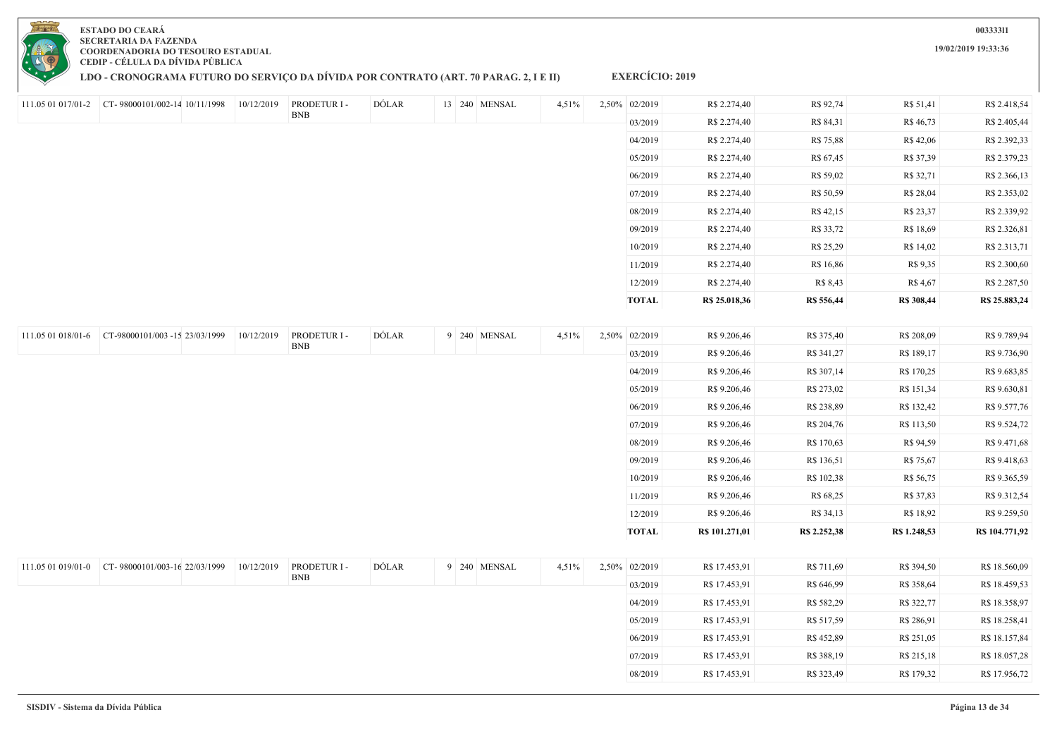## **LDO - CRONOGRAMA FUTURO DO SERVIÇO DA DÍVIDA POR CONTRATO (ART. 70 PARAG. 2, I E II)**

**EXERCÍCIO: 2019**

|                    |                                                  | 10/12/2019 | PRODETUR I - | DÓLAR | 13 240 MENSAL | 4,51% | 2,50% 02/2019 | R\$ 2.274,40   | R\$ 92,74    | R\$ 51,41    | R\$ 2.418,54   |
|--------------------|--------------------------------------------------|------------|--------------|-------|---------------|-------|---------------|----------------|--------------|--------------|----------------|
|                    |                                                  |            | <b>BNB</b>   |       |               |       | 03/2019       | R\$ 2.274,40   | R\$ 84,31    | R\$ 46,73    | R\$ 2.405,44   |
|                    |                                                  |            |              |       |               |       | 04/2019       | R\$ 2.274,40   | R\$ 75,88    | R\$ 42,06    | R\$ 2.392,33   |
|                    |                                                  |            |              |       |               |       | 05/2019       | R\$ 2.274,40   | R\$ 67,45    | R\$ 37,39    | R\$ 2.379,23   |
|                    |                                                  |            |              |       |               |       | 06/2019       | R\$ 2.274,40   | R\$ 59,02    | R\$ 32,71    | R\$ 2.366,13   |
|                    |                                                  |            |              |       |               |       | 07/2019       | R\$ 2.274,40   | R\$ 50,59    | R\$ 28,04    | R\$ 2.353,02   |
|                    |                                                  |            |              |       |               |       | 08/2019       | R\$ 2.274,40   | R\$ 42,15    | R\$ 23,37    | R\$ 2.339,92   |
|                    |                                                  |            |              |       |               |       | 09/2019       | R\$ 2.274,40   | R\$ 33,72    | R\$ 18,69    | R\$ 2.326,81   |
|                    |                                                  |            |              |       |               |       | 10/2019       | R\$ 2.274,40   | R\$ 25,29    | R\$ 14,02    | R\$ 2.313,71   |
|                    |                                                  |            |              |       |               |       | 11/2019       | R\$ 2.274,40   | R\$ 16,86    | R\$ 9,35     | R\$ 2.300,60   |
|                    |                                                  |            |              |       |               |       | 12/2019       | R\$ 2.274,40   | R\$ 8,43     | R\$ 4,67     | R\$ 2.287,50   |
|                    |                                                  |            |              |       |               |       | <b>TOTAL</b>  | R\$ 25.018,36  | R\$ 556,44   | R\$ 308,44   | R\$ 25.883,24  |
|                    |                                                  |            |              |       |               |       |               |                |              |              |                |
| 111.05 01 018/01-6 | CT-98000101/003 -15 23/03/1999                   | 10/12/2019 | PRODETUR I - | DÓLAR | 9 240 MENSAL  | 4,51% | 2,50% 02/2019 | R\$ 9.206,46   | R\$ 375,40   | R\$ 208,09   | R\$ 9.789,94   |
|                    |                                                  |            | <b>BNB</b>   |       |               |       | 03/2019       | R\$ 9.206,46   | R\$ 341,27   | R\$ 189,17   | R\$ 9.736,90   |
|                    |                                                  |            |              |       |               |       | 04/2019       | R\$ 9.206,46   | R\$ 307,14   | R\$ 170,25   | R\$ 9.683,85   |
|                    |                                                  |            |              |       |               |       | 05/2019       | R\$ 9.206,46   | R\$ 273,02   | R\$ 151,34   | R\$ 9.630,81   |
|                    |                                                  |            |              |       |               |       | 06/2019       | R\$ 9.206,46   | R\$ 238,89   | R\$ 132,42   | R\$ 9.577,76   |
|                    |                                                  |            |              |       |               |       | 07/2019       | R\$ 9.206,46   | R\$ 204,76   | R\$ 113,50   | R\$ 9.524,72   |
|                    |                                                  |            |              |       |               |       | 08/2019       | R\$ 9.206,46   | R\$ 170,63   | R\$ 94,59    | R\$ 9.471,68   |
|                    |                                                  |            |              |       |               |       | 09/2019       | R\$ 9.206,46   | R\$ 136,51   | R\$ 75,67    | R\$ 9.418,63   |
|                    |                                                  |            |              |       |               |       | 10/2019       | R\$ 9.206,46   | R\$ 102,38   | R\$ 56,75    | R\$ 9.365,59   |
|                    |                                                  |            |              |       |               |       | 11/2019       | R\$ 9.206,46   | R\$ 68,25    | R\$ 37,83    | R\$ 9.312,54   |
|                    |                                                  |            |              |       |               |       | 12/2019       | R\$ 9.206,46   | R\$ 34,13    | R\$ 18,92    | R\$ 9.259,50   |
|                    |                                                  |            |              |       |               |       | <b>TOTAL</b>  | R\$ 101.271,01 | R\$ 2.252,38 | R\$ 1.248,53 | R\$ 104.771,92 |
|                    |                                                  |            |              |       |               |       |               |                |              |              |                |
|                    | 111.05 01 019/01-0 CT-98000101/003-16 22/03/1999 | 10/12/2019 | PRODETUR I - | DÓLAR | 9 240 MENSAL  | 4,51% | 2,50% 02/2019 | R\$ 17.453,91  | R\$ 711,69   | R\$ 394,50   | R\$ 18.560,09  |
|                    |                                                  |            | <b>BNB</b>   |       |               |       | 03/2019       | R\$ 17.453,91  | R\$ 646,99   | R\$ 358,64   | R\$ 18.459,53  |
|                    |                                                  |            |              |       |               |       | 04/2019       | R\$ 17.453,91  | R\$ 582,29   | R\$ 322,77   | R\$ 18.358,97  |
|                    |                                                  |            |              |       |               |       | 05/2019       | R\$ 17.453,91  | R\$ 517,59   | R\$ 286,91   | R\$ 18.258,41  |
|                    |                                                  |            |              |       |               |       | 06/2019       | R\$ 17.453,91  | R\$452,89    | R\$ 251,05   | R\$ 18.157,84  |
|                    |                                                  |            |              |       |               |       | 07/2019       | R\$ 17.453,91  | R\$ 388,19   | R\$ 215,18   | R\$ 18.057,28  |
|                    |                                                  |            |              |       |               |       | 08/2019       | R\$ 17.453,91  | R\$ 323,49   | R\$ 179,32   | R\$ 17.956,72  |

**003333l1**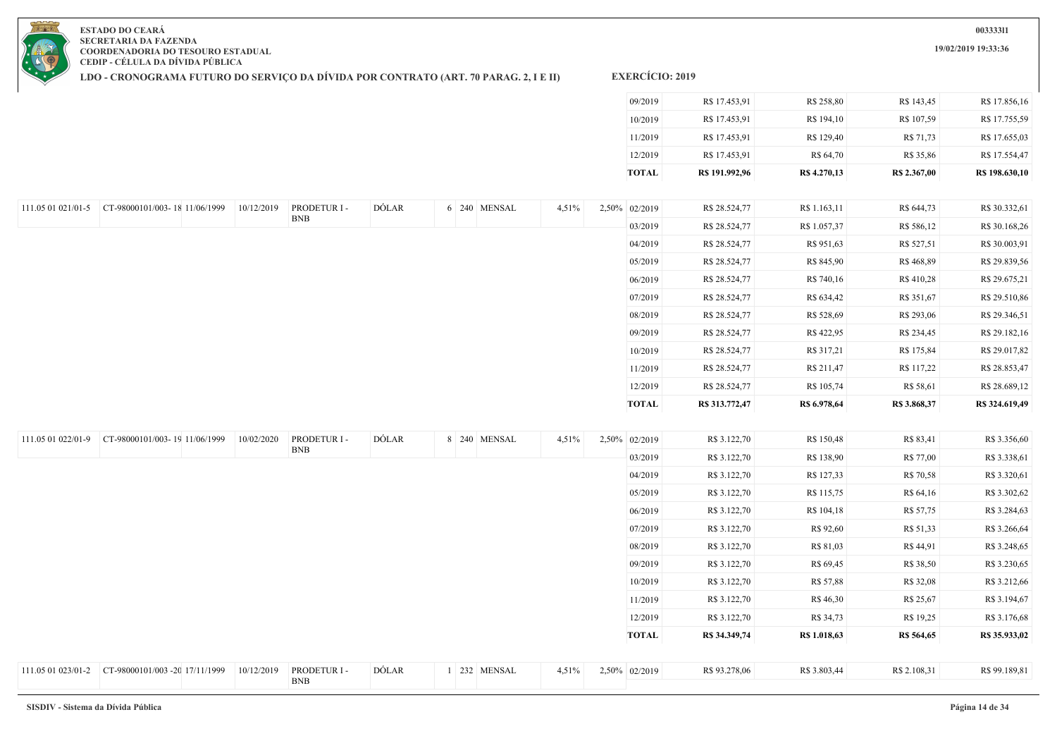**19/02/2019 19:33:36**

**ESTADO DO CEARÁ SECRETARIA DA FAZENDA COORDENADORIA DO TESOURO ESTADUAL CEDIP - CÉLULA DA DÍVIDA PÚBLICA**

**LDO - CRONOGRAMA FUTURO DO SERVIÇO DA DÍVIDA POR CONTRATO (ART. 70 PARAG. 2, I E II)**

| <b>TOTAL</b> | R\$ 191.992,96 | R\$ 4.270,13 | R\$ 2.367,00 | R\$ 198.630,10 |
|--------------|----------------|--------------|--------------|----------------|
| 12/2019      | R\$ 17.453,91  | R\$ 64,70    | R\$ 35,86    | R\$ 17.554,47  |
| 11/2019      | R\$ 17.453,91  | R\$ 129,40   | R\$ 71,73    | R\$ 17.655,03  |
| 10/2019      | R\$ 17.453,91  | R\$ 194,10   | R\$ 107,59   | R\$ 17.755,59  |
| 09/2019      | R\$ 17.453,91  | R\$ 258,80   | R\$ 143,45   | R\$ 17.856,16  |

| 111.05 01 022/01-9 | CT-98000101/003-19 11/06/1999  | 10/02/2020 | PRODETUR I - | DÓLAR | 8 240 MENSAL | 4,51% | 2,50% 02/2019 | R\$ 3.122,70  | R\$ 150,48   | R\$ 83,41    | R\$ 3.356,60  |
|--------------------|--------------------------------|------------|--------------|-------|--------------|-------|---------------|---------------|--------------|--------------|---------------|
|                    |                                |            | <b>BNB</b>   |       |              |       | 03/2019       | R\$ 3.122,70  | R\$ 138,90   | R\$ 77,00    | R\$ 3.338,61  |
|                    |                                |            |              |       |              |       | 04/2019       | R\$ 3.122,70  | R\$ 127,33   | R\$ 70,58    | R\$ 3.320,61  |
|                    |                                |            |              |       |              |       | 05/2019       | R\$ 3.122,70  | R\$ 115,75   | R\$ 64,16    | R\$ 3.302,62  |
|                    |                                |            |              |       |              |       | 06/2019       | R\$ 3.122,70  | R\$ 104,18   | R\$ 57,75    | R\$ 3.284,63  |
|                    |                                |            |              |       |              |       | 07/2019       | R\$ 3.122,70  | R\$ 92,60    | R\$ 51,33    | R\$ 3.266,64  |
|                    |                                |            |              |       |              |       | 08/2019       | R\$ 3.122,70  | R\$ 81,03    | R\$ 44,91    | R\$ 3.248,65  |
|                    |                                |            |              |       |              |       | 09/2019       | R\$ 3.122,70  | R\$ 69,45    | R\$ 38,50    | R\$ 3.230,65  |
|                    |                                |            |              |       |              |       | 10/2019       | R\$ 3.122,70  | R\$ 57,88    | R\$ 32,08    | R\$ 3.212,66  |
|                    |                                |            |              |       |              |       | 11/2019       | R\$ 3.122,70  | R\$ 46,30    | R\$ 25,67    | R\$ 3.194,67  |
|                    |                                |            |              |       |              |       | 12/2019       | R\$ 3.122,70  | R\$ 34,73    | R\$ 19,25    | R\$ 3.176,68  |
|                    |                                |            |              |       |              |       | <b>TOTAL</b>  | R\$ 34.349,74 | R\$ 1.018,63 | R\$ 564,65   | R\$ 35.933,02 |
|                    |                                |            |              |       |              |       |               |               |              |              |               |
| 111.05 01 023/01-2 | CT-98000101/003 -20 17/11/1999 | 10/12/2019 | PRODETUR I - | DÓLAR | 1 232 MENSAL | 4,51% | 2,50% 02/2019 | R\$ 93.278,06 | R\$ 3.803,44 | R\$ 2.108,31 | R\$ 99.189,81 |
|                    |                                |            | <b>BNB</b>   |       |              |       |               |               |              |              |               |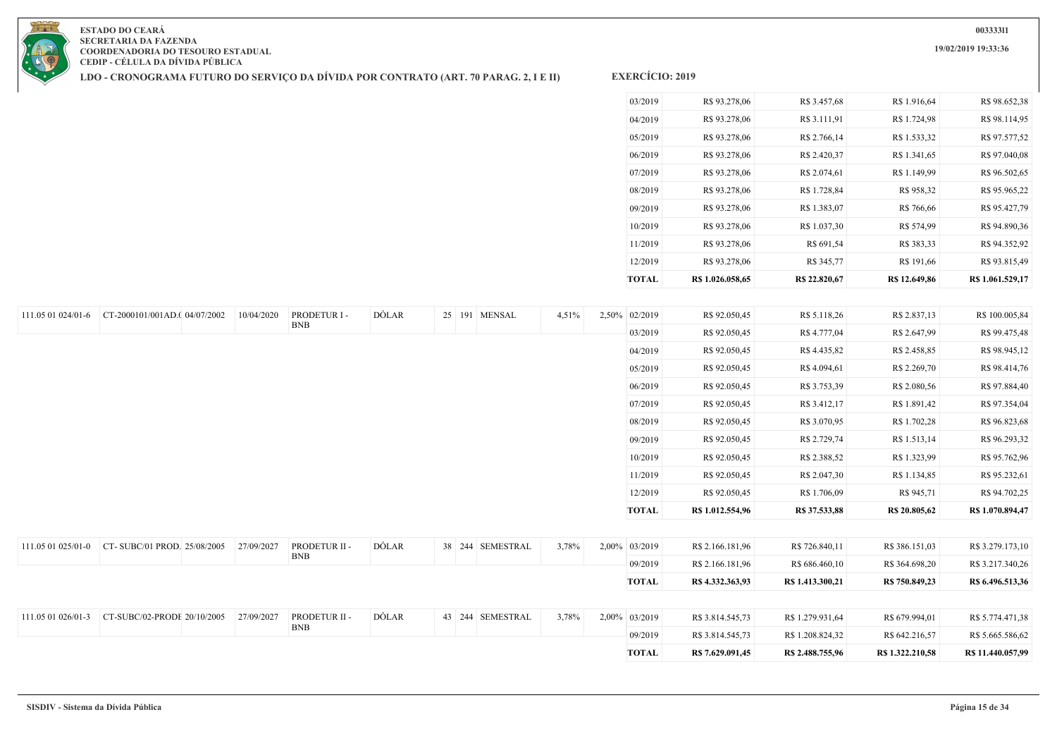**19/02/2019 19:33:36**



**ESTADO DO CEARÁ SECRETARIA DA FAZENDA COORDENADORIA DO TESOURO ESTADUAL CEDIP - CÉLULA DA DÍVIDA PÚBLICA**

**LDO - CRONOGRAMA FUTURO DO SERVIÇO DA DÍVIDA POR CONTRATO (ART. 70 PARAG. 2, I E II)**

| <b>TOTAL</b> | R\$ 1.026.058,65 | R\$ 22.820,67 | R\$ 12.649.86 | R\$ 1.061.529,17 |
|--------------|------------------|---------------|---------------|------------------|
| 12/2019      | R\$ 93.278,06    | R\$ 345,77    | R\$ 191,66    | R\$ 93.815,49    |
| 11/2019      | R\$ 93.278,06    | R\$ 691,54    | R\$ 383,33    | R\$ 94.352,92    |
| 10/2019      | R\$ 93.278,06    | R\$ 1.037,30  | R\$ 574,99    | R\$ 94.890,36    |
| 09/2019      | R\$ 93.278,06    | R\$ 1.383,07  | R\$ 766,66    | R\$ 95.427,79    |
| 08/2019      | R\$ 93.278,06    | R\$ 1.728,84  | R\$ 958,32    | R\$ 95.965,22    |
| 07/2019      | R\$ 93.278,06    | R\$ 2.074,61  | R\$ 1.149,99  | R\$ 96.502,65    |
| 06/2019      | R\$ 93.278,06    | R\$ 2.420,37  | R\$ 1.341,65  | R\$ 97.040,08    |
| 05/2019      | R\$ 93.278,06    | R\$ 2.766,14  | R\$ 1.533,32  | R\$ 97.577,52    |
| 04/2019      | R\$ 93.278,06    | R\$ 3.111,91  | R\$ 1.724,98  | R\$ 98.114,95    |
| 03/2019      | R\$ 93.278,06    | R\$ 3.457,68  | R\$ 1.916,64  | R\$ 98.652,38    |
|              |                  |               |               |                  |

| 111.05 01 024/01-6 | CT-2000101/001AD.(04/07/2002 | 10/04/2020 | PRODETUR I -<br><b>BNB</b> | DÓLAR |  | 25 191 MENSAL    | 4,51% | 2,50% 02/2019 | R\$ 92.050,45    | R\$ 5.118,26     | R\$ 2.837,13     | R\$ 100.005,84    |
|--------------------|------------------------------|------------|----------------------------|-------|--|------------------|-------|---------------|------------------|------------------|------------------|-------------------|
|                    |                              |            |                            |       |  |                  |       | 03/2019       | R\$ 92.050,45    | R\$ 4.777,04     | R\$ 2.647,99     | R\$ 99.475,48     |
|                    |                              |            |                            |       |  |                  |       | 04/2019       | R\$ 92.050,45    | R\$4.435,82      | R\$ 2.458,85     | R\$ 98.945,12     |
|                    |                              |            |                            |       |  |                  |       | 05/2019       | R\$ 92.050,45    | R\$4.094,61      | R\$ 2.269,70     | R\$ 98.414,76     |
|                    |                              |            |                            |       |  |                  |       | 06/2019       | R\$ 92.050,45    | R\$ 3.753,39     | R\$ 2.080,56     | R\$ 97.884,40     |
|                    |                              |            |                            |       |  |                  |       | 07/2019       | R\$ 92.050,45    | R\$ 3.412,17     | R\$ 1.891,42     | R\$ 97.354,04     |
|                    |                              |            |                            |       |  |                  |       | 08/2019       | R\$ 92.050,45    | R\$ 3.070,95     | R\$ 1.702,28     | R\$ 96.823,68     |
|                    |                              |            |                            |       |  |                  |       | 09/2019       | R\$ 92.050,45    | R\$ 2.729,74     | R\$ 1.513,14     | R\$ 96.293,32     |
|                    |                              |            |                            |       |  |                  |       | 10/2019       | R\$ 92.050,45    | R\$ 2.388,52     | R\$ 1.323,99     | R\$ 95.762,96     |
|                    |                              |            |                            |       |  |                  |       | 11/2019       | R\$ 92.050,45    | R\$ 2.047,30     | R\$ 1.134,85     | R\$ 95.232,61     |
|                    |                              |            |                            |       |  |                  |       | 12/2019       | R\$ 92.050,45    | R\$ 1.706,09     | R\$ 945,71       | R\$ 94.702,25     |
|                    |                              |            |                            |       |  |                  |       | <b>TOTAL</b>  | R\$ 1.012.554,96 | R\$ 37.533,88    | R\$ 20.805,62    | R\$ 1.070.894,47  |
|                    |                              |            |                            |       |  |                  |       |               |                  |                  |                  |                   |
| 111.05 01 025/01-0 | CT-SUBC/01 PROD. 25/08/2005  | 27/09/2027 | PRODETUR II -              | DÓLAR |  | 38 244 SEMESTRAL | 3,78% | 2,00% 03/2019 | R\$ 2.166.181,96 | R\$ 726.840,11   | R\$ 386.151,03   | R\$ 3.279.173,10  |
|                    |                              |            | <b>BNB</b>                 |       |  |                  |       | 09/2019       | R\$ 2.166.181,96 | R\$ 686.460,10   | R\$ 364.698,20   | R\$ 3.217.340,26  |
|                    |                              |            |                            |       |  |                  |       | <b>TOTAL</b>  | R\$ 4.332.363,93 | R\$ 1.413.300,21 | R\$ 750.849,23   | R\$ 6.496.513,36  |
|                    |                              |            |                            |       |  |                  |       |               |                  |                  |                  |                   |
| 111.05 01 026/01-3 | CT-SUBC/02-PRODE 20/10/2005  | 27/09/2027 | PRODETUR II -              | DÓLAR |  | 43 244 SEMESTRAL | 3,78% | 2,00% 03/2019 | R\$ 3.814.545,73 | R\$ 1.279.931,64 | R\$ 679.994,01   | R\$ 5.774.471,38  |
|                    |                              |            | <b>BNB</b>                 |       |  |                  |       | 09/2019       | R\$ 3.814.545,73 | R\$ 1.208.824,32 | R\$ 642.216,57   | R\$ 5.665.586,62  |
|                    |                              |            |                            |       |  |                  |       | <b>TOTAL</b>  | R\$ 7.629.091,45 | R\$ 2.488.755,96 | R\$ 1.322.210,58 | R\$ 11.440.057,99 |
|                    |                              |            |                            |       |  |                  |       |               |                  |                  |                  |                   |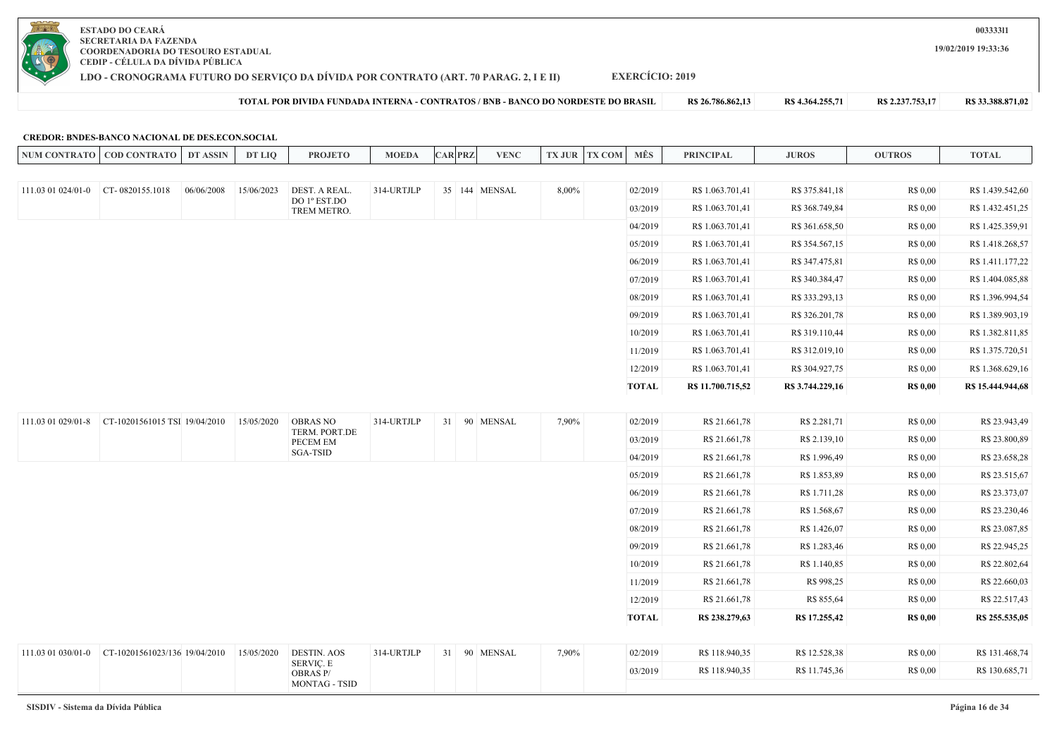

**LDO - CRONOGRAMA FUTURO DO SERVIÇO DA DÍVIDA POR CONTRATO (ART. 70 PARAG. 2, I E II)**

**EXERCÍCIO: 2019**

NUM CONTRATO | COD CONTRATO | DT ASSIN | DT LIQ | PROJETO | MOEDA |CAR|PRZ| VENC |TX JUR TX COM | MES | PRINCIPAL | JUROS | OUTROS | TOTAL

**TOTAL POR DIVIDA FUNDADA INTERNA - CONTRATOS / BNB - BANCO DO NORDESTE DO BRASIL R\$ 26.786.862,13 R\$ 4.364.255,71 R\$ 2.237.753,17 R\$ 33.388.871,02**

**19/02/2019 19:33:36**

### **CREDOR: BNDES-BANCO NACIONAL DE DES.ECON.SOCIAL**

| 111.03 01 024/01-0 | $CT - 0820155.1018$<br>06/06/2008 | 15/06/2023 | DEST. A REAL.<br>DO 1º EST.DO                        | 314-URTJLP |  | 35 144 MENSAL | 8,00% | 02/2019      | R\$ 1.063.701,41  | R\$ 375.841,18   | R\$ 0,00        | R\$ 1.439.542,60  |
|--------------------|-----------------------------------|------------|------------------------------------------------------|------------|--|---------------|-------|--------------|-------------------|------------------|-----------------|-------------------|
|                    |                                   |            | TREM METRO.                                          |            |  |               |       | 03/2019      | R\$ 1.063.701,41  | R\$ 368.749,84   | R\$ 0,00        | R\$ 1.432.451,25  |
|                    |                                   |            |                                                      |            |  |               |       | 04/2019      | R\$ 1.063.701,41  | R\$ 361.658,50   | R\$ 0,00        | R\$ 1.425.359,91  |
|                    |                                   |            |                                                      |            |  |               |       | 05/2019      | R\$ 1.063.701,41  | R\$ 354.567,15   | R\$ 0,00        | R\$ 1.418.268,57  |
|                    |                                   |            |                                                      |            |  |               |       | 06/2019      | R\$ 1.063.701,41  | R\$ 347.475,81   | R\$ 0,00        | R\$ 1.411.177,22  |
|                    |                                   |            |                                                      |            |  |               |       | 07/2019      | R\$ 1.063.701,41  | R\$ 340.384,47   | R\$ 0,00        | R\$ 1.404.085,88  |
|                    |                                   |            |                                                      |            |  |               |       | 08/2019      | R\$ 1.063.701,41  | R\$ 333.293,13   | R\$ 0.00        | R\$ 1.396.994,54  |
|                    |                                   |            |                                                      |            |  |               |       | 09/2019      | R\$ 1.063.701,41  | R\$ 326.201,78   | R\$ 0.00        | R\$ 1.389.903,19  |
|                    |                                   |            |                                                      |            |  |               |       | 10/2019      | R\$ 1.063.701,41  | R\$ 319.110,44   | R\$ 0.00        | R\$ 1.382.811,85  |
|                    |                                   |            |                                                      |            |  |               |       | 11/2019      | R\$ 1.063.701,41  | R\$ 312.019,10   | R\$ 0,00        | R\$ 1.375.720,51  |
|                    |                                   |            |                                                      |            |  |               |       | 12/2019      | R\$ 1.063.701,41  | R\$ 304.927,75   | R\$ 0,00        | R\$ 1.368.629,16  |
|                    |                                   |            |                                                      |            |  |               |       | <b>TOTAL</b> | R\$ 11.700.715,52 | R\$ 3.744.229,16 | <b>R\$ 0,00</b> | R\$ 15.444.944,68 |
| 111.03 01 029/01-8 | CT-10201561015 TSI 19/04/2010     | 15/05/2020 | <b>OBRAS NO</b>                                      | 314-URTJLP |  | 31 90 MENSAL  | 7,90% | 02/2019      | R\$ 21.661,78     | R\$ 2.281,71     | R\$ 0,00        | R\$ 23.943,49     |
|                    |                                   |            | TERM. PORT.DE<br>PECEM EM                            |            |  |               |       | 03/2019      | R\$ 21.661,78     | R\$ 2.139,10     | R\$ 0.00        | R\$ 23.800,89     |
|                    |                                   |            | SGA-TSID                                             |            |  |               |       | 04/2019      | R\$ 21.661,78     | R\$ 1.996,49     | R\$ 0,00        | R\$ 23.658,28     |
|                    |                                   |            |                                                      |            |  |               |       | 05/2019      | R\$ 21.661,78     | R\$ 1.853,89     | R\$ 0,00        | R\$ 23.515,67     |
|                    |                                   |            |                                                      |            |  |               |       | 06/2019      | R\$ 21.661,78     | R\$ 1.711,28     | R\$ 0,00        | R\$ 23.373,07     |
|                    |                                   |            |                                                      |            |  |               |       | 07/2019      | R\$ 21.661,78     | R\$ 1.568,67     | R\$ 0,00        | R\$ 23.230,46     |
|                    |                                   |            |                                                      |            |  |               |       | 08/2019      | R\$ 21.661,78     | R\$ 1.426,07     | R\$ 0,00        | R\$ 23.087,85     |
|                    |                                   |            |                                                      |            |  |               |       | 09/2019      | R\$ 21.661,78     | R\$ 1.283,46     | R\$ 0,00        | R\$ 22.945,25     |
|                    |                                   |            |                                                      |            |  |               |       | 10/2019      | R\$ 21.661,78     | R\$ 1.140,85     | R\$ 0.00        | R\$ 22.802,64     |
|                    |                                   |            |                                                      |            |  |               |       | 11/2019      | R\$ 21.661,78     | R\$ 998,25       | R\$ 0,00        | R\$ 22.660,03     |
|                    |                                   |            |                                                      |            |  |               |       | 12/2019      | R\$ 21.661,78     | R\$ 855,64       | R\$ 0,00        | R\$ 22.517,43     |
|                    |                                   |            |                                                      |            |  |               |       | <b>TOTAL</b> | R\$ 238.279,63    | R\$ 17.255,42    | <b>R\$ 0,00</b> | R\$ 255.535,05    |
|                    |                                   |            |                                                      |            |  |               |       |              |                   |                  |                 |                   |
| 111.03 01 030/01-0 | CT-10201561023/136 19/04/2010     | 15/05/2020 | <b>DESTIN. AOS</b>                                   | 314-URTJLP |  | 31 90 MENSAL  | 7,90% | 02/2019      | R\$ 118.940,35    | R\$ 12.528,38    | R\$ 0,00        | R\$ 131.468,74    |
|                    |                                   |            | <b>SERVIÇ. E</b><br>OBRAS P/<br><b>MONTAG - TSID</b> |            |  |               |       | 03/2019      | R\$ 118.940,35    | R\$ 11.745,36    | R\$ 0,00        | R\$ 130.685,71    |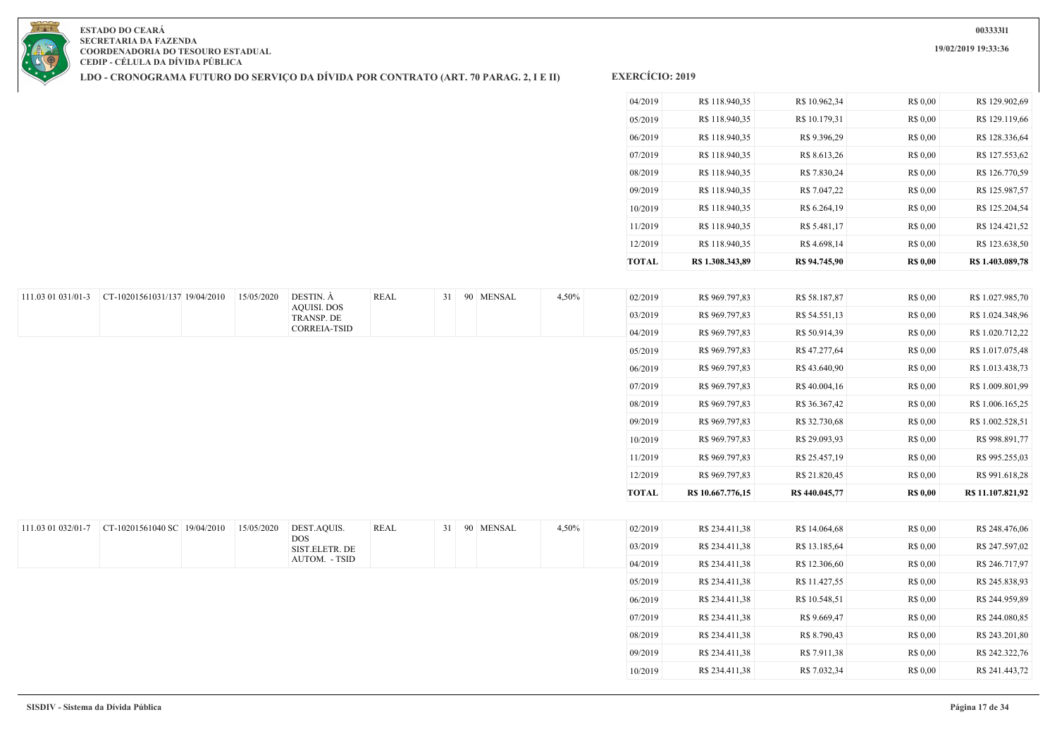**19/02/2019 19:33:36**

**ESTADO DO CEARÁ SECRETARIA DA FAZENDA COORDENADORIA DO TESOURO ESTADUAL CEDIP - CÉLULA DA DÍVIDA PÚBLICA**

111.03 01 031/01-3 CT-10201561031/137 19/04/2010 15/05/2020 DESTIN. À

**LDO - CRONOGRAMA FUTURO DO SERVIÇO DA DÍVIDA POR CONTRATO (ART. 70 PARAG. 2, I E II)**

AQUISI. DOS TRANSP. DE CORREIA-TSID

| <b>TOTAL</b> | R\$ 1.308.343.89 | R\$ 94.745.90 | <b>R\$ 0,00</b> | R\$ 1.403.089,78 |
|--------------|------------------|---------------|-----------------|------------------|
| 12/2019      | R\$ 118.940,35   | R\$4.698,14   | R\$ 0.00        | R\$ 123.638,50   |
| 11/2019      | R\$ 118.940,35   | R\$ 5.481,17  | R\$ 0.00        | R\$ 124.421,52   |
| 10/2019      | R\$ 118,940.35   | R\$ 6.264,19  | R\$ 0.00        | R\$ 125,204.54   |
| 09/2019      | R\$ 118.940,35   | R\$ 7.047,22  | R\$ 0.00        | R\$ 125.987,57   |
| 08/2019      | R\$ 118.940,35   | R\$ 7.830,24  | R\$ 0.00        | R\$ 126.770,59   |
| 07/2019      | R\$ 118,940.35   | R\$ 8.613,26  | R\$ 0.00        | R\$ 127.553,62   |
| 06/2019      | R\$ 118.940,35   | R\$ 9.396,29  | R\$ 0.00        | R\$ 128.336,64   |
| 05/2019      | R\$ 118.940,35   | R\$ 10.179,31 | R\$ 0.00        | R\$ 129.119,66   |
| 04/2019      | R\$ 118,940.35   | R\$ 10.962,34 | R\$ 0.00        | R\$ 129.902,69   |
|              |                  |               |                 |                  |

| REAL | 31 | 90 MENSAL | 4,50% | 02/2019      | R\$ 969.797,83    | R\$ 58.187,87 | R\$ 0.00        | R\$ 1.027.985,70  |
|------|----|-----------|-------|--------------|-------------------|---------------|-----------------|-------------------|
|      |    |           |       | 03/2019      | R\$ 969.797,83    | R\$ 54.551,13 | R\$ 0.00        | R\$ 1.024.348,96  |
|      |    |           |       | 04/2019      | R\$ 969.797,83    | R\$ 50.914,39 | R\$ 0.00        | R\$ 1.020.712,22  |
|      |    |           |       | 05/2019      | R\$ 969.797,83    | R\$47.277,64  | R\$ 0.00        | R\$ 1.017.075,48  |
|      |    |           |       | 06/2019      | R\$ 969.797,83    | R\$43.640,90  | R\$ 0.00        | R\$ 1.013.438,73  |
|      |    |           |       | 07/2019      | R\$ 969.797,83    | R\$40.004,16  | R\$ 0.00        | R\$ 1.009.801,99  |
|      |    |           |       | 08/2019      | R\$ 969.797,83    | R\$ 36.367,42 | R\$ 0.00        | R\$ 1.006.165,25  |
|      |    |           |       | 09/2019      | R\$ 969.797,83    | R\$ 32.730,68 | R\$ 0.00        | R\$ 1.002.528,51  |
|      |    |           |       | 10/2019      | R\$ 969.797,83    | R\$ 29.093,93 | R\$ 0.00        | R\$ 998.891,77    |
|      |    |           |       | 11/2019      | R\$ 969.797,83    | R\$ 25.457,19 | R\$ 0.00        | R\$ 995.255,03    |
|      |    |           |       | 12/2019      | R\$ 969.797,83    | R\$ 21.820,45 | R\$ 0.00        | R\$ 991.618,28    |
|      |    |           |       | <b>TOTAL</b> | R\$ 10.667.776,15 | R\$440.045,77 | <b>R\$ 0,00</b> | R\$ 11.107.821,92 |

| REAL | 31 | <b>MENSAL</b><br>90 |  | 4,50% | 02/2019 | R\$ 234.411,38 | R\$ 14.064.68 | R\$ 0.00 | R\$ 248.476,06 |
|------|----|---------------------|--|-------|---------|----------------|---------------|----------|----------------|
|      |    |                     |  |       | 03/2019 | R\$ 234.411,38 | R\$ 13.185,64 | R\$ 0.00 | R\$ 247.597,02 |
|      |    |                     |  |       | 04/2019 | R\$ 234.411,38 | R\$ 12.306,60 | R\$ 0.00 | R\$ 246.717,97 |
|      |    |                     |  |       | 05/2019 | R\$ 234.411,38 | R\$ 11.427,55 | R\$ 0.00 | R\$ 245.838,93 |
|      |    |                     |  |       | 06/2019 | R\$ 234.411,38 | R\$ 10.548,51 | R\$ 0.00 | R\$ 244.959,89 |
|      |    |                     |  |       | 07/2019 | R\$ 234.411,38 | R\$ 9.669.47  | R\$ 0.00 | R\$ 244,080.85 |
|      |    |                     |  |       | 08/2019 | R\$ 234.411,38 | R\$ 8.790,43  | R\$ 0.00 | R\$ 243.201,80 |
|      |    |                     |  |       | 09/2019 | R\$ 234.411,38 | R\$ 7.911,38  | R\$ 0.00 | R\$ 242.322,76 |
|      |    |                     |  |       | 10/2019 | R\$ 234.411,38 | R\$ 7.032,34  | R\$ 0.00 | R\$ 241.443,72 |
|      |    |                     |  |       |         |                |               |          |                |

| 111.03 01 032/01-7 | $CT-10201561040$ SC $19/04/2010$ | 15/05/2020 | DEST.AQUIS.<br><b>DOS</b><br>SIST.ELETR. DE | REAL | 31 | 90 MENSAL | 4,50% |
|--------------------|----------------------------------|------------|---------------------------------------------|------|----|-----------|-------|
|                    |                                  |            | AUTOM. - TSID                               |      |    |           |       |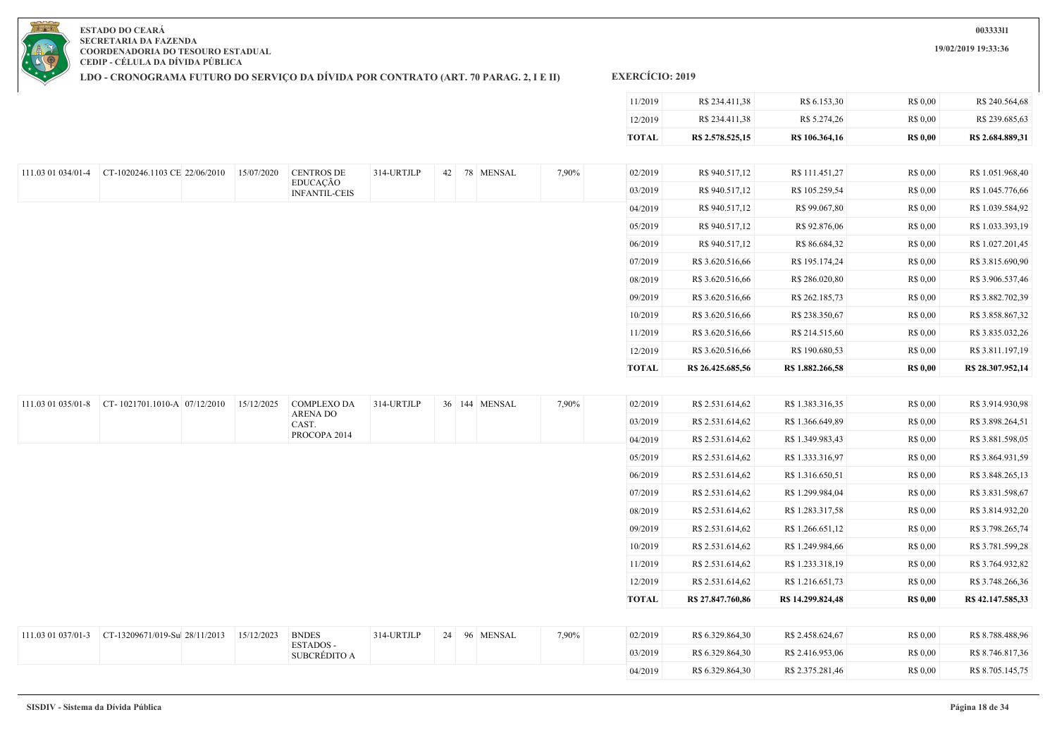**19/02/2019 19:33:36**



**ESTADO DO CEARÁ SECRETARIA DA FAZENDA COORDENADORIA DO TESOURO ESTADUAL CEDIP - CÉLULA DA DÍVIDA PÚBLICA**

**LDO - CRONOGRAMA FUTURO DO SERVIÇO DA DÍVIDA POR CONTRATO (ART. 70 PARAG. 2, I E II)**

|                    |                                                              |            |                                  |            |               |       | 11/2019      | R\$ 234.411,38    | R\$ 6.153,30      | R\$ 0,00        | R\$ 240.564,68    |
|--------------------|--------------------------------------------------------------|------------|----------------------------------|------------|---------------|-------|--------------|-------------------|-------------------|-----------------|-------------------|
|                    |                                                              |            |                                  |            |               |       | 12/2019      | R\$ 234.411,38    | R\$ 5.274,26      | R\$ 0,00        | R\$ 239.685,63    |
|                    |                                                              |            |                                  |            |               |       | <b>TOTAL</b> | R\$ 2.578.525,15  | R\$ 106.364,16    | <b>R\$ 0,00</b> | R\$ 2.684.889,31  |
|                    |                                                              |            |                                  |            |               |       |              |                   |                   |                 |                   |
| 111.03 01 034/01-4 | CT-1020246.1103 CE 22/06/2010                                | 15/07/2020 | <b>CENTROS DE</b>                | 314-URTJLP | 42 78 MENSAL  | 7,90% | 02/2019      | R\$ 940.517,12    | R\$ 111.451,27    | R\$ 0,00        | R\$ 1.051.968,40  |
|                    |                                                              |            | EDUCAÇÃO<br><b>INFANTIL-CEIS</b> |            |               |       | 03/2019      | R\$ 940.517,12    | R\$ 105.259,54    | R\$ 0,00        | R\$ 1.045.776,66  |
|                    |                                                              |            |                                  |            |               |       | 04/2019      | R\$ 940.517,12    | R\$ 99.067,80     | R\$ 0,00        | R\$ 1.039.584,92  |
|                    |                                                              |            |                                  |            |               |       | 05/2019      | R\$ 940.517,12    | R\$ 92.876,06     | R\$ 0,00        | R\$ 1.033.393,19  |
|                    |                                                              |            |                                  |            |               |       | 06/2019      | R\$ 940.517,12    | R\$ 86.684,32     | R\$ 0,00        | R\$ 1.027.201,45  |
|                    |                                                              |            |                                  |            |               |       | 07/2019      | R\$ 3.620.516,66  | R\$ 195.174,24    | R\$ 0,00        | R\$ 3.815.690,90  |
|                    |                                                              |            |                                  |            |               |       | 08/2019      | R\$ 3.620.516,66  | R\$ 286.020,80    | R\$ 0,00        | R\$ 3.906.537,46  |
|                    |                                                              |            |                                  |            |               |       | 09/2019      | R\$ 3.620.516,66  | R\$ 262.185,73    | R\$ 0,00        | R\$ 3.882.702,39  |
|                    |                                                              |            |                                  |            |               |       | 10/2019      | R\$ 3.620.516,66  | R\$ 238.350,67    | R\$ 0,00        | R\$ 3.858.867,32  |
|                    |                                                              |            |                                  |            |               |       | 11/2019      | R\$ 3.620.516,66  | R\$ 214.515,60    | R\$ 0,00        | R\$ 3.835.032,26  |
|                    |                                                              |            |                                  |            |               |       | 12/2019      | R\$ 3.620.516,66  | R\$ 190.680,53    | R\$ 0,00        | R\$ 3.811.197,19  |
|                    |                                                              |            |                                  |            |               |       | <b>TOTAL</b> | R\$ 26.425.685,56 | R\$ 1.882.266,58  | <b>R\$ 0,00</b> | R\$ 28.307.952,14 |
|                    |                                                              |            |                                  |            |               |       |              |                   |                   |                 |                   |
|                    | 111.03 01 035/01-8 CT-1021701.1010-A 07/12/2010 15/12/2025   |            | COMPLEXO DA                      | 314-URTJLP | 36 144 MENSAL | 7,90% | 02/2019      | R\$ 2.531.614,62  | R\$ 1.383.316,35  | R\$ 0,00        | R\$ 3.914.930,98  |
|                    |                                                              |            | <b>ARENA DO</b><br>CAST.         |            |               |       | 03/2019      | R\$ 2.531.614,62  | R\$ 1.366.649,89  | R\$ 0,00        | R\$ 3.898.264,51  |
|                    |                                                              |            | PROCOPA 2014                     |            |               |       | 04/2019      | R\$ 2.531.614,62  | R\$ 1.349.983,43  | R\$ 0,00        | R\$ 3.881.598,05  |
|                    |                                                              |            |                                  |            |               |       | 05/2019      | R\$ 2.531.614,62  | R\$ 1.333.316,97  | R\$ 0,00        | R\$ 3.864.931,59  |
|                    |                                                              |            |                                  |            |               |       | 06/2019      | R\$ 2.531.614,62  | R\$ 1.316.650,51  | R\$ 0,00        | R\$ 3.848.265,13  |
|                    |                                                              |            |                                  |            |               |       | 07/2019      | R\$ 2.531.614,62  | R\$ 1.299.984,04  | R\$ 0,00        | R\$ 3.831.598,67  |
|                    |                                                              |            |                                  |            |               |       | 08/2019      | R\$ 2.531.614,62  | R\$ 1.283.317,58  | R\$ 0,00        | R\$ 3.814.932,20  |
|                    |                                                              |            |                                  |            |               |       | 09/2019      | R\$ 2.531.614,62  | R\$ 1.266.651,12  | R\$ 0,00        | R\$ 3.798.265,74  |
|                    |                                                              |            |                                  |            |               |       | 10/2019      | R\$ 2.531.614,62  | R\$ 1.249.984,66  | R\$ 0,00        | R\$ 3.781.599,28  |
|                    |                                                              |            |                                  |            |               |       | 11/2019      | R\$ 2.531.614,62  | R\$ 1.233.318,19  | R\$ 0,00        | R\$ 3.764.932,82  |
|                    |                                                              |            |                                  |            |               |       | 12/2019      | R\$ 2.531.614,62  | R\$ 1.216.651,73  | R\$ 0,00        | R\$ 3.748.266,36  |
|                    |                                                              |            |                                  |            |               |       | <b>TOTAL</b> | R\$ 27.847.760,86 | R\$ 14.299.824,48 | <b>R\$ 0,00</b> | R\$42.147.585,33  |
|                    |                                                              |            |                                  |            |               |       |              |                   |                   |                 |                   |
|                    | 111.03 01 037/01-3 CT-13209671/019-Sul 28/11/2013 15/12/2023 |            | <b>BNDES</b>                     | 314-URTJLP | 24 96 MENSAL  | 7,90% | 02/2019      | R\$ 6.329.864,30  | R\$ 2.458.624,67  | R\$ 0,00        | R\$ 8.788.488,96  |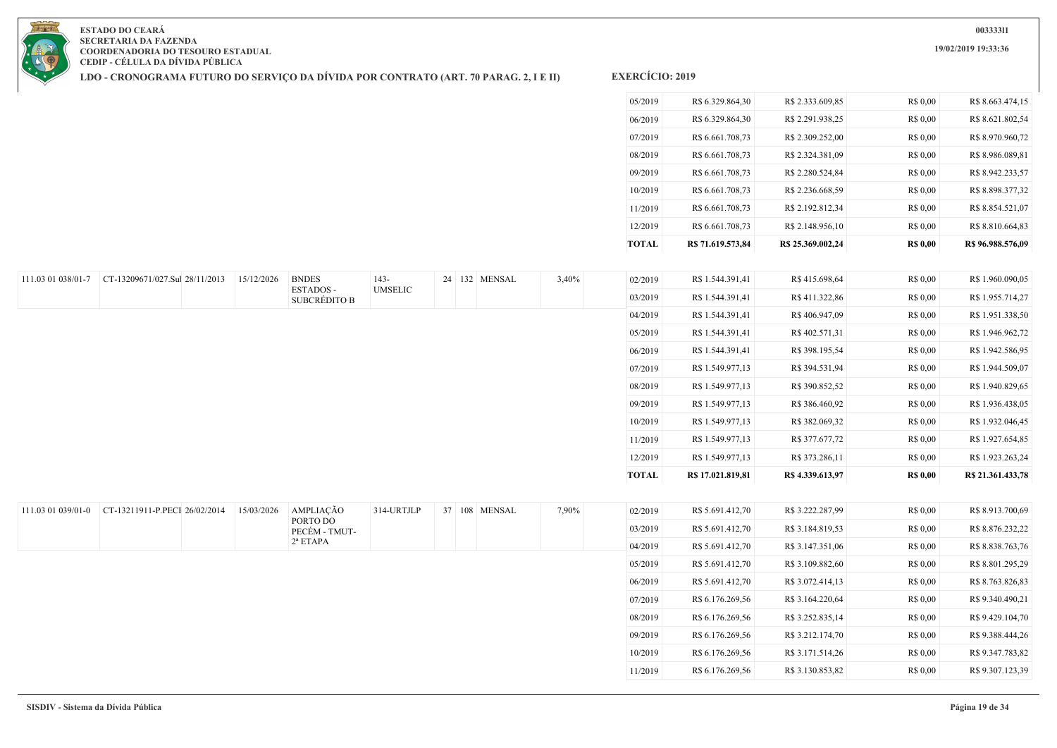**LDO - CRONOGRAMA FUTURO DO SERVIÇO DA DÍVIDA POR CONTRATO (ART. 70 PARAG. 2, I E II)**

| <b>TOTAL</b> | R\$ 71.619.573.84 | R\$ 25.369.002.24 | <b>R\$ 0,00</b> | R\$ 96.988.576.09 |
|--------------|-------------------|-------------------|-----------------|-------------------|
| 12/2019      | R\$ 6.661.708,73  | R\$ 2.148.956,10  | R\$ 0,00        | R\$ 8.810.664.83  |
| 11/2019      | R\$ 6.661.708.73  | R\$ 2.192.812.34  | R\$ 0,00        | R\$ 8.854.521.07  |
| 10/2019      | R\$ 6.661.708,73  | R\$ 2.236.668,59  | R\$ 0,00        | R\$ 8.898.377,32  |
| 09/2019      | R\$ 6.661.708,73  | R\$ 2.280.524,84  | R\$ 0,00        | R\$ 8.942.233,57  |
| 08/2019      | R\$ 6.661.708.73  | R\$ 2.324.381,09  | R\$ 0.00        | R\$ 8.986.089.81  |
| 07/2019      | R\$ 6.661.708.73  | R\$ 2.309.252.00  | R\$ 0.00        | R\$ 8.970.960.72  |
| 06/2019      | R\$ 6.329.864.30  | R\$ 2.291.938.25  | R\$ 0.00        | R\$ 8.621.802.54  |
| 05/2019      | R\$ 6.329.864,30  | R\$ 2.333,609.85  | R\$ 0.00        | R\$ 8.663.474.15  |
|              |                   |                   |                 |                   |

| 111.03 01 038/01-7 | CT-13209671/027.Sul 28/11/2013 | 15/12/2026 | <b>BNDES</b>                    | 143-           | 24 132 MENSAL | 3,40% | 02/2019      | R\$ 1.544.391,41  | R\$ 415.698,64   | R\$ 0,00        | R\$ 1.960.090,05                     |
|--------------------|--------------------------------|------------|---------------------------------|----------------|---------------|-------|--------------|-------------------|------------------|-----------------|--------------------------------------|
|                    |                                |            | ESTADOS-<br><b>SUBCRÉDITO B</b> | <b>UMSELIC</b> |               |       | 03/2019      | R\$ 1.544.391,41  | R\$411.322,86    | R\$ 0,00        | R\$ 1.955.714,27                     |
|                    |                                |            |                                 |                |               |       | 04/2019      | R\$ 1.544.391,41  | R\$406.947,09    | R\$ 0,00        | R\$ 1.951.338,50                     |
|                    |                                |            |                                 |                |               |       | 05/2019      | R\$ 1.544.391,41  | R\$402.571,31    | R\$ 0,00        | R\$ 1.946.962,72                     |
|                    |                                |            |                                 |                |               |       | 06/2019      | R\$ 1.544.391,41  | R\$ 398.195,54   | R\$ 0,00        | R\$ 1.942.586,95                     |
|                    |                                |            |                                 |                |               |       | 07/2019      | R\$ 1.549.977,13  | R\$ 394.531,94   | R\$ 0,00        | R\$ 1.944.509,07                     |
|                    |                                |            |                                 |                |               |       | 08/2019      | R\$ 1.549.977,13  | R\$ 390.852,52   | R\$ 0,00        | R\$ 1.940.829,65                     |
|                    |                                |            |                                 |                |               |       | 09/2019      | R\$ 1.549.977,13  | R\$ 386.460,92   | R\$ 0,00        | R\$ 1.936.438,05                     |
|                    |                                |            |                                 |                |               |       | 10/2019      | R\$ 1.549.977,13  | R\$ 382.069,32   | R\$ 0,00        | R\$ 1.932.046,45                     |
|                    |                                |            |                                 |                |               |       | 11/2019      | R\$ 1.549.977,13  | R\$ 377.677,72   | R\$ 0,00        | R\$ 1.927.654,85                     |
|                    |                                |            |                                 |                |               |       | 12/2019      | R\$ 1.549.977,13  | R\$ 373.286,11   | R\$ 0,00        | R\$ 1.923.263,24                     |
|                    |                                |            |                                 |                |               |       | <b>TOTAL</b> | R\$ 17.021.819,81 | R\$ 4.339.613,97 | <b>R\$</b> 0,00 | R\$ 21.361.433,78                    |
|                    |                                |            |                                 |                |               |       |              |                   |                  |                 |                                      |
| 111.03 01 039/01-0 | CT-13211911-P.PECI 26/02/2014  | 15/03/2026 | AMPLIAÇÃO                       | 314-URTJLP     | 37 108 MENSAL | 7,90% | 02/2019      | R\$ 5.691.412,70  | R\$ 3.222.287,99 | R\$ 0,00        | R\$ 8.913.700,69                     |
|                    |                                |            | PORTO DO<br>PECÉM - TMUT-       |                |               |       | 03/2019      | R\$ 5.691.412,70  | R\$ 3.184.819,53 | R\$ 0,00        | R\$ 8.876.232,22                     |
|                    |                                |            | $2^a$ ETAPA                     |                |               |       | 04/2019      | R\$ 5.691.412,70  | R\$ 3.147.351,06 | R\$ 0,00        | R\$ 8.838.763,76                     |
|                    |                                |            |                                 |                |               |       | 05/2019      | R\$ 5.691.412,70  | R\$ 3.109.882,60 | R\$ 0,00        | R\$ 8.801.295,29                     |
|                    |                                |            |                                 |                |               |       | 06/2019      | R\$ 5.691.412,70  | R\$ 3.072.414,13 | R\$ 0,00        | R\$ 8.763.826,83                     |
|                    |                                |            |                                 |                |               |       | 07/2019      | R\$ 6.176.269,56  | R\$ 3.164.220,64 | R\$ 0,00        | R\$ 9.340.490,21                     |
|                    |                                |            |                                 |                |               |       | 08/2019      | R\$ 6.176.269,56  | R\$ 3.252.835,14 | R\$ 0,00        | R\$ 9.429.104,70                     |
|                    |                                |            |                                 |                |               |       |              |                   |                  |                 |                                      |
|                    |                                |            |                                 |                |               |       | 09/2019      | R\$ 6.176.269,56  | R\$ 3.212.174,70 | R\$ 0,00        |                                      |
|                    |                                |            |                                 |                |               |       | 10/2019      | R\$ 6.176.269,56  | R\$ 3.171.514,26 | R\$ 0,00        | R\$ 9.388.444,26<br>R\$ 9.347.783,82 |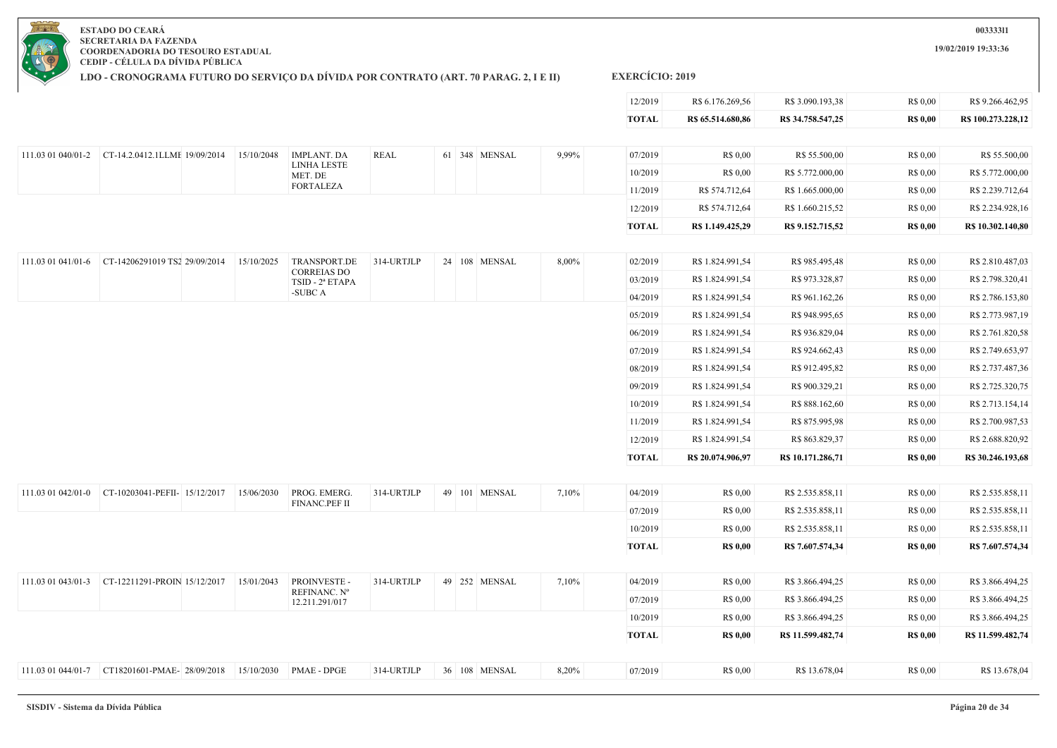**19/02/2019 19:33:36**

**ESTADO DO CEARÁ SECRETARIA DA FAZENDA COORDENADORIA DO TESOURO ESTADUAL CEDIP - CÉLULA DA DÍVIDA PÚBLICA**

**LDO - CRONOGRAMA FUTURO DO SERVIÇO DA DÍVIDA POR CONTRATO (ART. 70 PARAG. 2, I E II)**

|                    |                                                                    |            |                                       |             |  |               |       | 12/2019      | R\$ 6.176.269,56  | R\$ 3.090.193,38  | R\$ 0,00        | R\$ 9.266.462,95   |
|--------------------|--------------------------------------------------------------------|------------|---------------------------------------|-------------|--|---------------|-------|--------------|-------------------|-------------------|-----------------|--------------------|
|                    |                                                                    |            |                                       |             |  |               |       | <b>TOTAL</b> | R\$ 65.514.680,86 | R\$ 34.758.547,25 | <b>R\$ 0,00</b> | R\$ 100.273.228,12 |
|                    |                                                                    |            |                                       |             |  |               |       |              |                   |                   |                 |                    |
|                    |                                                                    | 15/10/2048 | <b>IMPLANT. DA</b>                    | <b>REAL</b> |  | 61 348 MENSAL | 9,99% | 07/2019      | R\$ 0,00          | R\$ 55.500,00     | R\$ 0,00        | R\$ 55.500,00      |
|                    |                                                                    |            | <b>LINHA LESTE</b><br>MET. DE         |             |  |               |       | 10/2019      | R\$ 0.00          | R\$ 5.772.000,00  | R\$ 0,00        | R\$ 5.772.000,00   |
|                    |                                                                    |            | <b>FORTALEZA</b>                      |             |  |               |       | 11/2019      | R\$ 574.712,64    | R\$ 1.665.000,00  | R\$ 0,00        | R\$ 2.239.712,64   |
|                    |                                                                    |            |                                       |             |  |               |       | 12/2019      | R\$ 574.712,64    | R\$ 1.660.215,52  | R\$ 0,00        | R\$ 2.234.928,16   |
|                    |                                                                    |            |                                       |             |  |               |       | <b>TOTAL</b> | R\$ 1.149.425,29  | R\$ 9.152.715,52  | <b>R\$ 0,00</b> | R\$ 10.302.140,80  |
| 111.03 01 041/01-6 | CT-14206291019 TS2 29/09/2014                                      | 15/10/2025 | TRANSPORT.DE                          | 314-URTJLP  |  | 24 108 MENSAL | 8,00% | 02/2019      | R\$ 1.824.991,54  | R\$ 985.495,48    | R\$ 0,00        | R\$ 2.810.487,03   |
|                    |                                                                    |            | <b>CORREIAS DO</b><br>TSID - 2ª ETAPA |             |  |               |       | 03/2019      | R\$ 1.824.991,54  | R\$ 973.328,87    | R\$ 0,00        | R\$ 2.798.320,41   |
|                    |                                                                    |            | -SUBC A                               |             |  |               |       | 04/2019      | R\$ 1.824.991,54  | R\$ 961.162,26    | R\$ 0,00        | R\$ 2.786.153,80   |
|                    |                                                                    |            |                                       |             |  |               |       | 05/2019      | R\$ 1.824.991,54  | R\$ 948.995,65    | R\$ 0,00        | R\$ 2.773.987,19   |
|                    |                                                                    |            |                                       |             |  |               |       | 06/2019      | R\$ 1.824.991,54  | R\$ 936.829,04    | R\$ 0,00        | R\$ 2.761.820,58   |
|                    |                                                                    |            |                                       |             |  |               |       | 07/2019      | R\$ 1.824.991,54  | R\$ 924.662,43    | R\$ 0,00        | R\$ 2.749.653,97   |
|                    |                                                                    |            |                                       |             |  |               |       | 08/2019      | R\$ 1.824.991,54  | R\$ 912.495,82    | R\$ 0,00        | R\$ 2.737.487,36   |
|                    |                                                                    |            |                                       |             |  |               |       | 09/2019      | R\$ 1.824.991,54  | R\$ 900.329,21    | R\$ 0,00        | R\$ 2.725.320,75   |
|                    |                                                                    |            |                                       |             |  |               |       | 10/2019      | R\$ 1.824.991,54  | R\$ 888.162,60    | R\$ 0,00        | R\$ 2.713.154,14   |
|                    |                                                                    |            |                                       |             |  |               |       | 11/2019      | R\$ 1.824.991,54  | R\$ 875.995,98    | R\$ 0,00        | R\$ 2.700.987,53   |
|                    |                                                                    |            |                                       |             |  |               |       | 12/2019      | R\$ 1.824.991,54  | R\$ 863.829,37    | R\$ 0,00        | R\$ 2.688.820,92   |
|                    |                                                                    |            |                                       |             |  |               |       | <b>TOTAL</b> | R\$ 20.074.906,97 | R\$ 10.171.286,71 | <b>R\$ 0,00</b> | R\$ 30.246.193,68  |
| 111.03 01 042/01-0 | CT-10203041-PEFII- 15/12/2017                                      | 15/06/2030 | PROG. EMERG.                          | 314-URTJLP  |  | 49 101 MENSAL | 7,10% | 04/2019      | R\$ 0,00          | R\$ 2.535.858,11  | R\$ 0,00        | R\$ 2.535.858,11   |
|                    |                                                                    |            | FINANC.PEF II                         |             |  |               |       | 07/2019      | R\$ 0,00          | R\$ 2.535.858,11  | R\$ 0,00        | R\$ 2.535.858,11   |
|                    |                                                                    |            |                                       |             |  |               |       | 10/2019      | R\$ 0,00          | R\$ 2.535.858,11  | R\$ 0,00        | R\$ 2.535.858,11   |
|                    |                                                                    |            |                                       |             |  |               |       | <b>TOTAL</b> | <b>R\$ 0,00</b>   | R\$ 7.607.574,34  | <b>R\$ 0,00</b> | R\$ 7.607.574,34   |
|                    |                                                                    |            |                                       |             |  |               |       |              |                   |                   |                 |                    |
|                    | 111.03 01 043/01-3 CT-12211291-PROIN 15/12/2017                    | 15/01/2043 | PROINVESTE -                          | 314-URTJLP  |  | 49 252 MENSAL | 7,10% | 04/2019      | R\$ 0,00          | R\$ 3.866.494,25  | R\$ 0,00        | R\$ 3.866.494,25   |
|                    |                                                                    |            | REFINANC. Nº<br>12.211.291/017        |             |  |               |       | 07/2019      | R\$ 0,00          | R\$ 3.866.494,25  | R\$ 0,00        | R\$ 3.866.494,25   |
|                    |                                                                    |            |                                       |             |  |               |       | 10/2019      | R\$ 0,00          | R\$ 3.866.494,25  | R\$ 0,00        | R\$ 3.866.494,25   |
|                    |                                                                    |            |                                       |             |  |               |       | <b>TOTAL</b> | <b>R\$ 0,00</b>   | R\$ 11.599.482,74 | <b>R\$ 0,00</b> | R\$ 11.599.482,74  |
|                    | 111.03 01 044/01-7 CT18201601-PMAE-28/09/2018 15/10/2030 PMAE-DPGE |            |                                       | 314-URTJLP  |  | 36 108 MENSAL | 8,20% | 07/2019      | R\$ 0.00          | R\$ 13.678,04     | R\$ 0.00        | R\$ 13.678,04      |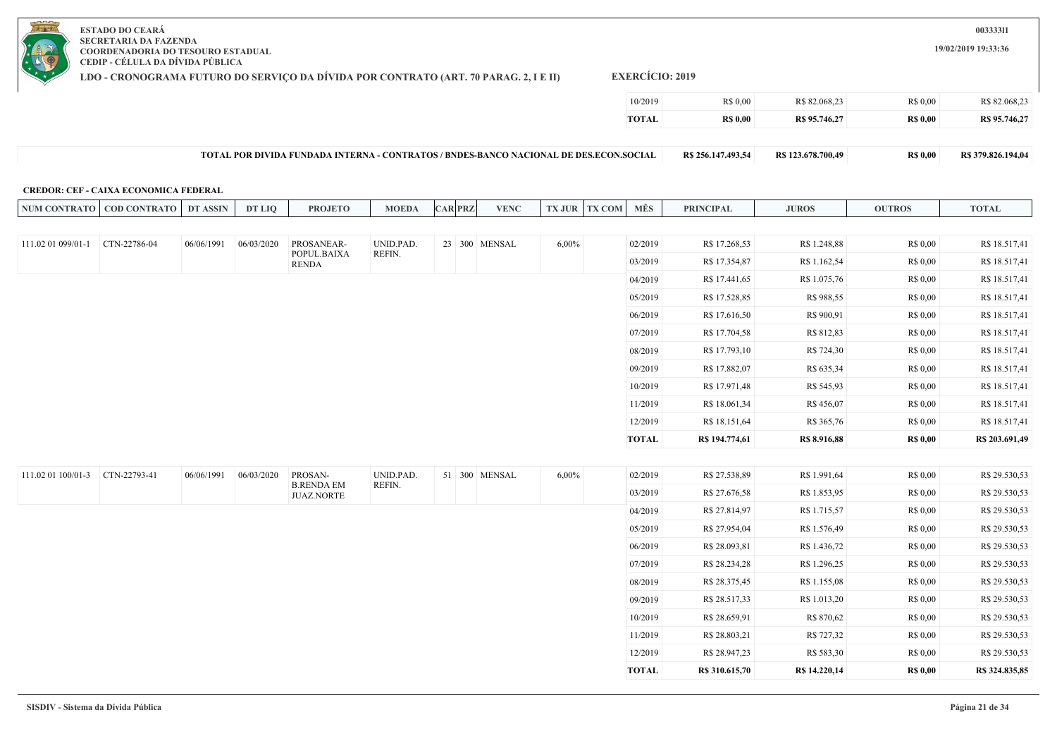**LDO - CRONOGRAMA FUTURO DO SERVIÇO DA DÍVIDA POR CONTRATO (ART. 70 PARAG. 2, I E II)**

**EXERCÍCIO: 2019**

| TOTAL   | <b>RS 0.00</b> | R\$ 95.746,27 | <b>R\$ 0.00</b> | R\$ 95.746.27 |
|---------|----------------|---------------|-----------------|---------------|
| 10/2019 | R\$ 0.00       | R\$ 82.068,23 | <b>R\$ 0.00</b> | R\$ 82,068.23 |

| - TOTAL POR DIVIDA FUNDADA INTERNA - CONTRATOS / BNDES-BANCO NACIONAL DE DES.ECON.SOCIAL | R\$ 256.147.493.54 | R\$ 123.678.700.49 | <b>RS 0.00</b> | R\$ 379.826.194,04 |
|------------------------------------------------------------------------------------------|--------------------|--------------------|----------------|--------------------|
|------------------------------------------------------------------------------------------|--------------------|--------------------|----------------|--------------------|

#### **CREDOR: CEF - CAIXA ECONOMICA FEDERAL**

|                    | NUM CONTRATO   COD CONTRATO | DT ASSIN   | <b>DT LIQ</b> | <b>PROJETO</b>               | <b>MOEDA</b> | <b>CAR PRZ</b> | <b>VENC</b>   | <b>TX JUR TX COM</b> | MÊS          | <b>PRINCIPAL</b> | <b>JUROS</b>  | <b>OUTROS</b>   | <b>TOTAL</b>   |
|--------------------|-----------------------------|------------|---------------|------------------------------|--------------|----------------|---------------|----------------------|--------------|------------------|---------------|-----------------|----------------|
|                    |                             |            |               |                              |              |                |               |                      |              |                  |               |                 |                |
| 111.02 01 099/01-1 | CTN-22786-04                | 06/06/1991 | 06/03/2020    | PROSANEAR-                   | UNID.PAD.    |                | 23 300 MENSAL | $6,00\%$             | 02/2019      | R\$ 17.268,53    | R\$ 1.248,88  | R\$ 0,00        | R\$ 18.517,41  |
|                    |                             |            |               | POPUL.BAIXA<br><b>RENDA</b>  | REFIN.       |                |               |                      | 03/2019      | R\$ 17.354,87    | R\$ 1.162,54  | R\$ 0,00        | R\$ 18.517,41  |
|                    |                             |            |               |                              |              |                |               |                      | 04/2019      | R\$ 17.441,65    | R\$ 1.075,76  | R\$ 0,00        | R\$ 18.517,41  |
|                    |                             |            |               |                              |              |                |               |                      | 05/2019      | R\$ 17.528,85    | R\$ 988,55    | R\$ 0,00        | R\$ 18.517,41  |
|                    |                             |            |               |                              |              |                |               |                      | 06/2019      | R\$ 17.616,50    | R\$ 900,91    | R\$ 0,00        | R\$ 18.517,41  |
|                    |                             |            |               |                              |              |                |               |                      | 07/2019      | R\$ 17.704,58    | R\$ 812,83    | R\$ 0,00        | R\$ 18.517,41  |
|                    |                             |            |               |                              |              |                |               |                      | 08/2019      | R\$ 17.793,10    | R\$ 724,30    | R\$ 0,00        | R\$ 18.517,41  |
|                    |                             |            |               |                              |              |                |               |                      | 09/2019      | R\$ 17.882,07    | R\$ 635,34    | R\$ 0,00        | R\$ 18.517,41  |
|                    |                             |            |               |                              |              |                |               |                      | 10/2019      | R\$ 17.971,48    | R\$ 545,93    | R\$ 0,00        | R\$ 18.517,41  |
|                    |                             |            |               |                              |              |                |               |                      | 11/2019      | R\$ 18.061,34    | R\$ 456,07    | R\$ 0,00        | R\$ 18.517,41  |
|                    |                             |            |               |                              |              |                |               |                      | 12/2019      | R\$ 18.151,64    | R\$ 365,76    | R\$ 0,00        | R\$ 18.517,41  |
|                    |                             |            |               |                              |              |                |               |                      | <b>TOTAL</b> | R\$ 194.774,61   | R\$ 8.916,88  | <b>R\$ 0,00</b> | R\$ 203.691,49 |
|                    |                             |            |               |                              |              |                |               |                      |              |                  |               |                 |                |
| 111.02 01 100/01-3 | CTN-22793-41                | 06/06/1991 | 06/03/2020    | PROSAN-<br><b>B.RENDA EM</b> | UNID.PAD.    |                | 51 300 MENSAL | $6,00\%$             | 02/2019      | R\$ 27.538,89    | R\$ 1.991,64  | R\$ 0,00        | R\$ 29.530,53  |
|                    |                             |            |               | <b>JUAZ.NORTE</b>            | REFIN.       |                |               |                      | 03/2019      | R\$ 27.676,58    | R\$ 1.853,95  | R\$ 0,00        | R\$ 29.530,53  |
|                    |                             |            |               |                              |              |                |               |                      | 04/2019      | R\$ 27.814,97    | R\$ 1.715,57  | R\$ 0,00        | R\$ 29.530,53  |
|                    |                             |            |               |                              |              |                |               |                      | 05/2019      | R\$ 27.954,04    | R\$ 1.576,49  | R\$ 0,00        | R\$ 29.530,53  |
|                    |                             |            |               |                              |              |                |               |                      | 06/2019      | R\$ 28.093,81    | R\$ 1.436,72  | R\$ 0,00        | R\$ 29.530,53  |
|                    |                             |            |               |                              |              |                |               |                      | 07/2019      | R\$ 28.234,28    | R\$ 1.296,25  | R\$ 0,00        | R\$ 29.530,53  |
|                    |                             |            |               |                              |              |                |               |                      | 08/2019      | R\$ 28.375,45    | R\$ 1.155,08  | R\$ 0,00        | R\$ 29.530,53  |
|                    |                             |            |               |                              |              |                |               |                      | 09/2019      | R\$ 28.517,33    | R\$ 1.013,20  | R\$ 0,00        | R\$ 29.530,53  |
|                    |                             |            |               |                              |              |                |               |                      | 10/2019      | R\$ 28.659,91    | R\$ 870,62    | R\$ 0,00        | R\$ 29.530,53  |
|                    |                             |            |               |                              |              |                |               |                      | 11/2019      | R\$ 28.803,21    | R\$ 727,32    | R\$ 0,00        | R\$ 29.530,53  |
|                    |                             |            |               |                              |              |                |               |                      | 12/2019      | R\$ 28.947,23    | R\$ 583,30    | R\$ 0,00        | R\$ 29.530,53  |
|                    |                             |            |               |                              |              |                |               |                      | <b>TOTAL</b> | R\$ 310.615,70   | R\$ 14.220,14 | <b>R\$ 0,00</b> | R\$ 324.835,85 |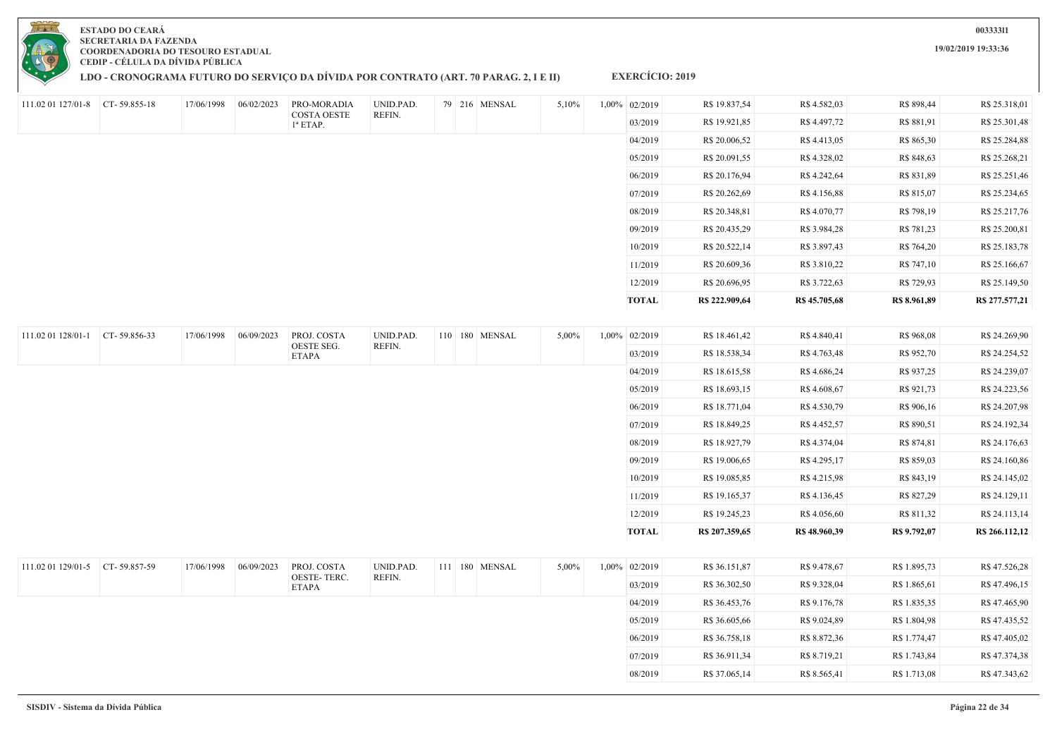|                                 |              |            |            |                             |           |  |                |       | 04/2019       | R\$ 20.006,52  | R\$ 4.413,05  | R\$ 865,30   | R\$ 25.284,88  |
|---------------------------------|--------------|------------|------------|-----------------------------|-----------|--|----------------|-------|---------------|----------------|---------------|--------------|----------------|
|                                 |              |            |            |                             |           |  |                |       | 05/2019       | R\$ 20.091,55  | R\$ 4.328,02  | R\$ 848,63   | R\$ 25.268,21  |
|                                 |              |            |            |                             |           |  |                |       | 06/2019       | R\$ 20.176,94  | R\$ 4.242,64  | R\$ 831,89   | R\$ 25.251,46  |
|                                 |              |            |            |                             |           |  |                |       | 07/2019       | R\$ 20.262,69  | R\$ 4.156,88  | R\$ 815,07   | R\$ 25.234,65  |
|                                 |              |            |            |                             |           |  |                |       | 08/2019       | R\$ 20.348,81  | R\$ 4.070,77  | R\$ 798,19   | R\$ 25.217,76  |
|                                 |              |            |            |                             |           |  |                |       | 09/2019       | R\$ 20.435,29  | R\$ 3.984,28  | R\$ 781,23   | R\$ 25.200,81  |
|                                 |              |            |            |                             |           |  |                |       | 10/2019       | R\$ 20.522,14  | R\$ 3.897,43  | R\$ 764,20   | R\$ 25.183,78  |
|                                 |              |            |            |                             |           |  |                |       | 11/2019       | R\$ 20.609,36  | R\$ 3.810,22  | R\$ 747,10   | R\$ 25.166,67  |
|                                 |              |            |            |                             |           |  |                |       | 12/2019       | R\$ 20.696,95  | R\$ 3.722,63  | R\$ 729,93   | R\$ 25.149,50  |
|                                 |              |            |            |                             |           |  |                |       | <b>TOTAL</b>  | R\$ 222.909,64 | R\$ 45.705,68 | R\$ 8.961,89 | R\$ 277.577,21 |
|                                 |              |            |            |                             |           |  |                |       |               |                |               |              |                |
| 111.02 01 128/01-1              | CT-59.856-33 | 17/06/1998 | 06/09/2023 | PROJ. COSTA                 | UNID.PAD. |  | 110 180 MENSAL | 5,00% | 1,00% 02/2019 | R\$ 18.461,42  | R\$4.840,41   | R\$ 968,08   | R\$ 24.269,90  |
|                                 |              |            |            | OESTE SEG.<br><b>ETAPA</b>  | REFIN.    |  |                |       | 03/2019       | R\$ 18.538,34  | R\$4.763,48   | R\$ 952,70   | R\$ 24.254,52  |
|                                 |              |            |            |                             |           |  |                |       | 04/2019       | R\$ 18.615,58  | R\$4.686,24   | R\$ 937,25   | R\$ 24.239,07  |
|                                 |              |            |            |                             |           |  |                |       | 05/2019       | R\$ 18.693,15  | R\$4.608,67   | R\$ 921,73   | R\$ 24.223,56  |
|                                 |              |            |            |                             |           |  |                |       | 06/2019       | R\$ 18.771,04  | R\$ 4.530,79  | R\$ 906,16   | R\$ 24.207,98  |
|                                 |              |            |            |                             |           |  |                |       | 07/2019       | R\$ 18.849,25  | R\$4.452,57   | R\$ 890,51   | R\$ 24.192,34  |
|                                 |              |            |            |                             |           |  |                |       | 08/2019       | R\$ 18.927,79  | R\$ 4.374,04  | R\$ 874,81   | R\$ 24.176,63  |
|                                 |              |            |            |                             |           |  |                |       | 09/2019       | R\$ 19.006,65  | R\$ 4.295,17  | R\$ 859,03   | R\$ 24.160,86  |
|                                 |              |            |            |                             |           |  |                |       | 10/2019       | R\$ 19.085,85  | R\$4.215,98   | R\$ 843,19   | R\$ 24.145,02  |
|                                 |              |            |            |                             |           |  |                |       | 11/2019       | R\$ 19.165,37  | R\$ 4.136,45  | R\$ 827,29   | R\$ 24.129,11  |
|                                 |              |            |            |                             |           |  |                |       | 12/2019       | R\$ 19.245,23  | R\$4.056,60   | R\$ 811,32   | R\$ 24.113,14  |
|                                 |              |            |            |                             |           |  |                |       | <b>TOTAL</b>  | R\$ 207.359,65 | R\$ 48.960,39 | R\$ 9.792,07 | R\$ 266.112,12 |
|                                 |              |            |            |                             |           |  |                |       |               |                |               |              |                |
| 111.02 01 129/01-5 CT-59.857-59 |              | 17/06/1998 | 06/09/2023 | PROJ. COSTA                 | UNID.PAD. |  | 111 180 MENSAL | 5,00% | 1,00% 02/2019 | R\$ 36.151,87  | R\$ 9.478,67  | R\$ 1.895,73 | R\$47.526,28   |
|                                 |              |            |            | OESTE-TERC.<br><b>ETAPA</b> | REFIN.    |  |                |       | 03/2019       | R\$ 36.302,50  | R\$ 9.328,04  | R\$ 1.865,61 | R\$47.496,15   |
|                                 |              |            |            |                             |           |  |                |       | 04/2019       | R\$ 36.453,76  | R\$ 9.176,78  | R\$ 1.835,35 | R\$47.465,90   |
|                                 |              |            |            |                             |           |  |                |       | 05/2019       | R\$ 36.605,66  | R\$ 9.024,89  | R\$ 1.804,98 | R\$47.435,52   |
|                                 |              |            |            |                             |           |  |                |       | 06/2019       | R\$ 36.758,18  | R\$ 8.872,36  | R\$ 1.774,47 | R\$47.405,02   |
|                                 |              |            |            |                             |           |  |                |       | 07/2019       | R\$ 36.911,34  | R\$ 8.719,21  | R\$ 1.743,84 | R\$47.374,38   |
|                                 |              |            |            |                             |           |  |                |       | 08/2019       | R\$ 37.065,14  | R\$ 8.565,41  | R\$ 1.713,08 | R\$47.343,62   |
|                                 |              |            |            |                             |           |  |                |       |               |                |               |              |                |



111.02 01 127/01-8 CT- 59.855-18 17/06/1998 06/02/2023 PRO-MORADIA

### **LDO - CRONOGRAMA FUTURO DO SERVIÇO DA DÍVIDA POR CONTRATO (ART. 70 PARAG. 2, I E II)**

COSTA OESTE 1ª ETAP.

UNID.PAD. REFIN.

**EXERCÍCIO: 2019**

79 216 MENSAL 5,10% 1,00% 02/2019 R\$ 19.837,54 R\$ 4.582,03 R\$ 898,44 R\$ 25.318,01

03/2019 R\$ 19.921,85 R\$ 4.497,72 R\$ 881,91 R\$ 25.301,48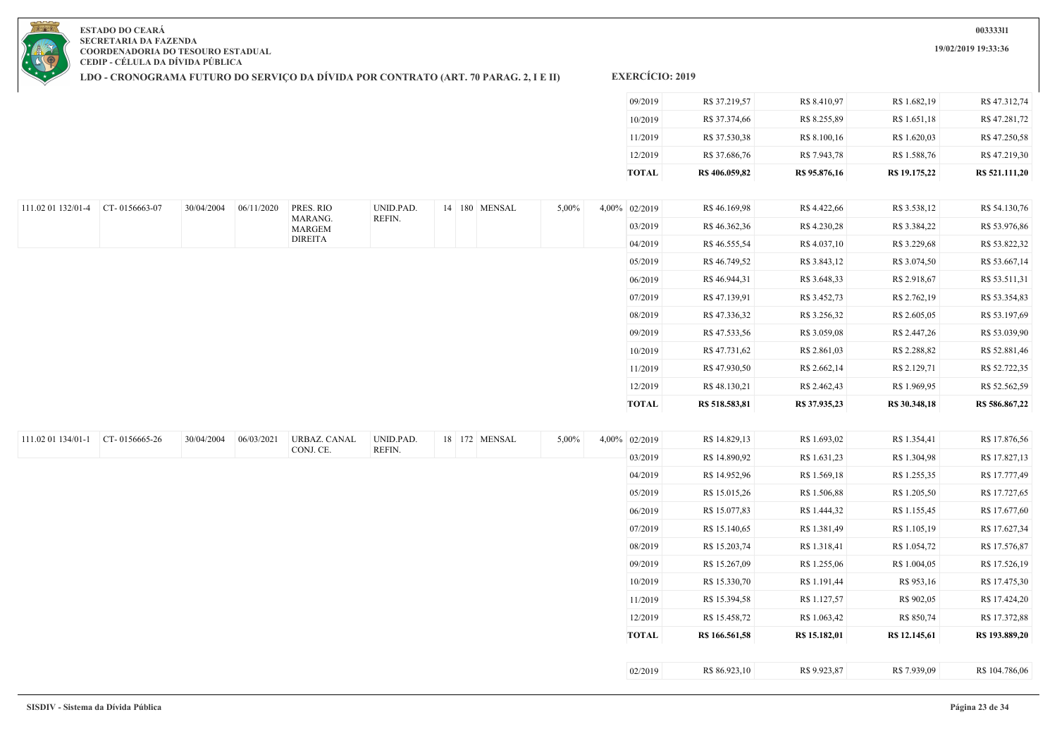**19/02/2019 19:33:36**

**ESTADO DO CEARÁ SECRETARIA DA FAZENDA COORDENADORIA DO TESOURO ESTADUAL CEDIP - CÉLULA DA DÍVIDA PÚBLICA**

**LDO - CRONOGRAMA FUTURO DO SERVIÇO DA DÍVIDA POR CONTRATO (ART. 70 PARAG. 2, I E II)**

| 12/2019 | R\$ 37.686,76 | R\$ 7.943,78 | R\$ 1.588,76 | R\$47.219,30 |
|---------|---------------|--------------|--------------|--------------|
| 11/2019 | R\$ 37.530,38 | R\$ 8.100,16 | R\$ 1.620,03 | R\$47.250,58 |
| 10/2019 | R\$ 37.374,66 | R\$ 8.255,89 | R\$ 1.651,18 | R\$47.281,72 |
| 09/2019 | R\$ 37.219,57 | R\$ 8.410,97 | R\$ 1.682,19 | R\$47.312,74 |

| 111.02 01 132/01-4 | $CT - 0156663 - 07$ | 30/04/2004 | 06/11/2020 | PRES. RIO         | UNID.PAD. | 14 180 MENSAL | 5,00% | 4,00% 02/2019 | R\$ 46.169,98  | R\$ 4.422,66  | R\$ 3.538,12  | R\$ 54.130,76  |
|--------------------|---------------------|------------|------------|-------------------|-----------|---------------|-------|---------------|----------------|---------------|---------------|----------------|
|                    |                     |            |            | MARANG.<br>MARGEM | REFIN.    |               |       | 03/2019       | R\$46.362,36   | R\$ 4.230,28  | R\$ 3.384,22  | R\$ 53.976,86  |
|                    |                     |            |            | <b>DIREITA</b>    |           |               |       | 04/2019       | R\$ 46.555,54  | R\$ 4.037,10  | R\$ 3.229,68  | R\$ 53.822,32  |
|                    |                     |            |            |                   |           |               |       | 05/2019       | R\$ 46.749,52  | R\$ 3.843,12  | R\$ 3.074,50  | R\$ 53.667,14  |
|                    |                     |            |            |                   |           |               |       | 06/2019       | R\$46.944,31   | R\$ 3.648,33  | R\$ 2.918,67  | R\$ 53.511,31  |
|                    |                     |            |            |                   |           |               |       | 07/2019       | R\$ 47.139,91  | R\$ 3.452,73  | R\$ 2.762,19  | R\$ 53.354,83  |
|                    |                     |            |            |                   |           |               |       | 08/2019       | R\$47.336,32   | R\$ 3.256,32  | R\$ 2.605,05  | R\$ 53.197,69  |
|                    |                     |            |            |                   |           |               |       | 09/2019       | R\$47.533,56   | R\$ 3.059,08  | R\$ 2.447,26  | R\$ 53.039,90  |
|                    |                     |            |            |                   |           |               |       | 10/2019       | R\$ 47.731,62  | R\$ 2.861,03  | R\$ 2.288,82  | R\$ 52.881,46  |
|                    |                     |            |            |                   |           |               |       | 11/2019       | R\$ 47.930,50  | R\$ 2.662,14  | R\$ 2.129,71  | R\$ 52.722,35  |
|                    |                     |            |            |                   |           |               |       | 12/2019       | R\$48.130,21   | R\$ 2.462,43  | R\$ 1.969,95  | R\$ 52.562,59  |
|                    |                     |            |            |                   |           |               |       | <b>TOTAL</b>  | R\$ 518.583,81 | R\$ 37.935,23 | R\$ 30.348,18 | R\$ 586.867,22 |

| 111.02 01 134/01-1 | CT-0156665-26 | 30/04/2004 | 06/03/2021 | URBAZ. CANAL | UNID.PAD. |  | 18 172 MENSAL | $5,00\%$ | $4,00\%$ | 02/2019 | R\$ 14.829,13  | R\$ 1.693,02  | R\$ 1.354,41  | R\$ 17.876,56  |
|--------------------|---------------|------------|------------|--------------|-----------|--|---------------|----------|----------|---------|----------------|---------------|---------------|----------------|
|                    |               |            |            | CONJ. CE.    | REFIN.    |  |               |          |          | 03/2019 | R\$ 14.890,92  | R\$ 1.631,23  | R\$ 1.304,98  | R\$ 17.827,13  |
|                    |               |            |            |              |           |  |               |          |          | 04/2019 | R\$ 14.952,96  | R\$ 1.569,18  | R\$ 1.255,35  | R\$ 17.777,49  |
|                    |               |            |            |              |           |  |               |          |          | 05/2019 | R\$ 15.015,26  | R\$ 1.506,88  | R\$ 1.205,50  | R\$ 17.727,65  |
|                    |               |            |            |              |           |  |               |          |          | 06/2019 | R\$ 15.077,83  | R\$ 1.444,32  | R\$ 1.155,45  | R\$ 17.677,60  |
|                    |               |            |            |              |           |  |               |          |          | 07/2019 | R\$ 15.140,65  | R\$ 1.381,49  | R\$ 1.105,19  | R\$ 17.627,34  |
|                    |               |            |            |              |           |  |               |          |          | 08/2019 | R\$ 15.203,74  | R\$ 1.318,41  | R\$ 1.054,72  | R\$ 17.576,87  |
|                    |               |            |            |              |           |  |               |          |          | 09/2019 | R\$ 15.267,09  | R\$ 1.255,06  | R\$ 1.004,05  | R\$ 17.526,19  |
|                    |               |            |            |              |           |  |               |          |          | 10/2019 | R\$ 15.330,70  | R\$ 1.191,44  | R\$ 953,16    | R\$ 17.475,30  |
|                    |               |            |            |              |           |  |               |          |          | 11/2019 | R\$ 15.394,58  | R\$ 1.127,57  | R\$ 902,05    | R\$ 17.424,20  |
|                    |               |            |            |              |           |  |               |          |          | 12/2019 | R\$ 15.458,72  | R\$ 1.063,42  | R\$ 850,74    | R\$ 17.372,88  |
|                    |               |            |            |              |           |  |               |          |          | TOTAL   | R\$ 166.561,58 | R\$ 15.182,01 | R\$ 12.145,61 | R\$ 193.889,20 |
|                    |               |            |            |              |           |  |               |          |          |         |                |               |               |                |
|                    |               |            |            |              |           |  |               |          |          | 02/2019 | R\$ 86.923,10  | R\$ 9.923,87  | R\$ 7.939,09  | R\$ 104.786,06 |

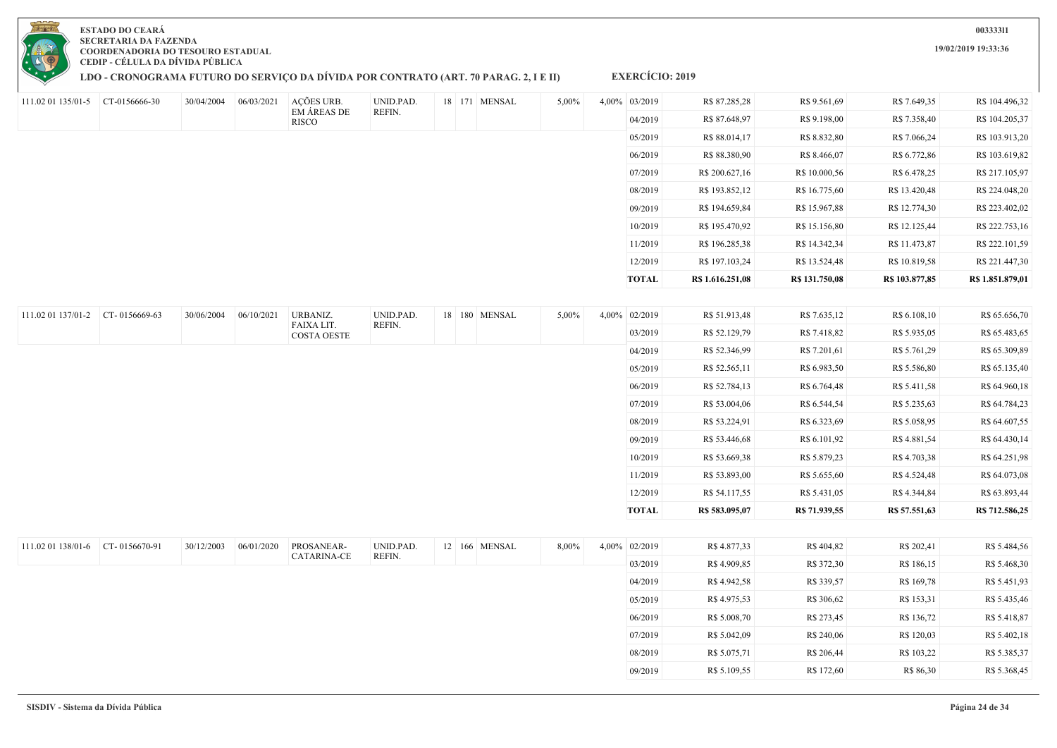|                    |               |            |            |                                  |           |               |       | 06/2019       | R\$ 88.380,90    | R\$ 8.466,07   | R\$ 6.772,86   | R\$ 103.619,82   |
|--------------------|---------------|------------|------------|----------------------------------|-----------|---------------|-------|---------------|------------------|----------------|----------------|------------------|
|                    |               |            |            |                                  |           |               |       | 07/2019       | R\$ 200.627,16   | R\$ 10.000,56  | R\$ 6.478,25   | R\$ 217.105,97   |
|                    |               |            |            |                                  |           |               |       | 08/2019       | R\$ 193.852,12   | R\$ 16.775,60  | R\$ 13.420,48  | R\$ 224.048,20   |
|                    |               |            |            |                                  |           |               |       | 09/2019       | R\$ 194.659,84   | R\$ 15.967,88  | R\$ 12.774,30  | R\$ 223.402,02   |
|                    |               |            |            |                                  |           |               |       | 10/2019       | R\$ 195.470,92   | R\$ 15.156,80  | R\$ 12.125,44  | R\$ 222.753,16   |
|                    |               |            |            |                                  |           |               |       | 11/2019       | R\$ 196.285,38   | R\$ 14.342,34  | R\$ 11.473,87  | R\$ 222.101,59   |
|                    |               |            |            |                                  |           |               |       | 12/2019       | R\$ 197.103,24   | R\$ 13.524,48  | R\$ 10.819,58  | R\$ 221.447,30   |
|                    |               |            |            |                                  |           |               |       | <b>TOTAL</b>  | R\$ 1.616.251,08 | R\$ 131.750,08 | R\$ 103.877,85 | R\$ 1.851.879,01 |
|                    |               |            |            |                                  |           |               |       |               |                  |                |                |                  |
| 111.02 01 137/01-2 | CT-0156669-63 | 30/06/2004 | 06/10/2021 | URBANIZ.                         | UNID.PAD. | 18 180 MENSAL | 5,00% | 4,00% 02/2019 | R\$ 51.913,48    | R\$ 7.635,12   | R\$ 6.108,10   | R\$ 65.656,70    |
|                    |               |            |            | FAIXA LIT.<br><b>COSTA OESTE</b> | REFIN.    |               |       | 03/2019       | R\$ 52.129,79    | R\$ 7.418,82   | R\$ 5.935,05   | R\$ 65.483,65    |
|                    |               |            |            |                                  |           |               |       | 04/2019       | R\$ 52.346,99    | R\$ 7.201,61   | R\$ 5.761,29   | R\$ 65.309,89    |
|                    |               |            |            |                                  |           |               |       | 05/2019       | R\$ 52.565,11    | R\$ 6.983,50   | R\$ 5.586,80   | R\$ 65.135,40    |
|                    |               |            |            |                                  |           |               |       | 06/2019       | R\$ 52.784,13    | R\$ 6.764,48   | R\$ 5.411,58   | R\$ 64.960,18    |
|                    |               |            |            |                                  |           |               |       | 07/2019       | R\$ 53.004,06    | R\$ 6.544,54   | R\$ 5.235,63   | R\$ 64.784,23    |
|                    |               |            |            |                                  |           |               |       | 08/2019       | R\$ 53.224,91    | R\$ 6.323,69   | R\$ 5.058,95   | R\$ 64.607,55    |
|                    |               |            |            |                                  |           |               |       | 09/2019       | R\$ 53.446,68    | R\$ 6.101,92   | R\$ 4.881,54   | R\$ 64.430,14    |
|                    |               |            |            |                                  |           |               |       | 10/2019       | R\$ 53.669,38    | R\$ 5.879,23   | R\$ 4.703,38   | R\$ 64.251,98    |
|                    |               |            |            |                                  |           |               |       | 11/2019       | R\$ 53.893,00    | R\$ 5.655,60   | R\$ 4.524,48   | R\$ 64.073,08    |
|                    |               |            |            |                                  |           |               |       | 12/2019       | R\$ 54.117,55    | R\$ 5.431,05   | R\$ 4.344,84   | R\$ 63.893,44    |
|                    |               |            |            |                                  |           |               |       | <b>TOTAL</b>  | R\$ 583.095,07   | R\$ 71.939,55  | R\$ 57.551,63  | R\$ 712.586,25   |
|                    |               |            |            |                                  |           |               |       |               |                  |                |                |                  |
| 111.02 01 138/01-6 | CT-0156670-91 | 30/12/2003 | 06/01/2020 | PROSANEAR-                       | UNID.PAD. | 12 166 MENSAL | 8,00% | 4,00% 02/2019 | R\$ 4.877,33     | R\$404,82      | R\$ 202,41     | R\$ 5.484,56     |
|                    |               |            |            | <b>CATARINA-CE</b>               | REFIN.    |               |       | 03/2019       | R\$4.909,85      | R\$ 372,30     | R\$ 186,15     | R\$ 5.468,30     |
|                    |               |            |            |                                  |           |               |       | 04/2019       | R\$ 4.942,58     | R\$ 339,57     | R\$ 169,78     | R\$ 5.451,93     |
|                    |               |            |            |                                  |           |               |       | 05/2019       | R\$ 4.975,53     | R\$ 306,62     | R\$ 153,31     | R\$ 5.435,46     |
|                    |               |            |            |                                  |           |               |       | 06/2019       | R\$ 5.008,70     | R\$ 273,45     | R\$ 136,72     | R\$ 5.418,87     |
|                    |               |            |            |                                  |           |               |       | 07/2019       | R\$ 5.042,09     | R\$ 240,06     | R\$ 120,03     | R\$ 5.402,18     |
|                    |               |            |            |                                  |           |               |       | 08/2019       | R\$ 5.075,71     | R\$ 206,44     | R\$ 103,22     | R\$ 5.385,37     |
|                    |               |            |            |                                  |           |               |       | 09/2019       | R\$ 5.109,55     | R\$ 172,60     | R\$ 86,30      | R\$ 5.368,45     |



111.02 01 135/01-5 CT-0156666-30 30/04/2004 06/03/2021 AÇÕES URB.

**LDO - CRONOGRAMA FUTURO DO SERVIÇO DA DÍVIDA POR CONTRATO (ART. 70 PARAG. 2, I E II)**

EM ÁREAS DE **RISCO** 

UNID.PAD. REFIN.

**EXERCÍCIO: 2019**

18 171 MENSAL 5,00% 4,00% 03/2019 R\$ 87.285,28 R\$ 9.561,69 R\$ 7.649,35 R\$ 104.496,32

04/2019 R\$ 87.648,97 R\$ 9.198,00 R\$ 7.358,40 R\$ 104.205,37 05/2019 R\$ 88.014,17 R\$ 8.832,80 R\$ 7.066,24 R\$ 103.913,20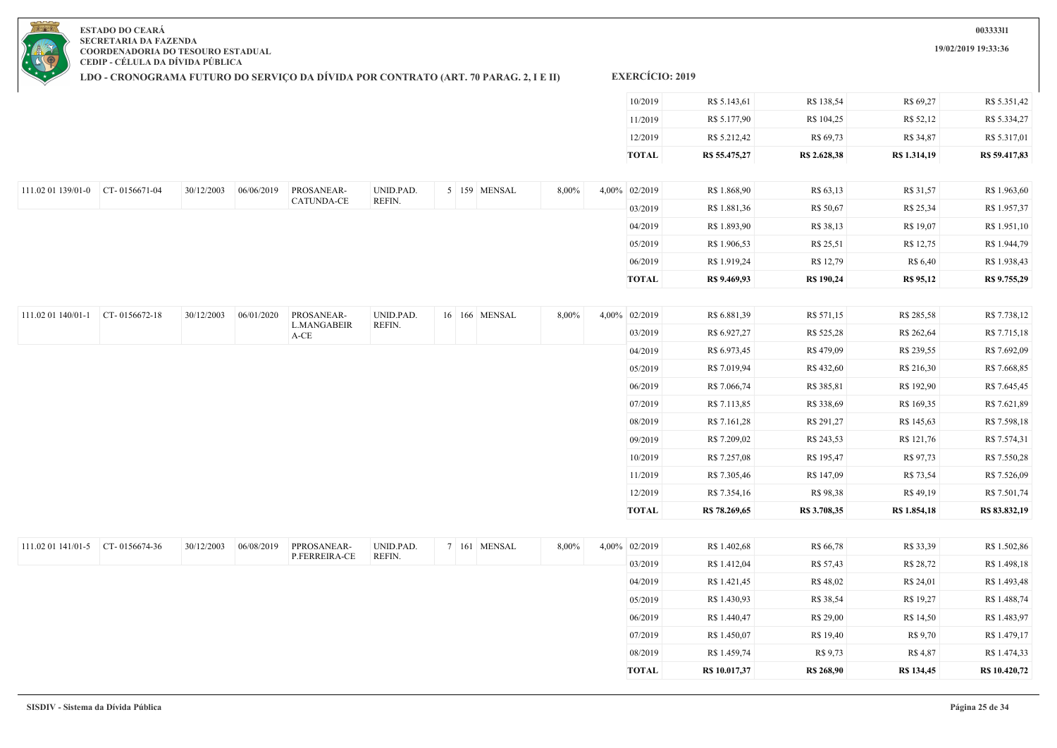**19/02/2019 19:33:36**

**ESTADO DO CEARÁ SECRETARIA DA FAZENDA COORDENADORIA DO TESOURO ESTADUAL CEDIP - CÉLULA DA DÍVIDA PÚBLICA**

**LDO - CRONOGRAMA FUTURO DO SERVIÇO DA DÍVIDA POR CONTRATO (ART. 70 PARAG. 2, I E II)**

| <b>EXERCICIO: 2019</b> |  |
|------------------------|--|
|                        |  |

| TOTAL   | R\$ 55,475,27 | R\$ 2.628,38 | R\$ 1.314,19 | R\$ 59.417,83 |
|---------|---------------|--------------|--------------|---------------|
| 12/2019 | R\$ 5.212,42  | R\$ 69,73    | R\$ 34,87    | R\$ 5.317,01  |
| 11/2019 | R\$ 5.177,90  | R\$ 104,25   | R\$ 52,12    | R\$ 5.334,27  |
| 10/2019 | R\$ 5.143,61  | R\$ 138,54   | R\$ 69,27    | R\$ 5.351,42  |

05/2019 R\$ 1.430,93 R\$ 38,54 R\$ 19,27 R\$ 1.488,74 06/2019 R\$ 1.440,47 R\$ 29,00 R\$ 14,50 R\$ 1.483,97 07/2019 R\$ 1.450,07 R\$ 19,40 R\$ 9,70 R\$ 1.479,17 08/2019 R\$ 1.459,74 R\$ 9,73 R\$ 4,87 R\$ 1.474,33 **TOTAL R\$ 10.017,37 R\$ 268,90 R\$ 134,45 R\$ 10.420,72**

| 111.02 01 139/01-0 | $CT - 0156671 - 04$ | 30/12/2003 | 06/06/2019 | PROSANEAR- | UNID.PAD. |  | 5 159 MENSAL | 8,00% | 4,00% 02/2019 | R\$ 1.868,90 | R\$ 63,13         | R\$ 31,57        | R\$ 1.963,60 |
|--------------------|---------------------|------------|------------|------------|-----------|--|--------------|-------|---------------|--------------|-------------------|------------------|--------------|
|                    |                     |            |            | CATUNDA-CE | REFIN.    |  |              |       | 03/2019       | R\$ 1.881,36 | R\$ 50,67         | R\$ 25,34        | R\$ 1.957,37 |
|                    |                     |            |            |            |           |  |              |       | 04/2019       | R\$ 1.893,90 | R\$ 38,13         | R\$ 19,07        | R\$ 1.951,10 |
|                    |                     |            |            |            |           |  |              |       | 05/2019       | R\$ 1.906,53 | R\$ 25,51         | R\$ 12,75        | R\$ 1.944,79 |
|                    |                     |            |            |            |           |  |              |       | 06/2019       | R\$ 1.919,24 | R\$ 12,79         | R\$ 6,40         | R\$ 1.938,43 |
|                    |                     |            |            |            |           |  |              |       | <b>TOTAL</b>  | R\$ 9.469,93 | <b>R\$</b> 190,24 | <b>R\$ 95,12</b> | R\$ 9.755,29 |

| 111.02 01 140/01-1 | CT-0156672-18 | 30/12/2003 | 06/01/2020 | PROSANEAR-                 | UNID.PAD. | 16 166 MENSAL | 8,00%    | $4,00\%$ | 02/2019       | R\$ 6.881,39  | R\$ 571,15   | R\$ 285,58   | R\$ 7.738,12  |
|--------------------|---------------|------------|------------|----------------------------|-----------|---------------|----------|----------|---------------|---------------|--------------|--------------|---------------|
|                    |               |            |            | <b>L.MANGABEIR</b><br>A-CE | REFIN.    |               |          |          | 03/2019       | R\$ 6.927,27  | R\$ 525,28   | R\$ 262,64   | R\$ 7.715,18  |
|                    |               |            |            |                            |           |               |          |          | 04/2019       | R\$ 6.973,45  | R\$479,09    | R\$ 239,55   | R\$ 7.692,09  |
|                    |               |            |            |                            |           |               |          |          | 05/2019       | R\$ 7.019,94  | R\$ 432,60   | R\$ 216,30   | R\$ 7.668,85  |
|                    |               |            |            |                            |           |               |          |          | 06/2019       | R\$ 7.066,74  | R\$ 385,81   | R\$ 192,90   | R\$ 7.645,45  |
|                    |               |            |            |                            |           |               |          |          | 07/2019       | R\$ 7.113,85  | R\$ 338,69   | R\$ 169,35   | R\$ 7.621,89  |
|                    |               |            |            |                            |           |               |          |          | 08/2019       | R\$ 7.161,28  | R\$ 291,27   | R\$ 145,63   | R\$ 7.598,18  |
|                    |               |            |            |                            |           |               |          |          | 09/2019       | R\$ 7.209,02  | R\$ 243,53   | R\$ 121,76   | R\$ 7.574,31  |
|                    |               |            |            |                            |           |               |          |          | 10/2019       | R\$ 7.257,08  | R\$ 195,47   | R\$ 97,73    | R\$ 7.550,28  |
|                    |               |            |            |                            |           |               |          |          | 11/2019       | R\$ 7.305,46  | R\$ 147,09   | R\$ 73,54    | R\$ 7.526,09  |
|                    |               |            |            |                            |           |               |          |          | 12/2019       | R\$ 7.354,16  | R\$ 98,38    | R\$ 49,19    | R\$ 7.501,74  |
|                    |               |            |            |                            |           |               |          |          | TOTAL         | R\$ 78.269,65 | R\$ 3.708,35 | R\$ 1.854,18 | R\$ 83.832,19 |
|                    |               |            |            |                            |           |               |          |          |               |               |              |              |               |
| 111.02 01 141/01-5 | CT-0156674-36 | 30/12/2003 | 06/08/2019 | PPROSANEAR-                | UNID.PAD. | 7 161 MENSAL  | $8,00\%$ |          | 4,00% 02/2019 | R\$ 1.402,68  | R\$ 66,78    | R\$ 33,39    | R\$ 1.502,86  |
|                    |               |            |            | P.FERREIRA-CE              | REFIN.    |               |          |          | 03/2019       | R\$ 1.412,04  | R\$ 57,43    | R\$ 28,72    | R\$ 1.498,18  |
|                    |               |            |            |                            |           |               |          |          | 04/2019       | R\$ 1.421,45  | R\$ 48,02    | R\$ 24,01    | R\$ 1.493,48  |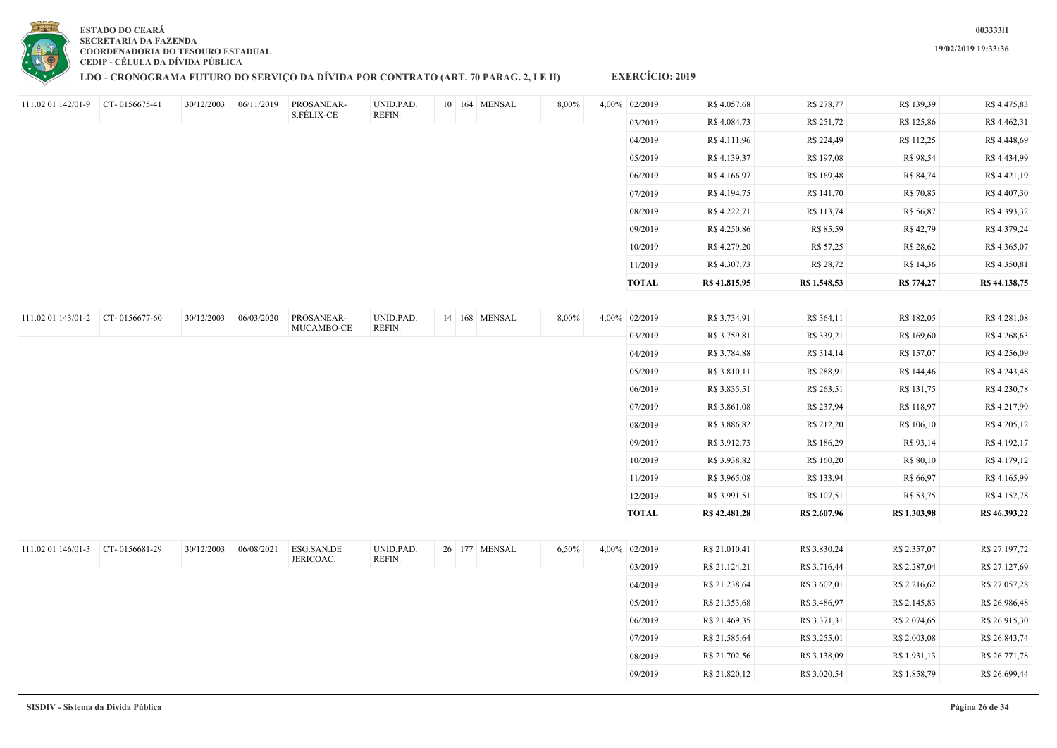

## **ESTADO DO CEARÁ SECRETARIA DA FAZENDA COORDENADORIA DO TESOURO ESTADUAL**

**CEDIP - CÉLULA DA DÍVIDA PÚBLICA**

## **LDO - CRONOGRAMA FUTURO DO SERVIÇO DA DÍVIDA POR CONTRATO (ART. 70 PARAG. 2, I E II)**

**EXERCÍCIO: 2019**

| 111.02 01 142/01-9 CT- 0156675-41 |               | 30/12/2003 | 06/11/2019 | PROSANEAR-              | UNID.PAD.           | 10 164 MENSAL | 8,00% | 4,00% 02/2019 | R\$ 4.057,68  | R\$ 278,77   | R\$ 139,39   | R\$ 4.475,83  |
|-----------------------------------|---------------|------------|------------|-------------------------|---------------------|---------------|-------|---------------|---------------|--------------|--------------|---------------|
|                                   |               |            |            | S.FÉLIX-CE              | REFIN.              |               |       | 03/2019       | R\$ 4.084,73  | R\$ 251,72   | R\$ 125,86   | R\$ 4.462,31  |
|                                   |               |            |            |                         |                     |               |       | 04/2019       | R\$ 4.111,96  | R\$ 224,49   | R\$ 112,25   | R\$ 4.448,69  |
|                                   |               |            |            |                         |                     |               |       | 05/2019       | R\$ 4.139,37  | R\$ 197,08   | R\$ 98,54    | R\$ 4.434,99  |
|                                   |               |            |            |                         |                     |               |       | 06/2019       | R\$ 4.166,97  | R\$ 169,48   | R\$ 84,74    | R\$ 4.421,19  |
|                                   |               |            |            |                         |                     |               |       | 07/2019       | R\$ 4.194,75  | R\$ 141,70   | R\$ 70,85    | R\$ 4.407,30  |
|                                   |               |            |            |                         |                     |               |       | 08/2019       | R\$ 4.222,71  | R\$ 113,74   | R\$ 56,87    | R\$ 4.393,32  |
|                                   |               |            |            |                         |                     |               |       | 09/2019       | R\$ 4.250,86  | R\$ 85,59    | R\$ 42,79    | R\$ 4.379,24  |
|                                   |               |            |            |                         |                     |               |       | 10/2019       | R\$ 4.279,20  | R\$ 57,25    | R\$ 28,62    | R\$ 4.365,07  |
|                                   |               |            |            |                         |                     |               |       | 11/2019       | R\$4.307,73   | R\$ 28,72    | R\$ 14,36    | R\$ 4.350,81  |
|                                   |               |            |            |                         |                     |               |       | <b>TOTAL</b>  | R\$ 41.815,95 | R\$ 1.548,53 | R\$ 774,27   | R\$ 44.138,75 |
|                                   |               |            |            |                         |                     |               |       |               |               |              |              |               |
| 111.02 01 143/01-2 CT- 0156677-60 |               | 30/12/2003 | 06/03/2020 | PROSANEAR-              | UNID.PAD.           | 14 168 MENSAL | 8,00% | 4,00% 02/2019 | R\$ 3.734,91  | R\$ 364,11   | R\$ 182,05   | R\$4.281,08   |
|                                   |               |            |            | MUCAMBO-CE              | REFIN.              |               |       | 03/2019       | R\$ 3.759,81  | R\$ 339,21   | R\$ 169,60   | R\$ 4.268,63  |
|                                   |               |            |            |                         |                     |               |       | 04/2019       | R\$ 3.784,88  | R\$ 314,14   | R\$ 157,07   | R\$ 4.256,09  |
|                                   |               |            |            |                         |                     |               |       | 05/2019       | R\$ 3.810,11  | R\$ 288,91   | R\$ 144,46   | R\$ 4.243,48  |
|                                   |               |            |            |                         |                     |               |       | 06/2019       | R\$ 3.835,51  | R\$ 263,51   | R\$ 131,75   | R\$ 4.230,78  |
|                                   |               |            |            |                         |                     |               |       | 07/2019       | R\$ 3.861,08  | R\$ 237,94   | R\$ 118,97   | R\$ 4.217,99  |
|                                   |               |            |            |                         |                     |               |       | 08/2019       | R\$ 3.886,82  | R\$ 212,20   | R\$ 106,10   | R\$ 4.205,12  |
|                                   |               |            |            |                         |                     |               |       | 09/2019       | R\$ 3.912,73  | R\$ 186,29   | R\$ 93,14    | R\$ 4.192,17  |
|                                   |               |            |            |                         |                     |               |       | 10/2019       | R\$ 3.938,82  | R\$ 160,20   | R\$ 80,10    | R\$ 4.179,12  |
|                                   |               |            |            |                         |                     |               |       | 11/2019       | R\$ 3.965,08  | R\$ 133,94   | R\$ 66,97    | R\$ 4.165,99  |
|                                   |               |            |            |                         |                     |               |       | 12/2019       | R\$ 3.991,51  | R\$ 107,51   | R\$ 53,75    | R\$ 4.152,78  |
|                                   |               |            |            |                         |                     |               |       | <b>TOTAL</b>  | R\$ 42,481,28 | R\$ 2.607,96 | R\$ 1.303,98 | R\$ 46.393,22 |
|                                   |               |            |            |                         |                     |               |       |               |               |              |              |               |
| 111.02 01 146/01-3                | CT-0156681-29 | 30/12/2003 | 06/08/2021 | ESG.SAN.DE<br>JERICOAC. | UNID.PAD.<br>REFIN. | 26 177 MENSAL | 6,50% | 4,00% 02/2019 | R\$ 21.010,41 | R\$ 3.830,24 | R\$ 2.357,07 | R\$ 27.197,72 |
|                                   |               |            |            |                         |                     |               |       | 03/2019       | R\$ 21.124,21 | R\$ 3.716,44 | R\$ 2.287,04 | R\$ 27.127,69 |
|                                   |               |            |            |                         |                     |               |       | 04/2019       | R\$ 21.238,64 | R\$ 3.602,01 | R\$ 2.216,62 | R\$ 27.057,28 |
|                                   |               |            |            |                         |                     |               |       | 05/2019       | R\$ 21.353,68 | R\$ 3.486,97 | R\$ 2.145,83 | R\$ 26.986,48 |
|                                   |               |            |            |                         |                     |               |       | 06/2019       | R\$ 21.469,35 | R\$ 3.371,31 | R\$ 2.074,65 | R\$ 26.915,30 |
|                                   |               |            |            |                         |                     |               |       | 07/2019       | R\$ 21.585,64 | R\$ 3.255,01 | R\$ 2.003,08 | R\$ 26.843,74 |

**19/02/2019 19:33:36**

08/2019 R\$ 21.702,56 R\$ 3.138,09 R\$ 1.931,13 R\$ 26.771,78 09/2019 R\$ 21.820,12 R\$ 3.020,54 R\$ 1.858,79 R\$ 26.699,44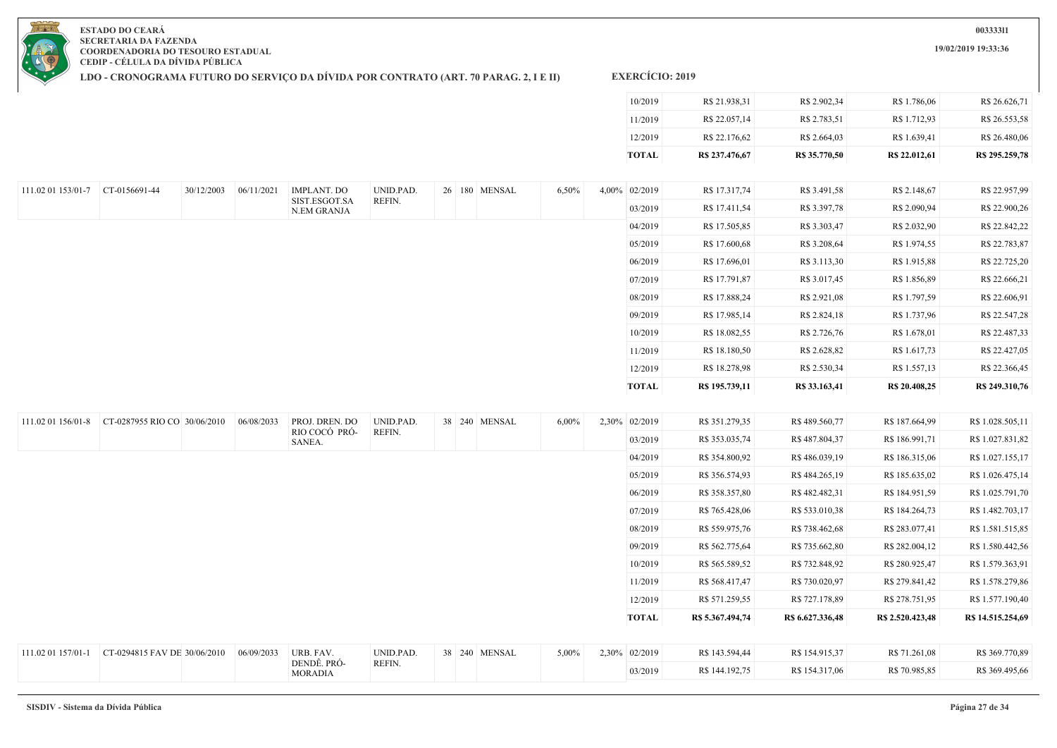**19/02/2019 19:33:36**

**ESTADO DO CEARÁ SECRETARIA DA FAZENDA COORDENADORIA DO TESOURO ESTADUAL CEDIP - CÉLULA DA DÍVIDA PÚBLICA**

**LDO - CRONOGRAMA FUTURO DO SERVIÇO DA DÍVIDA POR CONTRATO (ART. 70 PARAG. 2, I E II)**

| TOTAL   | R\$ 237,476,67 | R\$ 35,770,50 | R\$ 22.012,61 | R\$ 295,259,78 |
|---------|----------------|---------------|---------------|----------------|
| 12/2019 | R\$ 22.176,62  | R\$ 2.664.03  | R\$ 1.639.41  | R\$ 26,480.06  |
| 11/2019 | R\$ 22.057,14  | R\$ 2.783,51  | R\$ 1.712.93  | R\$ 26.553,58  |
| 10/2019 | R\$ 21.938,31  | R\$ 2.902,34  | R\$ 1.786,06  | R\$ 26.626,71  |

| 111.02 01 153/01-7 | CT-0156691-44 | 30/12/2003 | 06/11/2021 | <b>IMPLANT. DO</b>           | UNID.PAD. | 26 180 MENSAL | 6,50% | 4,00% 02/2019 | R\$ 17.317,74  | R\$ 3.491,58  | R\$ 2.148,67  | R\$ 22.957,99  |
|--------------------|---------------|------------|------------|------------------------------|-----------|---------------|-------|---------------|----------------|---------------|---------------|----------------|
|                    |               |            |            | SIST.ESGOT.SA<br>N.EM GRANJA | REFIN.    |               |       | 03/2019       | R\$ 17.411,54  | R\$ 3.397,78  | R\$ 2.090,94  | R\$ 22.900,26  |
|                    |               |            |            |                              |           |               |       | 04/2019       | R\$ 17.505,85  | R\$ 3.303,47  | R\$ 2.032,90  | R\$ 22.842,22  |
|                    |               |            |            |                              |           |               |       | 05/2019       | R\$ 17.600,68  | R\$ 3.208,64  | R\$ 1.974,55  | R\$ 22.783,87  |
|                    |               |            |            |                              |           |               |       | 06/2019       | R\$ 17.696,01  | R\$ 3.113,30  | R\$ 1.915,88  | R\$ 22.725,20  |
|                    |               |            |            |                              |           |               |       | 07/2019       | R\$ 17.791,87  | R\$ 3.017,45  | R\$ 1.856,89  | R\$ 22.666,21  |
|                    |               |            |            |                              |           |               |       | 08/2019       | R\$ 17.888,24  | R\$ 2.921,08  | R\$ 1.797,59  | R\$ 22.606,91  |
|                    |               |            |            |                              |           |               |       | 09/2019       | R\$ 17.985,14  | R\$ 2.824,18  | R\$ 1.737,96  | R\$ 22.547,28  |
|                    |               |            |            |                              |           |               |       | 10/2019       | R\$ 18.082,55  | R\$ 2.726,76  | R\$ 1.678,01  | R\$ 22.487,33  |
|                    |               |            |            |                              |           |               |       | 11/2019       | R\$ 18.180,50  | R\$ 2.628,82  | R\$ 1.617,73  | R\$ 22.427,05  |
|                    |               |            |            |                              |           |               |       | 12/2019       | R\$ 18.278,98  | R\$ 2.530,34  | R\$ 1.557,13  | R\$ 22.366,45  |
|                    |               |            |            |                              |           |               |       | <b>TOTAL</b>  | R\$ 195.739,11 | R\$ 33.163,41 | R\$ 20.408,25 | R\$ 249.310,76 |

| 111.02 01 156/01-8 | CT-0287955 RIO CO 30/06/2010 | 06/08/2033 | PROJ. DREN. DO                | UNID.PAD. | 38 240 MENSAL | $6,00\%$ | 2,30% 02/2019 | R\$ 351.279,35   | R\$ 489.560,77   | R\$ 187.664,99   | R\$ 1.028.505,11  |
|--------------------|------------------------------|------------|-------------------------------|-----------|---------------|----------|---------------|------------------|------------------|------------------|-------------------|
|                    |                              |            | RIO COCÓ PRÓ-<br>SANEA.       | REFIN.    |               |          | 03/2019       | R\$ 353.035,74   | R\$487.804,37    | R\$ 186.991,71   | R\$ 1.027.831,82  |
|                    |                              |            |                               |           |               |          | 04/2019       | R\$ 354.800,92   | R\$486.039,19    | R\$ 186.315,06   | R\$ 1.027.155,17  |
|                    |                              |            |                               |           |               |          | 05/2019       | R\$ 356.574,93   | R\$484.265,19    | R\$ 185.635,02   | R\$ 1.026.475,14  |
|                    |                              |            |                               |           |               |          | 06/2019       | R\$ 358.357,80   | R\$482.482,31    | R\$ 184.951,59   | R\$ 1.025.791,70  |
|                    |                              |            |                               |           |               |          | 07/2019       | R\$ 765.428,06   | R\$ 533.010,38   | R\$ 184.264,73   | R\$ 1.482.703,17  |
|                    |                              |            |                               |           |               |          | 08/2019       | R\$ 559.975,76   | R\$ 738.462,68   | R\$ 283.077,41   | R\$ 1.581.515,85  |
|                    |                              |            |                               |           |               |          | 09/2019       | R\$ 562.775,64   | R\$ 735.662,80   | R\$ 282.004,12   | R\$ 1.580.442,56  |
|                    |                              |            |                               |           |               |          | 10/2019       | R\$ 565.589,52   | R\$ 732.848,92   | R\$ 280.925,47   | R\$ 1.579.363,91  |
|                    |                              |            |                               |           |               |          | 11/2019       | R\$ 568.417,47   | R\$ 730.020,97   | R\$ 279.841,42   | R\$ 1.578.279,86  |
|                    |                              |            |                               |           |               |          | 12/2019       | R\$ 571.259,55   | R\$ 727.178,89   | R\$ 278.751,95   | R\$ 1.577.190,40  |
|                    |                              |            |                               |           |               |          | <b>TOTAL</b>  | R\$ 5.367.494,74 | R\$ 6.627.336,48 | R\$ 2.520.423,48 | R\$ 14.515.254,69 |
|                    |                              |            |                               |           |               |          |               |                  |                  |                  |                   |
| 111.02 01 157/01-1 | CT-0294815 FAV DE 30/06/2010 | 06/09/2033 | URB. FAV.                     | UNID.PAD. | 38 240 MENSAL | 5,00%    | 2,30% 02/2019 | R\$ 143.594,44   | R\$ 154.915,37   | R\$ 71.261,08    | R\$ 369.770,89    |
|                    |                              |            | DENDÊ. PRÓ-<br><b>MORADIA</b> | REFIN.    |               |          | 03/2019       | R\$ 144.192,75   | R\$ 154.317,06   | R\$ 70.985,85    | R\$ 369.495,66    |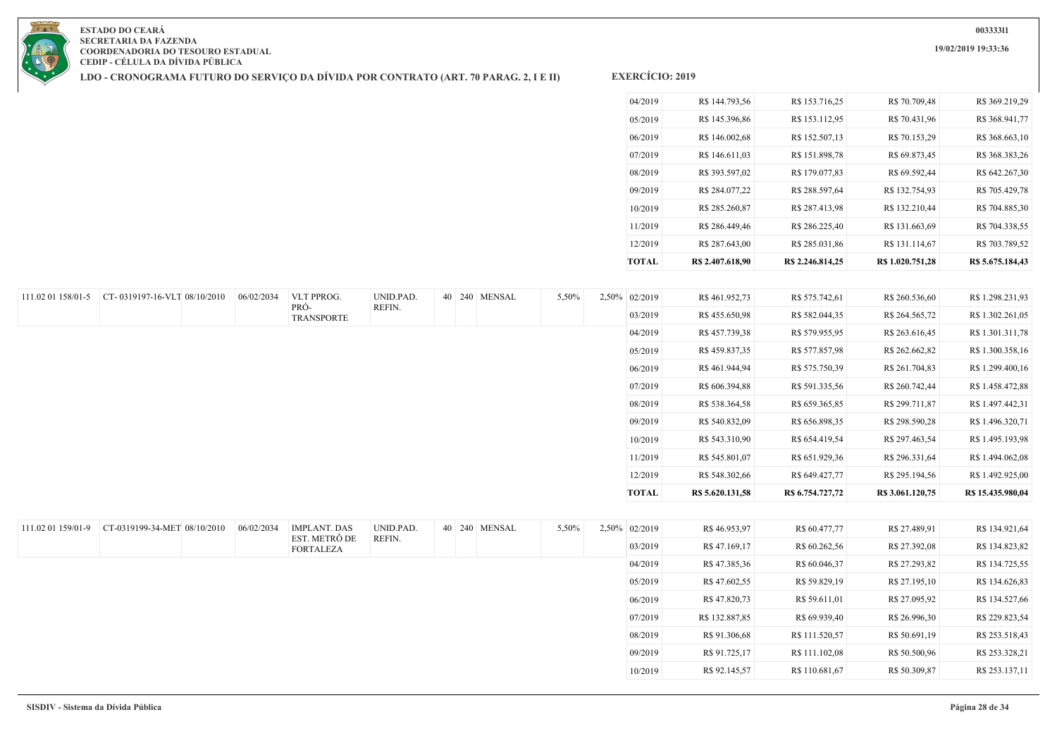**19/02/2019 19:33:36**



**ESTADO DO CEARÁ SECRETARIA DA FAZENDA COORDENADORIA DO TESOURO ESTADUAL CEDIP - CÉLULA DA DÍVIDA PÚBLICA**

**LDO - CRONOGRAMA FUTURO DO SERVIÇO DA DÍVIDA POR CONTRATO (ART. 70 PARAG. 2, I E II)**

| <b>TOTAL</b> | R\$ 2.407.618.90 | R\$ 2.246.814.25 | R\$ 1.020.751.28 | R\$ 5.675.184,43 |
|--------------|------------------|------------------|------------------|------------------|
| 12/2019      | R\$ 287.643,00   | R\$ 285.031,86   | R\$ 131.114,67   | R\$ 703.789,52   |
| 11/2019      | R\$ 286,449.46   | R\$ 286.225,40   | R\$ 131.663,69   | R\$ 704.338,55   |
| 10/2019      | R\$ 285.260,87   | R\$ 287.413,98   | R\$ 132.210,44   | R\$ 704.885,30   |
| 09/2019      | R\$ 284.077,22   | R\$ 288.597,64   | R\$ 132.754,93   | R\$ 705.429,78   |
| 08/2019      | R\$ 393.597,02   | R\$ 179.077,83   | R\$ 69.592,44    | R\$ 642.267,30   |
| 07/2019      | R\$ 146.611.03   | R\$ 151.898,78   | R\$ 69.873,45    | R\$ 368.383,26   |
| 06/2019      | R\$ 146.002,68   | R\$ 152.507,13   | R\$ 70.153,29    | R\$ 368.663,10   |
| 05/2019      | R\$ 145.396,86   | R\$ 153.112,95   | R\$ 70.431.96    | R\$ 368.941,77   |
| 04/2019      | R\$ 144.793,56   | R\$ 153.716,25   | R\$ 70.709,48    | R\$ 369.219,29   |
|              |                  |                  |                  |                  |

| 111.02 01 158/01-5 | CT-0319197-16-VLT 08/10/2010 | 06/02/2034 | VLT PPROG.                | UNID.PAD. |  | 40 240 MENSAL | 5,50% | 2,50% 02/2019 | R\$461.952,73    | R\$ 575.742,61   | R\$ 260.536,60   | R\$ 1.298.231,93  |
|--------------------|------------------------------|------------|---------------------------|-----------|--|---------------|-------|---------------|------------------|------------------|------------------|-------------------|
|                    |                              |            | PRÓ-<br><b>TRANSPORTE</b> | REFIN.    |  |               |       | 03/2019       | R\$455.650,98    | R\$ 582.044,35   | R\$ 264.565,72   | R\$ 1.302.261,05  |
|                    |                              |            |                           |           |  |               |       | 04/2019       | R\$ 457.739,38   | R\$ 579.955,95   | R\$ 263.616,45   | R\$ 1.301.311,78  |
|                    |                              |            |                           |           |  |               |       | 05/2019       | R\$459.837,35    | R\$ 577.857,98   | R\$ 262.662,82   | R\$ 1.300.358,16  |
|                    |                              |            |                           |           |  |               |       | 06/2019       | R\$461.944,94    | R\$ 575.750,39   | R\$ 261.704,83   | R\$ 1.299.400,16  |
|                    |                              |            |                           |           |  |               |       | 07/2019       | R\$ 606.394,88   | R\$ 591.335,56   | R\$ 260.742,44   | R\$ 1.458.472,88  |
|                    |                              |            |                           |           |  |               |       | 08/2019       | R\$ 538.364,58   | R\$ 659.365,85   | R\$ 299.711,87   | R\$ 1.497.442,31  |
|                    |                              |            |                           |           |  |               |       | 09/2019       | R\$ 540.832,09   | R\$ 656.898,35   | R\$ 298.590,28   | R\$ 1.496.320,71  |
|                    |                              |            |                           |           |  |               |       | 10/2019       | R\$ 543.310,90   | R\$ 654.419,54   | R\$ 297.463,54   | R\$ 1.495.193,98  |
|                    |                              |            |                           |           |  |               |       | 11/2019       | R\$ 545.801,07   | R\$ 651.929,36   | R\$ 296.331,64   | R\$ 1.494.062,08  |
|                    |                              |            |                           |           |  |               |       | 12/2019       | R\$ 548.302,66   | R\$ 649.427,77   | R\$ 295.194,56   | R\$ 1.492.925,00  |
|                    |                              |            |                           |           |  |               |       | TOTAL         | R\$ 5.620.131,58 | R\$ 6.754.727,72 | R\$ 3.061.120,75 | R\$ 15.435.980,04 |
|                    |                              |            |                           |           |  |               |       |               |                  |                  |                  |                   |

| 111.02 01 159/01-9 | CT-0319199-34-MET 08/10/2010 | 06/02/2034 | <b>IMPLANT, DAS</b>               | UNID.PAD. | 40 240 MENSAL | 5,50% | 2,50% 02/2019 | R\$46.953,97   | R\$ 60.477,77  | R\$ 27.489,91 | R\$ 134.921,64 |
|--------------------|------------------------------|------------|-----------------------------------|-----------|---------------|-------|---------------|----------------|----------------|---------------|----------------|
|                    |                              |            | EST. METRÔ DE<br><b>FORTALEZA</b> | REFIN.    |               |       | 03/2019       | R\$47.169,17   | R\$ 60.262,56  | R\$ 27.392,08 | R\$ 134.823,82 |
|                    |                              |            |                                   |           |               |       | 04/2019       | R\$47.385,36   | R\$ 60.046,37  | R\$ 27.293,82 | R\$ 134.725,55 |
|                    |                              |            |                                   |           |               |       | 05/2019       | R\$47.602,55   | R\$ 59.829,19  | R\$ 27.195,10 | R\$ 134.626,83 |
|                    |                              |            |                                   |           |               |       | 06/2019       | R\$47.820,73   | R\$ 59.611,01  | R\$ 27.095,92 | R\$ 134.527,66 |
|                    |                              |            |                                   |           |               |       | 07/2019       | R\$ 132.887,85 | R\$ 69.939,40  | R\$ 26.996,30 | R\$ 229.823,54 |
|                    |                              |            |                                   |           |               |       | 08/2019       | R\$ 91.306,68  | R\$ 111.520,57 | R\$ 50.691,19 | R\$ 253.518,43 |
|                    |                              |            |                                   |           |               |       | 09/2019       | R\$ 91.725,17  | R\$ 111.102,08 | R\$ 50.500,96 | R\$ 253.328,21 |
|                    |                              |            |                                   |           |               |       | 10/2019       | R\$ 92.145,57  | R\$ 110.681,67 | R\$ 50.309,87 | R\$ 253.137,11 |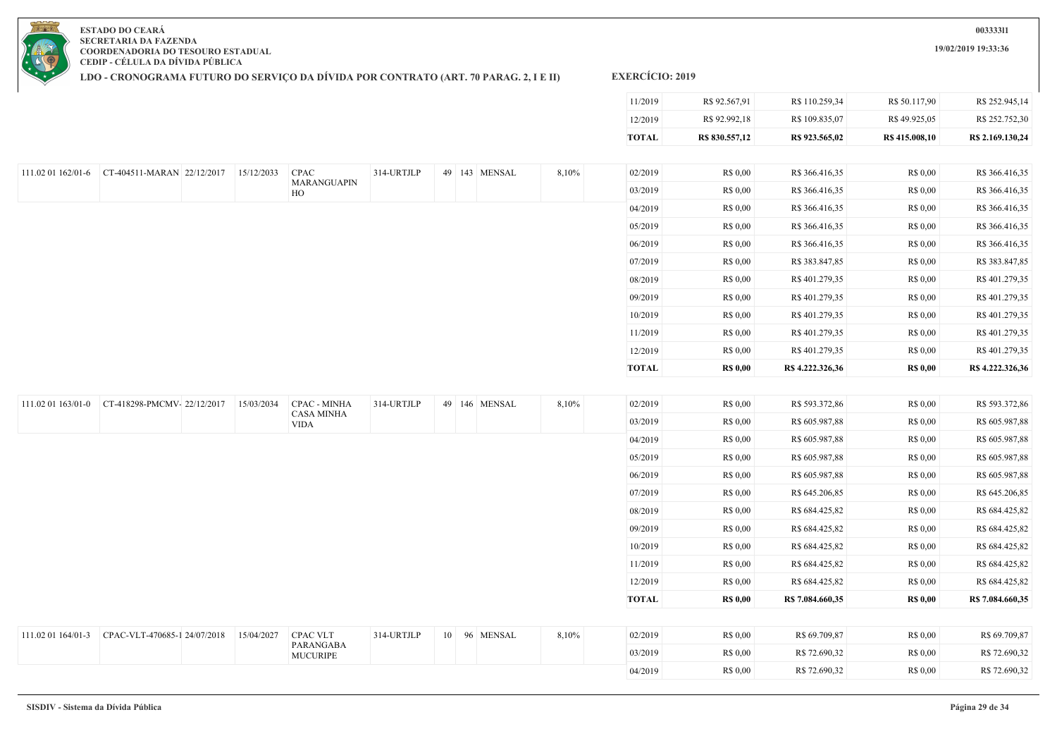**19/02/2019 19:33:36**

**ESTADO DO CEARÁ SECRETARIA DA FAZENDA COORDENADORIA DO TESOURO ESTADUAL CEDIP - CÉLULA DA DÍVIDA PÚBLICA**

**LDO - CRONOGRAMA FUTURO DO SERVIÇO DA DÍVIDA POR CONTRATO (ART. 70 PARAG. 2, I E II)**

# **EXERCÍCIO: 2019**

|                                               |            |                                   |            |  |               |       | 11/2019      | R\$ 92.567,91   | R\$ 110.259,34   | R\$ 50.117,90   | R\$ 252.945,14   |
|-----------------------------------------------|------------|-----------------------------------|------------|--|---------------|-------|--------------|-----------------|------------------|-----------------|------------------|
|                                               |            |                                   |            |  |               |       | 12/2019      | R\$ 92.992,18   | R\$ 109.835,07   | R\$49.925,05    | R\$ 252.752,30   |
|                                               |            |                                   |            |  |               |       | <b>TOTAL</b> | R\$ 830.557,12  | R\$ 923.565,02   | R\$ 415.008,10  | R\$ 2.169.130,24 |
|                                               |            |                                   |            |  |               |       |              |                 |                  |                 |                  |
| 111.02 01 162/01-6 CT-404511-MARAN 22/12/2017 | 15/12/2033 | <b>CPAC</b><br>MARANGUAPIN        | 314-URTJLP |  | 49 143 MENSAL | 8,10% | 02/2019      | R\$ 0,00        | R\$ 366.416,35   | R\$ 0,00        | R\$ 366.416,35   |
|                                               |            | HO                                |            |  |               |       | 03/2019      | R\$ 0,00        | R\$ 366.416,35   | R\$ 0,00        | R\$ 366.416,35   |
|                                               |            |                                   |            |  |               |       | 04/2019      | R\$ 0,00        | R\$ 366.416,35   | R\$ 0,00        | R\$ 366.416,35   |
|                                               |            |                                   |            |  |               |       | 05/2019      | R\$ 0,00        | R\$ 366.416,35   | R\$ 0,00        | R\$ 366.416,35   |
|                                               |            |                                   |            |  |               |       | 06/2019      | R\$ 0,00        | R\$ 366.416,35   | R\$ 0,00        | R\$ 366.416,35   |
|                                               |            |                                   |            |  |               |       | 07/2019      | R\$ 0,00        | R\$ 383.847,85   | R\$ 0,00        | R\$ 383.847,85   |
|                                               |            |                                   |            |  |               |       | 08/2019      | R\$ 0,00        | R\$401.279,35    | R\$ 0,00        | R\$401.279,35    |
|                                               |            |                                   |            |  |               |       | 09/2019      | R\$ 0,00        | R\$401.279,35    | R\$ 0,00        | R\$401.279,35    |
|                                               |            |                                   |            |  |               |       | 10/2019      | R\$ 0,00        | R\$401.279,35    | R\$ 0,00        | R\$401.279,35    |
|                                               |            |                                   |            |  |               |       | 11/2019      | R\$ 0,00        | R\$401.279,35    | R\$ 0,00        | R\$ 401.279,35   |
|                                               |            |                                   |            |  |               |       | 12/2019      | R\$ 0,00        | R\$401.279,35    | R\$ 0,00        | R\$401.279,35    |
|                                               |            |                                   |            |  |               |       | <b>TOTAL</b> | <b>R\$ 0,00</b> | R\$ 4.222.326,36 | <b>R\$ 0,00</b> | R\$ 4.222.326,36 |
|                                               |            |                                   |            |  |               |       |              |                 |                  |                 |                  |
| 111.02 01 163/01-0 CT-418298-PMCMV-22/12/2017 | 15/03/2034 | CPAC - MINHA<br><b>CASA MINHA</b> | 314-URTJLP |  | 49 146 MENSAL | 8,10% | 02/2019      | R\$ 0,00        | R\$ 593.372,86   | R\$ 0,00        | R\$ 593.372,86   |
|                                               |            | <b>VIDA</b>                       |            |  |               |       | 03/2019      | R\$ 0,00        | R\$ 605.987,88   | R\$ 0,00        | R\$ 605.987,88   |
|                                               |            |                                   |            |  |               |       | 04/2019      | R\$ 0,00        | R\$ 605.987,88   | R\$ 0,00        | R\$ 605.987,88   |
|                                               |            |                                   |            |  |               |       | 05/2019      | R\$ 0,00        | R\$ 605.987,88   | R\$ 0,00        | R\$ 605.987,88   |
|                                               |            |                                   |            |  |               |       | 06/2019      | R\$ 0,00        | R\$ 605.987,88   | R\$ 0,00        | R\$ 605.987,88   |
|                                               |            |                                   |            |  |               |       | 07/2019      | R\$ 0.00        | R\$ 645.206,85   | R\$ 0,00        | R\$ 645.206,85   |

| 111.02 01 164/01-3 CPAC-VLT-470685-1 24/07/2018 15/04/2027 CPAC VLT |                       | 314-URTJLP |  | 10 96 MENSAL | 8,10% | 02/2019 | R\$ 0.00        | R\$ 69.709.87 | R\$ 0.00 | R\$ 69.709,87 |
|---------------------------------------------------------------------|-----------------------|------------|--|--------------|-------|---------|-----------------|---------------|----------|---------------|
|                                                                     | PARANGABA<br>MUCURIPE |            |  |              |       | 03/2019 | <b>R\$ 0.00</b> | R\$ 72.690,32 | R\$ 0,00 | R\$ 72.690,32 |
|                                                                     |                       |            |  |              |       | 04/2019 | R\$ 0.00        | R\$ 72.690,32 | R\$ 0,00 | R\$ 72.690,32 |

08/2019 R\$ 0,00 R\$ 684.425,82 R\$ 0,00 R\$ 684.425,82 09/2019 R\$ 0,00 R\$ 684.425,82 R\$ 0,00 R\$ 684.425,82 10/2019 R\$ 0,00 R\$ 684.425,82 R\$ 0,00 R\$ 684.425,82 11/2019 R\$ 0,00 R\$ 684.425,82 R\$ 0,00 R\$ 684.425,82 12/2019 R\$ 0,00 R\$ 684.425,82 R\$ 0,00 R\$ 684.425,82 **TOTAL R\$ 0,00 R\$ 7.084.660,35 R\$ 0,00 R\$ 7.084.660,35**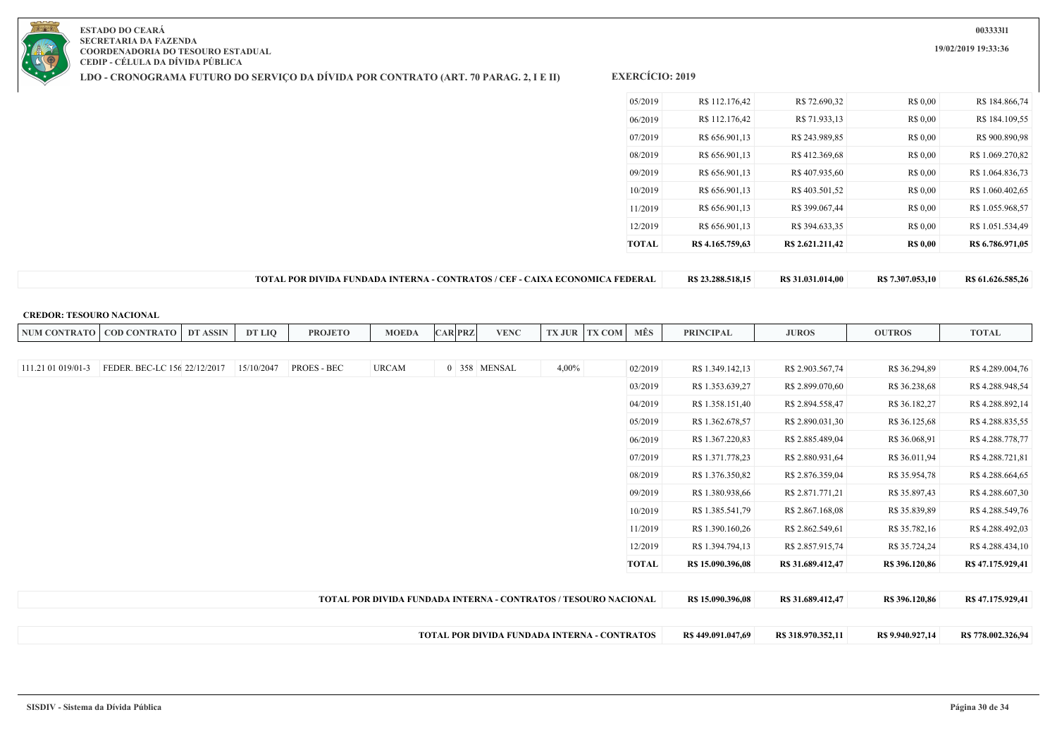**LDO - CRONOGRAMA FUTURO DO SERVIÇO DA DÍVIDA POR CONTRATO (ART. 70 PARAG. 2, I E II)**

**EXERCÍCIO: 2019**

| 05/2019 | R\$ 112.176,42   | R\$ 72.690,32    | R\$ 0.00        | R\$ 184.866,74   |
|---------|------------------|------------------|-----------------|------------------|
| 06/2019 | R\$ 112.176,42   | R\$ 71.933,13    | R\$ 0,00        | R\$ 184.109,55   |
| 07/2019 | R\$ 656.901,13   | R\$ 243.989,85   | R\$ 0,00        | R\$ 900.890,98   |
| 08/2019 | R\$ 656.901,13   | R\$412.369,68    | R\$ 0,00        | R\$ 1.069.270,82 |
| 09/2019 | R\$ 656.901,13   | R\$407.935,60    | R\$ 0,00        | R\$ 1.064.836.73 |
| 10/2019 | R\$ 656.901,13   | R\$403.501,52    | R\$ 0,00        | R\$ 1.060.402.65 |
| 11/2019 | R\$ 656.901,13   | R\$ 399.067,44   | R\$ 0,00        | R\$ 1.055.968,57 |
| 12/2019 | R\$ 656.901,13   | R\$ 394.633,35   | R\$ 0,00        | R\$ 1.051.534,49 |
| TOTAL   | R\$ 4.165.759,63 | R\$ 2.621.211,42 | <b>R\$ 0,00</b> | R\$ 6.786.971,05 |
|         |                  |                  |                 |                  |

**TOTAL POR DIVIDA FUNDADA INTERNA - CONTRATOS / CEF - CAIXA ECONOMICA FEDERAL R\$ 23.288.518,15 R\$ 31.031.014,00 R\$ 7.307.053,10 R\$ 61.626.585,26**

#### **CREDOR: TESOURO NACIONAL**

| <b>NUM CONTRATO</b> | <b>COD CONTRATO</b>          | <b>DT ASSIN</b> | DT LIO     | <b>PROJETO</b> | <b>MOEDA</b>                                                    | <b>CAR PRZ</b> |              | <b>VENC</b>                                         | <b>TX JUR</b> | <b>TX COM</b> | MÊS          | <b>PRINCIPAL</b>  | <b>JUROS</b>       | <b>OUTROS</b>    | <b>TOTAL</b>       |
|---------------------|------------------------------|-----------------|------------|----------------|-----------------------------------------------------------------|----------------|--------------|-----------------------------------------------------|---------------|---------------|--------------|-------------------|--------------------|------------------|--------------------|
|                     |                              |                 |            |                |                                                                 |                |              |                                                     |               |               |              |                   |                    |                  |                    |
| 111.21 01 019/01-3  | FEDER. BEC-LC 156 22/12/2017 |                 | 15/10/2047 | PROES - BEC    | <b>URCAM</b>                                                    |                | 0 358 MENSAL |                                                     | $4,00\%$      |               | 02/2019      | R\$ 1.349.142,13  | R\$ 2.903.567,74   | R\$ 36.294,89    | R\$4.289.004,76    |
|                     |                              |                 |            |                |                                                                 |                |              |                                                     |               |               | 03/2019      | R\$ 1.353.639,27  | R\$ 2.899.070,60   | R\$ 36.238,68    | R\$4.288.948,54    |
|                     |                              |                 |            |                |                                                                 |                |              |                                                     |               |               | 04/2019      | R\$ 1.358.151,40  | R\$ 2.894.558,47   | R\$ 36.182,27    | R\$4.288.892,14    |
|                     |                              |                 |            |                |                                                                 |                |              |                                                     |               |               | 05/2019      | R\$ 1.362.678,57  | R\$ 2.890.031,30   | R\$ 36.125,68    | R\$4.288.835,55    |
|                     |                              |                 |            |                |                                                                 |                |              |                                                     |               |               | 06/2019      | R\$ 1.367.220,83  | R\$ 2.885.489,04   | R\$ 36.068,91    | R\$4.288.778,77    |
|                     |                              |                 |            |                |                                                                 |                |              |                                                     |               |               | 07/2019      | R\$ 1.371.778,23  | R\$ 2.880.931,64   | R\$ 36.011,94    | R\$4.288.721,81    |
|                     |                              |                 |            |                |                                                                 |                |              |                                                     |               |               | 08/2019      | R\$ 1.376.350,82  | R\$ 2.876.359,04   | R\$ 35.954,78    | R\$ 4.288.664,65   |
|                     |                              |                 |            |                |                                                                 |                |              |                                                     |               |               | 09/2019      | R\$ 1.380.938,66  | R\$ 2.871.771,21   | R\$ 35.897,43    | R\$4.288.607,30    |
|                     |                              |                 |            |                |                                                                 |                |              |                                                     |               |               | 10/2019      | R\$ 1.385.541,79  | R\$ 2.867.168,08   | R\$ 35.839,89    | R\$4.288.549,76    |
|                     |                              |                 |            |                |                                                                 |                |              |                                                     |               |               | 11/2019      | R\$ 1.390.160,26  | R\$ 2.862.549,61   | R\$ 35.782,16    | R\$4.288.492,03    |
|                     |                              |                 |            |                |                                                                 |                |              |                                                     |               |               | 12/2019      | R\$ 1.394.794,13  | R\$ 2.857.915,74   | R\$ 35.724,24    | R\$4.288.434,10    |
|                     |                              |                 |            |                |                                                                 |                |              |                                                     |               |               | <b>TOTAL</b> | R\$ 15.090.396,08 | R\$ 31.689.412,47  | R\$ 396.120,86   | R\$47.175.929,41   |
|                     |                              |                 |            |                |                                                                 |                |              |                                                     |               |               |              |                   |                    |                  |                    |
|                     |                              |                 |            |                | TOTAL POR DIVIDA FUNDADA INTERNA - CONTRATOS / TESOURO NACIONAL |                |              |                                                     |               |               |              | R\$ 15.090.396,08 | R\$ 31.689.412,47  | R\$ 396.120,86   | R\$ 47.175.929,41  |
|                     |                              |                 |            |                |                                                                 |                |              |                                                     |               |               |              |                   |                    |                  |                    |
|                     |                              |                 |            |                |                                                                 |                |              | <b>TOTAL POR DIVIDA FUNDADA INTERNA - CONTRATOS</b> |               |               |              | R\$449.091.047,69 | R\$ 318.970.352,11 | R\$ 9.940.927,14 | R\$ 778.002.326,94 |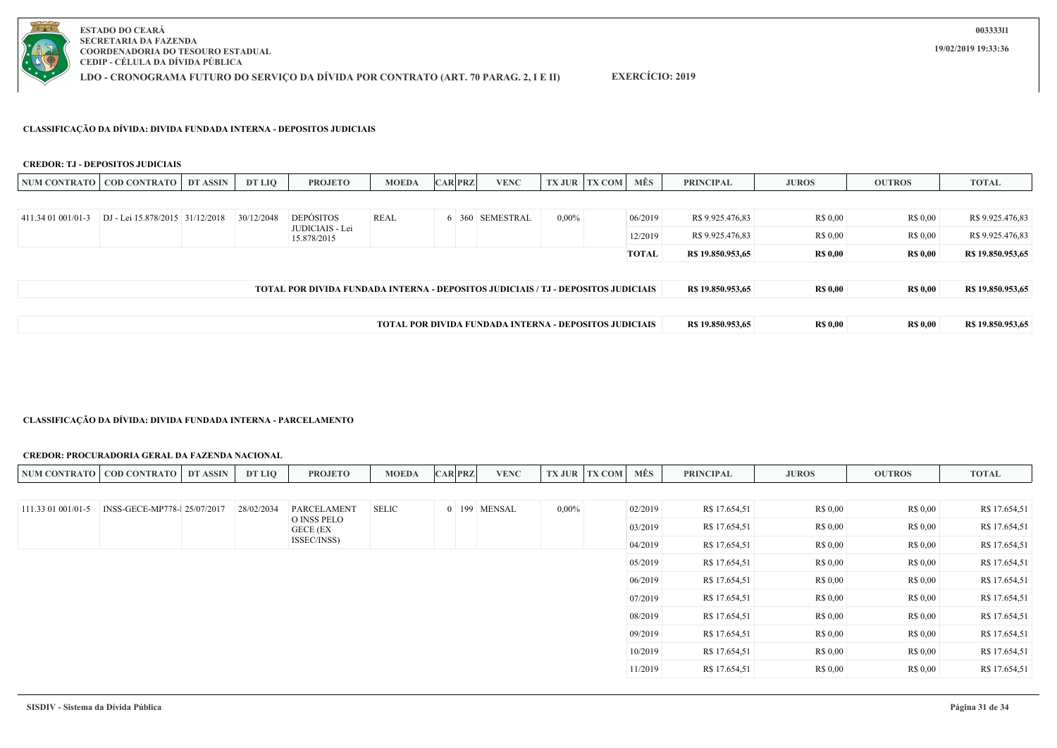

**LDO - CRONOGRAMA FUTURO DO SERVIÇO DA DÍVIDA POR CONTRATO (ART. 70 PARAG. 2, I E II)**

## **EXERCÍCIO: 2019**

#### **CLASSIFICAÇÃO DA DÍVIDA: DIVIDA FUNDADA INTERNA - DEPOSITOS JUDICIAIS**

#### **CREDOR: TJ - DEPOSITOS JUDICIAIS**

|                    | NUM CONTRATO   COD CONTRATO                                   | DT ASSIN | DT LIQ     | <b>PROJETO</b>                                                                            | <b>MOEDA</b> |  | <b>CAR PRZ</b> | <b>VENC</b>     |          | <b>TX JUR TX COM</b> | MÊS          | <b>PRINCIPAL</b>  | <b>JUROS</b>    | <b>OUTROS</b>   | <b>TOTAL</b>      |
|--------------------|---------------------------------------------------------------|----------|------------|-------------------------------------------------------------------------------------------|--------------|--|----------------|-----------------|----------|----------------------|--------------|-------------------|-----------------|-----------------|-------------------|
|                    |                                                               |          |            |                                                                                           |              |  |                |                 |          |                      |              |                   |                 |                 |                   |
| 411.34 01 001/01-3 | DJ - Lei 15.878/2015 31/12/2018                               |          | 30/12/2048 | <b>DEPÓSITOS</b>                                                                          | REAL         |  |                | 6 360 SEMESTRAL | $0.00\%$ |                      | 06/2019      | R\$ 9.925,476.83  | R\$ 0.00        | R\$ 0,00        | R\$ 9.925.476,83  |
|                    |                                                               |          |            | JUDICIAIS - Lei<br>15.878/2015                                                            |              |  |                |                 |          |                      | 12/2019      | R\$ 9.925.476.83  | R\$ 0.00        | R\$ 0,00        | R\$ 9.925.476,83  |
|                    |                                                               |          |            |                                                                                           |              |  |                |                 |          |                      | <b>TOTAL</b> | R\$ 19.850.953,65 | <b>R\$ 0,00</b> | <b>R\$ 0,00</b> | R\$ 19.850.953,65 |
|                    |                                                               |          |            |                                                                                           |              |  |                |                 |          |                      |              |                   |                 |                 |                   |
|                    |                                                               |          |            | <b>TOTAL POR DIVIDA FUNDADA INTERNA - DEPOSITOS JUDICIAIS / T.J - DEPOSITOS JUDICIAIS</b> |              |  |                |                 |          |                      |              | R\$ 19.850.953.65 | <b>R\$ 0,00</b> | <b>R\$ 0,00</b> | R\$ 19.850.953,65 |
|                    |                                                               |          |            |                                                                                           |              |  |                |                 |          |                      |              |                   |                 |                 |                   |
|                    | <b>TOTAL POR DIVIDA FUNDADA INTERNA - DEPOSITOS JUDICIAIS</b> |          |            |                                                                                           |              |  |                |                 |          |                      |              |                   | <b>R\$ 0,00</b> | <b>R\$ 0,00</b> | R\$ 19.850.953,65 |

#### **CLASSIFICAÇÃO DA DÍVIDA: DIVIDA FUNDADA INTERNA - PARCELAMENTO**

#### **CREDOR: PROCURADORIA GERAL DA FAZENDA NACIONAL**

| <b>NUM CONTRATO</b> | <b>COD CONTRATO</b>          | DT ASSIN | DT LIQ     | <b>PROJETO</b>          | <b>MOEDA</b> | <b>CAR PRZ</b> | <b>VENC</b>  |          | <b>TX JUR TX COM</b> | MÊS     | <b>PRINCIPAL</b> | <b>JUROS</b> | <b>OUTROS</b>   | <b>TOTAL</b>  |
|---------------------|------------------------------|----------|------------|-------------------------|--------------|----------------|--------------|----------|----------------------|---------|------------------|--------------|-----------------|---------------|
|                     |                              |          |            |                         |              |                |              |          |                      |         |                  |              |                 |               |
| 111.33 01 001/01-5  | INSS-GECE-MP778-1 25/07/2017 |          | 28/02/2034 | <b>PARCELAMENT</b>      | <b>SELIC</b> |                | 0 199 MENSAL | $0,00\%$ |                      | 02/2019 | R\$ 17.654,51    | R\$ 0,00     | R\$ 0,00        | R\$ 17.654,51 |
|                     |                              |          |            | O INSS PELO<br>GECE (EX |              |                |              |          |                      | 03/2019 | R\$ 17.654,51    | R\$ 0,00     | R\$ 0,00        | R\$ 17.654,51 |
|                     |                              |          |            | ISSEC/INSS)             |              |                |              |          |                      | 04/2019 | R\$ 17.654,51    | R\$ 0,00     | R\$ 0,00        | R\$ 17.654,51 |
|                     |                              |          |            |                         |              |                |              |          |                      | 05/2019 | R\$ 17.654,51    | R\$ 0,00     | R\$ 0,00        | R\$ 17.654,51 |
|                     |                              |          |            |                         |              |                |              |          |                      | 06/2019 | R\$ 17.654,51    | R\$ 0,00     | R\$ 0,00        | R\$ 17.654,51 |
|                     |                              |          |            |                         |              |                |              |          |                      | 07/2019 | R\$ 17.654,51    | R\$ 0,00     | R\$ 0,00        | R\$ 17.654,51 |
|                     |                              |          |            |                         |              |                |              |          |                      | 08/2019 | R\$ 17.654,51    | R\$ 0,00     | R\$ 0,00        | R\$ 17.654,51 |
|                     |                              |          |            |                         |              |                |              |          |                      | 09/2019 | R\$ 17.654,51    | R\$ 0,00     | R\$ 0,00        | R\$ 17.654,51 |
|                     |                              |          |            |                         |              |                |              |          |                      | 10/2019 | R\$ 17.654,51    | R\$ 0,00     | R\$ 0,00        | R\$ 17.654,51 |
|                     |                              |          |            |                         |              |                |              |          |                      | 11/2019 | R\$ 17.654,51    | R\$ 0,00     | <b>R\$ 0.00</b> | R\$ 17.654,51 |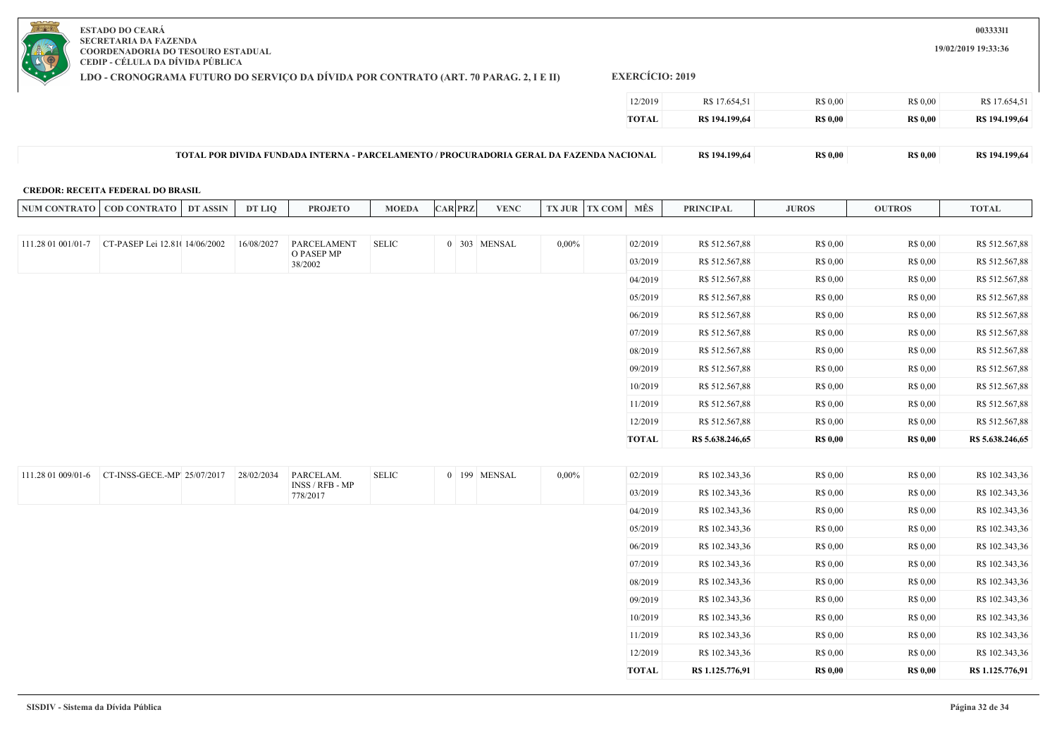**LDO - CRONOGRAMA FUTURO DO SERVIÇO DA DÍVIDA POR CONTRATO (ART. 70 PARAG. 2, I E II)**

**EXERCÍCIO: 2019**

| 12/2019      | R\$ 17.654,51  | <b>R\$ 0.00</b> | R\$ 0.00       | R\$ 17.654,51  |
|--------------|----------------|-----------------|----------------|----------------|
| <b>TOTAL</b> | R\$ 194.199,64 | <b>RS 0.00</b>  | <b>RS 0.00</b> | R\$ 194.199,64 |

| $T$ OTA.<br>/PROCURADORIA GERAL DA FAZENDA N<br><b>POR DIVIDA</b><br>A FUNDADA INTERNA-<br>$-PARCELAMENTO$<br>$\mathcal{L}$ CIONAL.<br>4.199.64 | 28 O M<br>vw. | vw. | 104.100 |
|-------------------------------------------------------------------------------------------------------------------------------------------------|---------------|-----|---------|
|-------------------------------------------------------------------------------------------------------------------------------------------------|---------------|-----|---------|

#### **CREDOR: RECEITA FEDERAL DO BRASIL**

|                    | NUM CONTRATO   COD CONTRATO   DT ASSIN            | <b>DT LIQ</b> | <b>PROJETO</b>               | <b>MOEDA</b> | <b>CAR PRZ</b> | <b>VENC</b>  |          | <b>TX JUR TX COM</b> | MÊS          | <b>PRINCIPAL</b> | <b>JUROS</b>    | <b>OUTROS</b>   | <b>TOTAL</b>     |
|--------------------|---------------------------------------------------|---------------|------------------------------|--------------|----------------|--------------|----------|----------------------|--------------|------------------|-----------------|-----------------|------------------|
|                    |                                                   |               |                              |              |                |              |          |                      |              |                  |                 |                 |                  |
|                    | 111.28 01 001/01-7 CT-PASEP Lei 12.81( 14/06/2002 | 16/08/2027    | PARCELAMENT<br>O PASEP MP    | <b>SELIC</b> |                | 0 303 MENSAL | $0,00\%$ |                      | 02/2019      | R\$ 512.567,88   | R\$ 0,00        | R\$ 0,00        | R\$ 512.567,88   |
|                    |                                                   |               | 38/2002                      |              |                |              |          |                      | 03/2019      | R\$ 512.567,88   | R\$ 0,00        | R\$ 0,00        | R\$ 512.567,88   |
|                    |                                                   |               |                              |              |                |              |          |                      | 04/2019      | R\$ 512.567,88   | R\$ 0,00        | R\$ 0,00        | R\$ 512.567,88   |
|                    |                                                   |               |                              |              |                |              |          |                      | 05/2019      | R\$ 512.567,88   | R\$ 0,00        | R\$ 0,00        | R\$ 512.567,88   |
|                    |                                                   |               |                              |              |                |              |          |                      | 06/2019      | R\$ 512.567,88   | R\$ 0,00        | R\$ 0,00        | R\$ 512.567,88   |
|                    |                                                   |               |                              |              |                |              |          |                      | 07/2019      | R\$ 512.567,88   | R\$ 0,00        | R\$ 0,00        | R\$ 512.567,88   |
|                    |                                                   |               |                              |              |                |              |          |                      | 08/2019      | R\$ 512.567,88   | R\$ 0,00        | R\$ 0,00        | R\$ 512.567,88   |
|                    |                                                   |               |                              |              |                |              |          |                      | 09/2019      | R\$ 512.567,88   | R\$ 0,00        | R\$ 0,00        | R\$ 512.567,88   |
|                    |                                                   |               |                              |              |                |              |          |                      | 10/2019      | R\$ 512.567,88   | R\$ 0,00        | R\$ 0,00        | R\$ 512.567,88   |
|                    |                                                   |               |                              |              |                |              |          |                      | 11/2019      | R\$ 512.567,88   | R\$ 0,00        | R\$ 0,00        | R\$ 512.567,88   |
|                    |                                                   |               |                              |              |                |              |          |                      | 12/2019      | R\$ 512.567,88   | R\$ 0,00        | R\$ 0,00        | R\$ 512.567,88   |
|                    |                                                   |               |                              |              |                |              |          |                      | <b>TOTAL</b> | R\$ 5.638.246,65 | <b>R\$ 0,00</b> | <b>R\$ 0,00</b> | R\$ 5.638.246,65 |
|                    |                                                   |               |                              |              |                |              |          |                      |              |                  |                 |                 |                  |
| 111.28 01 009/01-6 | CT-INSS-GECE.-MP' 25/07/2017                      | 28/02/2034    | PARCELAM.<br>INSS / RFB - MP | <b>SELIC</b> |                | 0 199 MENSAL | $0,00\%$ |                      | 02/2019      | R\$ 102.343,36   | R\$ 0,00        | R\$ 0,00        | R\$ 102.343,36   |
|                    |                                                   |               | 778/2017                     |              |                |              |          |                      | 03/2019      | R\$ 102.343,36   | R\$ 0,00        | R\$ 0,00        | R\$ 102.343,36   |
|                    |                                                   |               |                              |              |                |              |          |                      | 04/2019      | R\$ 102.343,36   | R\$ 0,00        | R\$ 0,00        | R\$ 102.343,36   |
|                    |                                                   |               |                              |              |                |              |          |                      | 05/2019      | R\$ 102.343,36   | R\$ 0,00        | R\$ 0,00        | R\$ 102.343,36   |
|                    |                                                   |               |                              |              |                |              |          |                      | 06/2019      | R\$ 102.343,36   | R\$ 0,00        | R\$ 0,00        | R\$ 102.343,36   |
|                    |                                                   |               |                              |              |                |              |          |                      | 07/2019      | R\$ 102.343,36   | R\$ 0,00        | R\$ 0,00        | R\$ 102.343,36   |
|                    |                                                   |               |                              |              |                |              |          |                      | 08/2019      | R\$ 102.343,36   | R\$ 0,00        | R\$ 0,00        | R\$ 102.343,36   |
|                    |                                                   |               |                              |              |                |              |          |                      | 09/2019      | R\$ 102.343,36   | R\$ 0,00        | R\$ 0,00        | R\$ 102.343,36   |
|                    |                                                   |               |                              |              |                |              |          |                      | 10/2019      | R\$ 102.343,36   | R\$ 0,00        | R\$ 0,00        | R\$ 102.343,36   |
|                    |                                                   |               |                              |              |                |              |          |                      | 11/2019      | R\$ 102.343,36   | R\$ 0,00        | R\$ 0,00        | R\$ 102.343,36   |
|                    |                                                   |               |                              |              |                |              |          |                      | 12/2019      | R\$ 102.343,36   | R\$ 0,00        | R\$ 0,00        | R\$ 102.343,36   |
|                    |                                                   |               |                              |              |                |              |          |                      | <b>TOTAL</b> | R\$ 1.125.776,91 | <b>R\$ 0,00</b> | <b>R\$ 0.00</b> | R\$ 1.125.776,91 |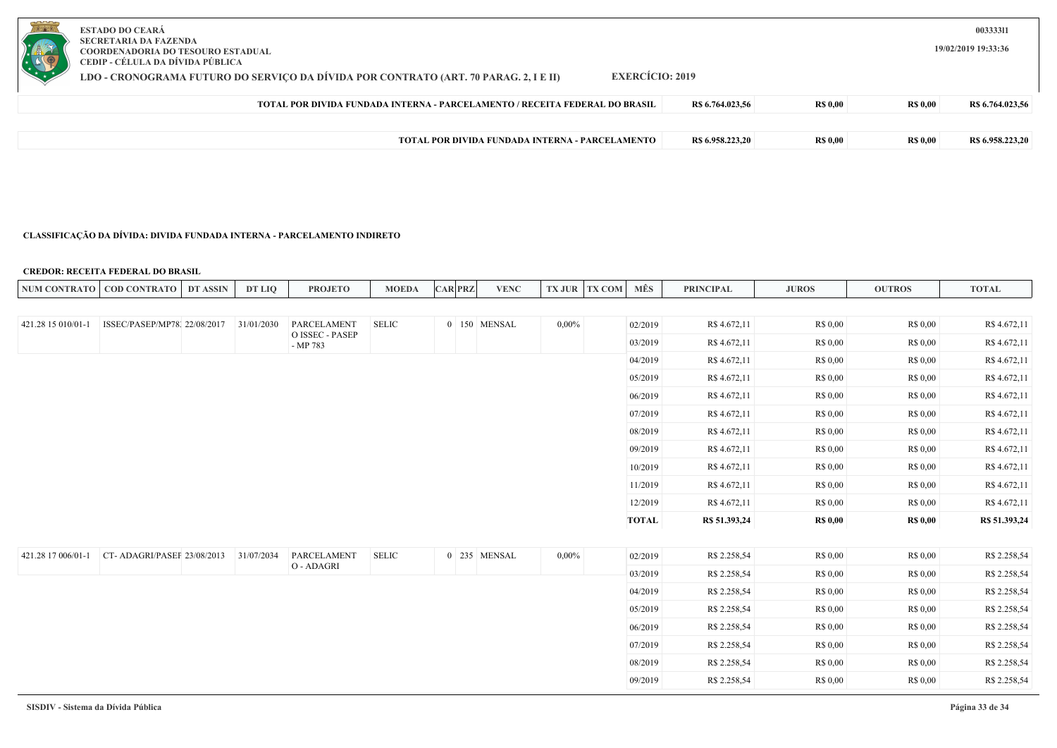| <b>ESTADO DO CEARÁ</b><br>SECRETARIA DA FAZENDA<br>COORDENADORIA DO TESOURO ESTADUAL<br>CEDIP - CÉLULA DA DÍVIDA PÚBLICA<br>EXERCÍCIO: 2019<br>LDO - CRONOGRAMA FUTURO DO SERVICO DA DÍVIDA POR CONTRATO (ART. 70 PARAG. 2, I E II) |                  |                |                 | 00333311<br>19/02/2019 19:33:36 |
|-------------------------------------------------------------------------------------------------------------------------------------------------------------------------------------------------------------------------------------|------------------|----------------|-----------------|---------------------------------|
| TOTAL POR DIVIDA FUNDADA INTERNA - PARCELAMENTO / RECEITA FEDERAL DO BRASIL                                                                                                                                                         | R\$ 6.764.023,56 | <b>RS 0.00</b> | <b>R\$ 0,00</b> | R\$ 6.764.023,56                |
|                                                                                                                                                                                                                                     |                  |                |                 |                                 |
| <b>TOTAL POR DIVIDA FUNDADA INTERNA - PARCELAMENTO</b>                                                                                                                                                                              | R\$ 6.958.223.20 | <b>RS 0.00</b> | <b>R\$ 0,00</b> | R\$ 6.958.223.20                |

## **CLASSIFICAÇÃO DA DÍVIDA: DIVIDA FUNDADA INTERNA - PARCELAMENTO INDIRETO**

### **CREDOR: RECEITA FEDERAL DO BRASIL**

| <b>NUM CONTR</b><br>AATO | <b>COD CONTRATO</b> | <b>ASSIN</b><br>DT | <b>DT LIO</b> | <b>PROJETO</b> | <b>MOEDA</b> | <b>CAR PRZ</b> | <b>VENC</b> | TXJUR | <b>TV COM</b> | <b>MËS</b> | <b>PRINCIPAL</b> | <b>JUROS</b> | <b>OUTROS</b> | <b>TOTAL</b> |
|--------------------------|---------------------|--------------------|---------------|----------------|--------------|----------------|-------------|-------|---------------|------------|------------------|--------------|---------------|--------------|
|                          |                     |                    |               |                |              |                |             |       |               |            |                  |              |               |              |

| 421.28 15 010/01-1 | ISSEC/PASEP/MP78, 22/08/2017 | 31/01/2030 | PARCELAMENT                 | <b>SELIC</b> | 0 150 MENSAL | $0,00\%$ | 02/2019      | R\$ 4.672,11  | R\$ 0,00        | R\$ 0,00        | R\$ 4.672,11  |
|--------------------|------------------------------|------------|-----------------------------|--------------|--------------|----------|--------------|---------------|-----------------|-----------------|---------------|
|                    |                              |            | O ISSEC - PASEP<br>- MP 783 |              |              |          | 03/2019      | R\$ 4.672,11  | R\$ 0,00        | R\$ 0,00        | R\$ 4.672,11  |
|                    |                              |            |                             |              |              |          | 04/2019      | R\$ 4.672,11  | R\$ 0,00        | R\$ 0,00        | R\$ 4.672,11  |
|                    |                              |            |                             |              |              |          | 05/2019      | R\$ 4.672,11  | R\$ 0,00        | R\$ 0,00        | R\$ 4.672,11  |
|                    |                              |            |                             |              |              |          | 06/2019      | R\$ 4.672,11  | R\$ 0,00        | R\$ 0,00        | R\$ 4.672,11  |
|                    |                              |            |                             |              |              |          | 07/2019      | R\$ 4.672,11  | R\$ 0,00        | R\$ 0,00        | R\$ 4.672,11  |
|                    |                              |            |                             |              |              |          | 08/2019      | R\$ 4.672,11  | R\$ 0,00        | R\$ 0,00        | R\$ 4.672,11  |
|                    |                              |            |                             |              |              |          | 09/2019      | R\$ 4.672,11  | R\$ 0,00        | R\$ 0,00        | R\$ 4.672,11  |
|                    |                              |            |                             |              |              |          | 10/2019      | R\$ 4.672,11  | R\$ 0,00        | R\$ 0,00        | R\$ 4.672,11  |
|                    |                              |            |                             |              |              |          | 11/2019      | R\$ 4.672,11  | R\$ 0,00        | R\$ 0,00        | R\$ 4.672,11  |
|                    |                              |            |                             |              |              |          | 12/2019      | R\$ 4.672,11  | R\$ 0,00        | R\$ 0,00        | R\$ 4.672,11  |
|                    |                              |            |                             |              |              |          | <b>TOTAL</b> | R\$ 51.393,24 | <b>R\$ 0,00</b> | <b>R\$ 0,00</b> | R\$ 51.393,24 |
|                    |                              |            |                             |              |              |          |              |               |                 |                 |               |
| 421.28 17 006/01-1 | CT-ADAGRI/PASEF 23/08/2013   | 31/07/2034 | PARCELAMENT<br>O - ADAGRI   | SELIC        | 0 235 MENSAL | $0,00\%$ | 02/2019      | R\$ 2.258,54  | R\$ 0,00        | R\$ 0,00        | R\$ 2.258,54  |
|                    |                              |            |                             |              |              |          | 03/2019      | R\$ 2.258,54  | R\$ 0,00        | R\$ 0,00        | R\$ 2.258,54  |
|                    |                              |            |                             |              |              |          | 04/2019      | R\$ 2.258,54  | R\$ 0,00        | R\$ 0,00        | R\$ 2.258,54  |
|                    |                              |            |                             |              |              |          | 05/2019      | R\$ 2.258,54  | R\$ 0,00        | R\$ 0,00        | R\$ 2.258,54  |
|                    |                              |            |                             |              |              |          | 06/2019      | R\$ 2.258,54  | R\$ 0,00        | R\$ 0,00        | R\$ 2.258,54  |
|                    |                              |            |                             |              |              |          | 07/2019      | R\$ 2.258,54  | R\$ 0,00        | R\$ 0,00        | R\$ 2.258,54  |
|                    |                              |            |                             |              |              |          | 08/2019      | R\$ 2.258,54  | R\$ 0,00        | R\$ 0,00        | R\$ 2.258,54  |
|                    |                              |            |                             |              |              |          | 09/2019      | R\$ 2.258,54  | R\$ 0,00        | R\$ 0,00        | R\$ 2.258,54  |